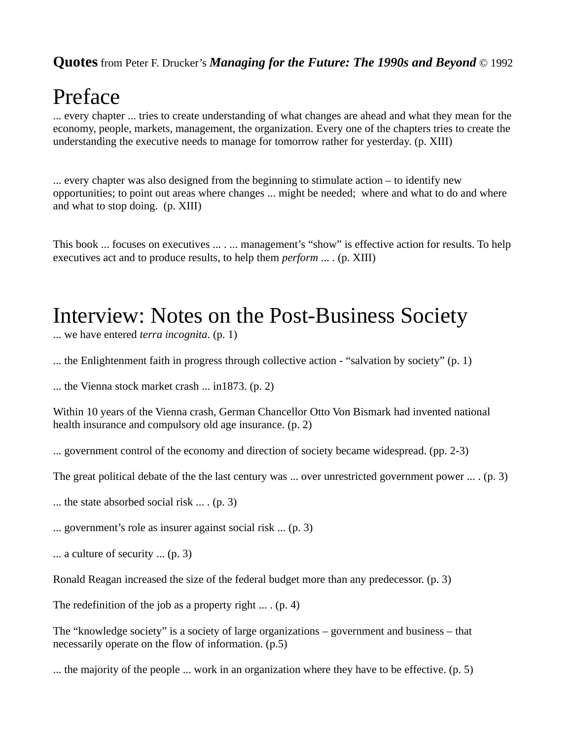## Preface

... every chapter ... tries to create understanding of what changes are ahead and what they mean for the economy, people, markets, management, the organization. Every one of the chapters tries to create the understanding the executive needs to manage for tomorrow rather for yesterday. (p. XIII)

... every chapter was also designed from the beginning to stimulate action – to identify new opportunities; to point out areas where changes ... might be needed; where and what to do and where and what to stop doing. (p. XIII)

This book ... focuses on executives ... . ... management's "show" is effective action for results. To help executives act and to produce results, to help them *perform* ... . (p. XIII)

### Interview: Notes on the Post-Business Society

... we have entered *terra incognita*. (p. 1)

... the Enlightenment faith in progress through collective action - "salvation by society" (p. 1)

... the Vienna stock market crash ... in1873. (p. 2)

Within 10 years of the Vienna crash, German Chancellor Otto Von Bismark had invented national health insurance and compulsory old age insurance. (p. 2)

... government control of the economy and direction of society became widespread. (pp. 2-3)

The great political debate of the the last century was ... over unrestricted government power ... . (p. 3)

... the state absorbed social risk ... . (p. 3)

... government's role as insurer against social risk ... (p. 3)

... a culture of security ... (p. 3)

Ronald Reagan increased the size of the federal budget more than any predecessor. (p. 3)

The redefinition of the job as a property right  $\dots$ . (p. 4)

The "knowledge society" is a society of large organizations – government and business – that necessarily operate on the flow of information. (p.5)

... the majority of the people ... work in an organization where they have to be effective. (p. 5)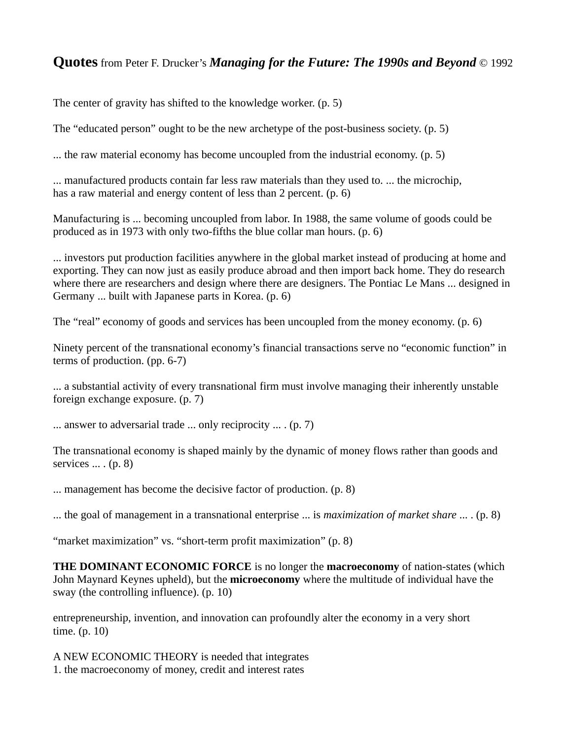The center of gravity has shifted to the knowledge worker. (p. 5)

The "educated person" ought to be the new archetype of the post-business society. (p. 5)

... the raw material economy has become uncoupled from the industrial economy. (p. 5)

... manufactured products contain far less raw materials than they used to. ... the microchip, has a raw material and energy content of less than 2 percent. (p. 6)

Manufacturing is ... becoming uncoupled from labor. In 1988, the same volume of goods could be produced as in 1973 with only two-fifths the blue collar man hours. (p. 6)

... investors put production facilities anywhere in the global market instead of producing at home and exporting. They can now just as easily produce abroad and then import back home. They do research where there are researchers and design where there are designers. The Pontiac Le Mans ... designed in Germany ... built with Japanese parts in Korea. (p. 6)

The "real" economy of goods and services has been uncoupled from the money economy. (p. 6)

Ninety percent of the transnational economy's financial transactions serve no "economic function" in terms of production. (pp. 6-7)

... a substantial activity of every transnational firm must involve managing their inherently unstable foreign exchange exposure. (p. 7)

... answer to adversarial trade ... only reciprocity ... . (p. 7)

The transnational economy is shaped mainly by the dynamic of money flows rather than goods and services  $\dots$  (p. 8)

... management has become the decisive factor of production. (p. 8)

... the goal of management in a transnational enterprise ... is *maximization of market share* ... . (p. 8)

"market maximization" vs. "short-term profit maximization" (p. 8)

**THE DOMINANT ECONOMIC FORCE** is no longer the **macroeconomy** of nation-states (which John Maynard Keynes upheld), but the **microeconomy** where the multitude of individual have the sway (the controlling influence). (p. 10)

entrepreneurship, invention, and innovation can profoundly alter the economy in a very short time. (p. 10)

A NEW ECONOMIC THEORY is needed that integrates 1. the macroeconomy of money, credit and interest rates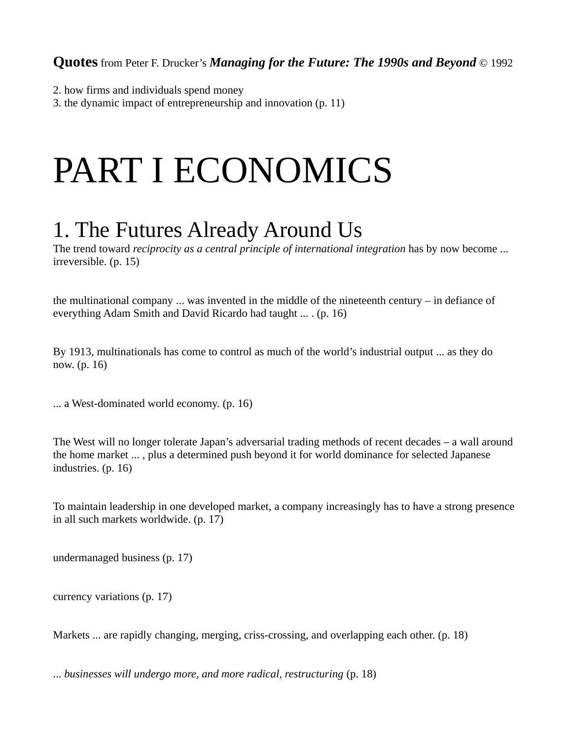- 2. how firms and individuals spend money
- 3. the dynamic impact of entrepreneurship and innovation (p. 11)

# PART I ECONOMICS

## 1. The Futures Already Around Us

The trend toward *reciprocity as a central principle of international integration* has by now become ... irreversible. (p. 15)

the multinational company ... was invented in the middle of the nineteenth century – in defiance of everything Adam Smith and David Ricardo had taught ... . (p. 16)

By 1913, multinationals has come to control as much of the world's industrial output ... as they do now. (p. 16)

... a West-dominated world economy. (p. 16)

The West will no longer tolerate Japan's adversarial trading methods of recent decades – a wall around the home market ... , plus a determined push beyond it for world dominance for selected Japanese industries. (p. 16)

To maintain leadership in one developed market, a company increasingly has to have a strong presence in all such markets worldwide. (p. 17)

undermanaged business (p. 17)

currency variations (p. 17)

Markets ... are rapidly changing, merging, criss-crossing, and overlapping each other. (p. 18)

... *businesses will undergo more, and more radical, restructuring* (p. 18)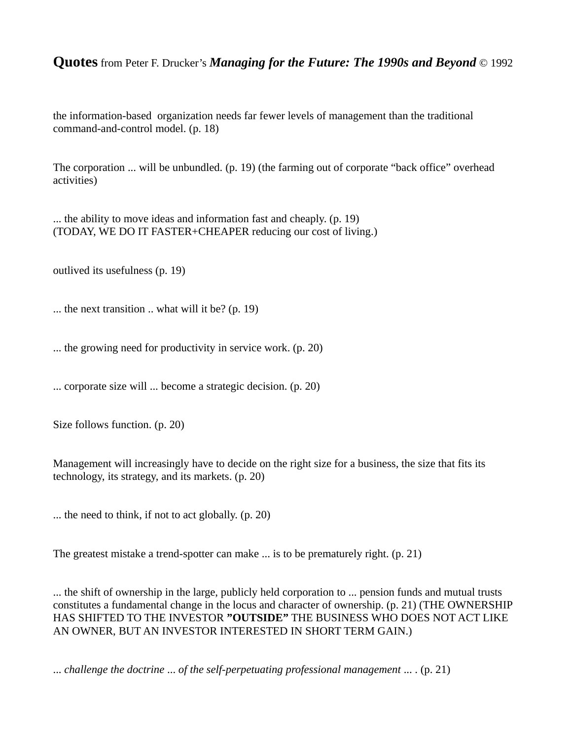the information-based organization needs far fewer levels of management than the traditional command-and-control model. (p. 18)

The corporation ... will be unbundled. (p. 19) (the farming out of corporate "back office" overhead activities)

... the ability to move ideas and information fast and cheaply. (p. 19) (TODAY, WE DO IT FASTER+CHEAPER reducing our cost of living.)

outlived its usefulness (p. 19)

... the next transition .. what will it be? (p. 19)

... the growing need for productivity in service work. (p. 20)

... corporate size will ... become a strategic decision. (p. 20)

Size follows function. (p. 20)

Management will increasingly have to decide on the right size for a business, the size that fits its technology, its strategy, and its markets. (p. 20)

... the need to think, if not to act globally. (p. 20)

The greatest mistake a trend-spotter can make ... is to be prematurely right. (p. 21)

... the shift of ownership in the large, publicly held corporation to ... pension funds and mutual trusts constitutes a fundamental change in the locus and character of ownership. (p. 21) (THE OWNERSHIP HAS SHIFTED TO THE INVESTOR **"OUTSIDE"** THE BUSINESS WHO DOES NOT ACT LIKE AN OWNER, BUT AN INVESTOR INTERESTED IN SHORT TERM GAIN.)

... *challenge the doctrine* ... *of the self-perpetuating professional management* ... . (p. 21)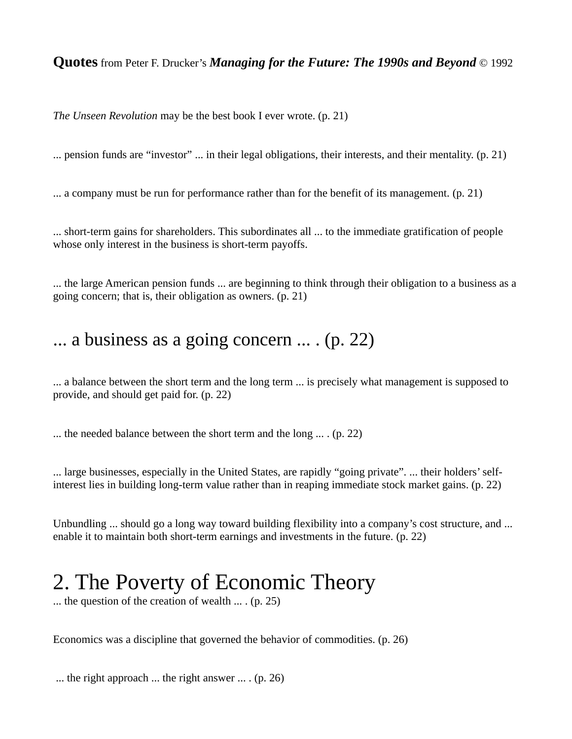*The Unseen Revolution* may be the best book I ever wrote. (p. 21)

... pension funds are "investor" ... in their legal obligations, their interests, and their mentality. (p. 21)

... a company must be run for performance rather than for the benefit of its management. (p. 21)

... short-term gains for shareholders. This subordinates all ... to the immediate gratification of people whose only interest in the business is short-term payoffs.

... the large American pension funds ... are beginning to think through their obligation to a business as a going concern; that is, their obligation as owners. (p. 21)

#### ... a business as a going concern ... . (p. 22)

... a balance between the short term and the long term ... is precisely what management is supposed to provide, and should get paid for. (p. 22)

... the needed balance between the short term and the long ... . (p. 22)

... large businesses, especially in the United States, are rapidly "going private". ... their holders' selfinterest lies in building long-term value rather than in reaping immediate stock market gains. (p. 22)

Unbundling ... should go a long way toward building flexibility into a company's cost structure, and ... enable it to maintain both short-term earnings and investments in the future. (p. 22)

### 2. The Poverty of Economic Theory

... the question of the creation of wealth ... . (p. 25)

Economics was a discipline that governed the behavior of commodities. (p. 26)

... the right approach ... the right answer ... . (p. 26)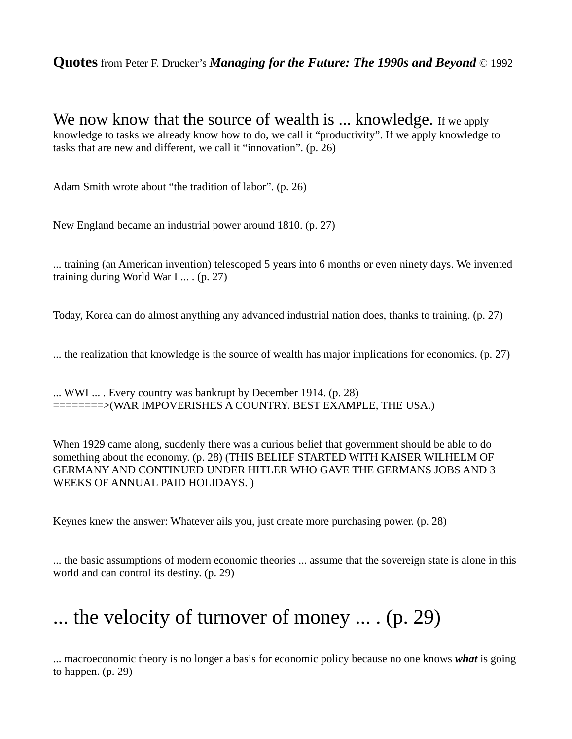We now know that the source of wealth is ... knowledge. If we apply knowledge to tasks we already know how to do, we call it "productivity". If we apply knowledge to tasks that are new and different, we call it "innovation". (p. 26)

Adam Smith wrote about "the tradition of labor". (p. 26)

New England became an industrial power around 1810. (p. 27)

... training (an American invention) telescoped 5 years into 6 months or even ninety days. We invented training during World War I ... . (p. 27)

Today, Korea can do almost anything any advanced industrial nation does, thanks to training. (p. 27)

... the realization that knowledge is the source of wealth has major implications for economics. (p. 27)

... WWI ... . Every country was bankrupt by December 1914. (p. 28) ========>(WAR IMPOVERISHES A COUNTRY. BEST EXAMPLE, THE USA.)

When 1929 came along, suddenly there was a curious belief that government should be able to do something about the economy. (p. 28) (THIS BELIEF STARTED WITH KAISER WILHELM OF GERMANY AND CONTINUED UNDER HITLER WHO GAVE THE GERMANS JOBS AND 3 WEEKS OF ANNUAL PAID HOLIDAYS. )

Keynes knew the answer: Whatever ails you, just create more purchasing power. (p. 28)

... the basic assumptions of modern economic theories ... assume that the sovereign state is alone in this world and can control its destiny. (p. 29)

### ... the velocity of turnover of money ... . (p. 29)

... macroeconomic theory is no longer a basis for economic policy because no one knows *what* is going to happen. (p. 29)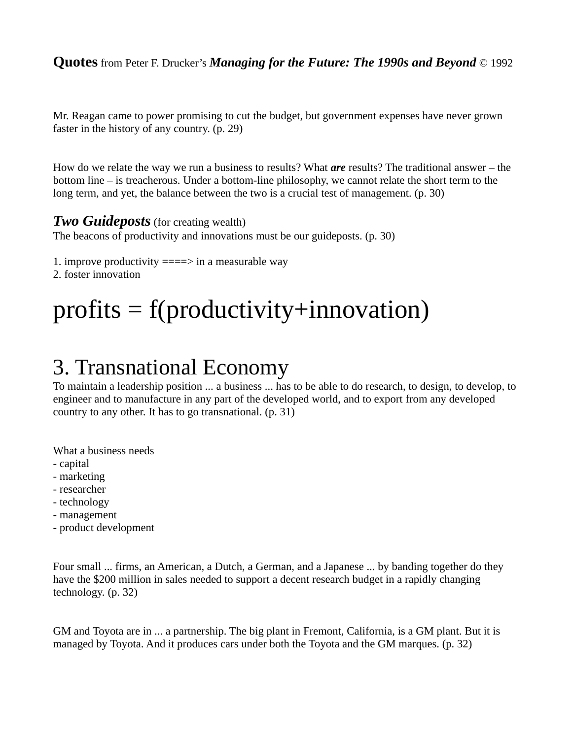Mr. Reagan came to power promising to cut the budget, but government expenses have never grown faster in the history of any country. (p. 29)

How do we relate the way we run a business to results? What *are* results? The traditional answer – the bottom line – is treacherous. Under a bottom-line philosophy, we cannot relate the short term to the long term, and yet, the balance between the two is a crucial test of management. (p. 30)

#### *Two Guideposts* (for creating wealth)

The beacons of productivity and innovations must be our guideposts. (p. 30)

1. improve productivity  $===>=>$  in a measurable way

2. foster innovation

# $profits = f(productivity + innovation)$

### 3. Transnational Economy

To maintain a leadership position ... a business ... has to be able to do research, to design, to develop, to engineer and to manufacture in any part of the developed world, and to export from any developed country to any other. It has to go transnational. (p. 31)

What a business needs

- capital
- marketing
- researcher
- technology
- management
- product development

Four small ... firms, an American, a Dutch, a German, and a Japanese ... by banding together do they have the \$200 million in sales needed to support a decent research budget in a rapidly changing technology. (p. 32)

GM and Toyota are in ... a partnership. The big plant in Fremont, California, is a GM plant. But it is managed by Toyota. And it produces cars under both the Toyota and the GM marques. (p. 32)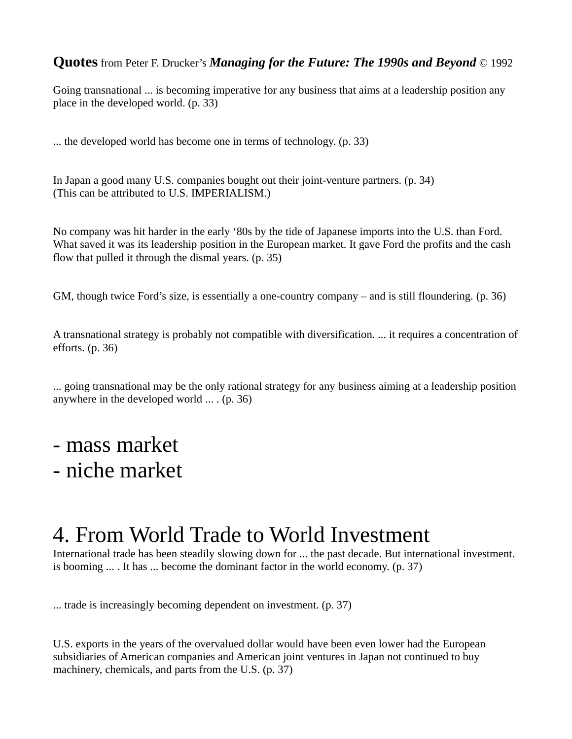Going transnational ... is becoming imperative for any business that aims at a leadership position any place in the developed world. (p. 33)

... the developed world has become one in terms of technology. (p. 33)

In Japan a good many U.S. companies bought out their joint-venture partners. (p. 34) (This can be attributed to U.S. IMPERIALISM.)

No company was hit harder in the early '80s by the tide of Japanese imports into the U.S. than Ford. What saved it was its leadership position in the European market. It gave Ford the profits and the cash flow that pulled it through the dismal years. (p. 35)

GM, though twice Ford's size, is essentially a one-country company – and is still floundering. (p. 36)

A transnational strategy is probably not compatible with diversification. ... it requires a concentration of efforts. (p. 36)

... going transnational may be the only rational strategy for any business aiming at a leadership position anywhere in the developed world ... . (p. 36)

- mass market
- niche market

### 4. From World Trade to World Investment

International trade has been steadily slowing down for ... the past decade. But international investment. is booming  $\dots$  It has  $\dots$  become the dominant factor in the world economy. (p. 37)

... trade is increasingly becoming dependent on investment. (p. 37)

U.S. exports in the years of the overvalued dollar would have been even lower had the European subsidiaries of American companies and American joint ventures in Japan not continued to buy machinery, chemicals, and parts from the U.S. (p. 37)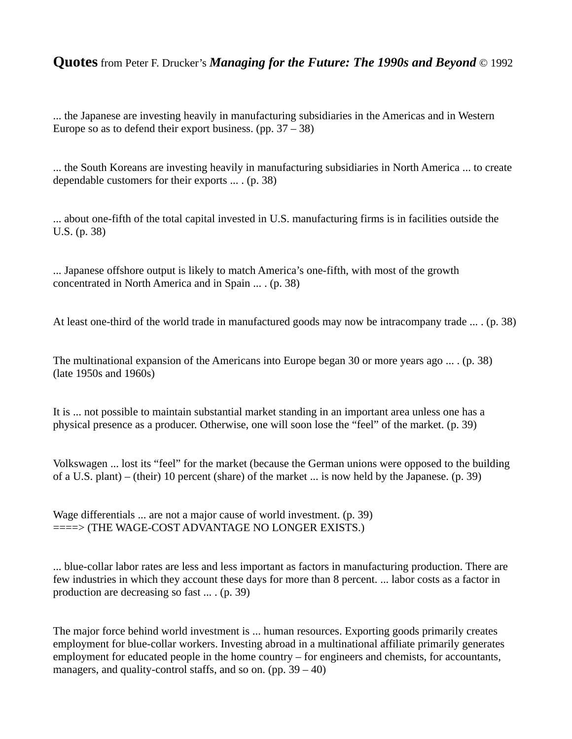... the Japanese are investing heavily in manufacturing subsidiaries in the Americas and in Western Europe so as to defend their export business. (pp.  $37 - 38$ )

... the South Koreans are investing heavily in manufacturing subsidiaries in North America ... to create dependable customers for their exports ... . (p. 38)

... about one-fifth of the total capital invested in U.S. manufacturing firms is in facilities outside the U.S. (p. 38)

... Japanese offshore output is likely to match America's one-fifth, with most of the growth concentrated in North America and in Spain ... . (p. 38)

At least one-third of the world trade in manufactured goods may now be intracompany trade ... . (p. 38)

The multinational expansion of the Americans into Europe began 30 or more years ago ... . (p. 38) (late 1950s and 1960s)

It is ... not possible to maintain substantial market standing in an important area unless one has a physical presence as a producer. Otherwise, one will soon lose the "feel" of the market. (p. 39)

Volkswagen ... lost its "feel" for the market (because the German unions were opposed to the building of a U.S. plant) – (their) 10 percent (share) of the market ... is now held by the Japanese. (p. 39)

Wage differentials ... are not a major cause of world investment. (p. 39) ====> (THE WAGE-COST ADVANTAGE NO LONGER EXISTS.)

... blue-collar labor rates are less and less important as factors in manufacturing production. There are few industries in which they account these days for more than 8 percent. ... labor costs as a factor in production are decreasing so fast ... . (p. 39)

The major force behind world investment is ... human resources. Exporting goods primarily creates employment for blue-collar workers. Investing abroad in a multinational affiliate primarily generates employment for educated people in the home country – for engineers and chemists, for accountants, managers, and quality-control staffs, and so on. (pp.  $39 - 40$ )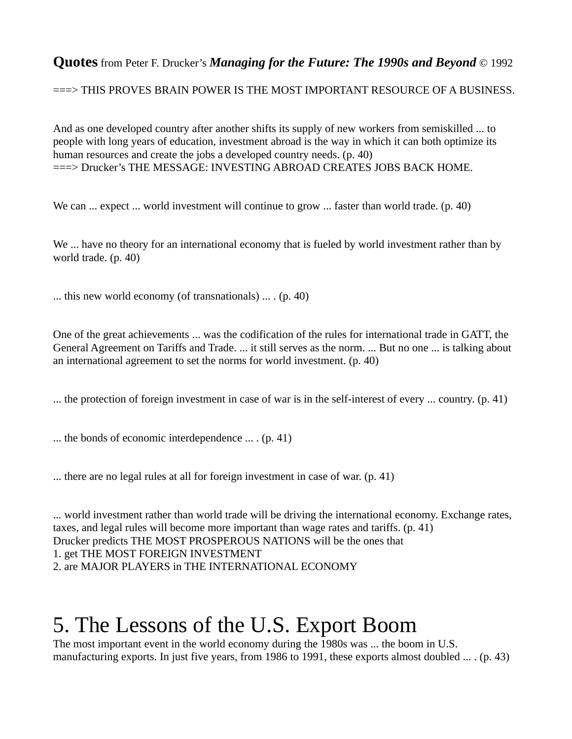===> THIS PROVES BRAIN POWER IS THE MOST IMPORTANT RESOURCE OF A BUSINESS.

And as one developed country after another shifts its supply of new workers from semiskilled ... to people with long years of education, investment abroad is the way in which it can both optimize its human resources and create the jobs a developed country needs. (p. 40) ===> Drucker's THE MESSAGE: INVESTING ABROAD CREATES JOBS BACK HOME.

We can ... expect ... world investment will continue to grow ... faster than world trade. (p. 40)

We ... have no theory for an international economy that is fueled by world investment rather than by world trade. (p. 40)

... this new world economy (of transnationals) ... . (p. 40)

One of the great achievements ... was the codification of the rules for international trade in GATT, the General Agreement on Tariffs and Trade. ... it still serves as the norm. ... But no one ... is talking about an international agreement to set the norms for world investment. (p. 40)

... the protection of foreign investment in case of war is in the self-interest of every ... country. (p. 41)

... the bonds of economic interdependence ... . (p. 41)

... there are no legal rules at all for foreign investment in case of war. (p. 41)

... world investment rather than world trade will be driving the international economy. Exchange rates, taxes, and legal rules will become more important than wage rates and tariffs. (p. 41) Drucker predicts THE MOST PROSPEROUS NATIONS will be the ones that 1. get THE MOST FOREIGN INVESTMENT 2. are MAJOR PLAYERS in THE INTERNATIONAL ECONOMY

### 5. The Lessons of the U.S. Export Boom

The most important event in the world economy during the 1980s was ... the boom in U.S. manufacturing exports. In just five years, from 1986 to 1991, these exports almost doubled ... . (p. 43)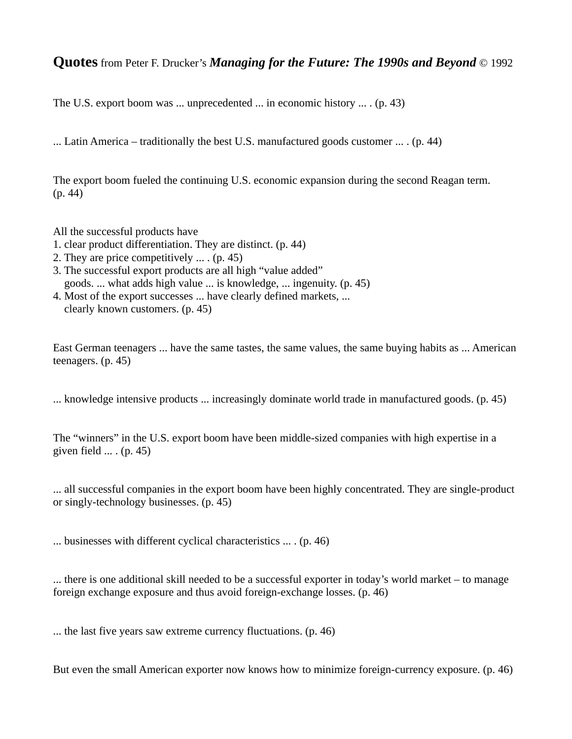The U.S. export boom was ... unprecedented ... in economic history ... . (p. 43)

... Latin America – traditionally the best U.S. manufactured goods customer  $\dots$  (p. 44)

The export boom fueled the continuing U.S. economic expansion during the second Reagan term. (p. 44)

All the successful products have

- 1. clear product differentiation. They are distinct. (p. 44)
- 2. They are price competitively ... . (p. 45)
- 3. The successful export products are all high "value added" goods. ... what adds high value ... is knowledge, ... ingenuity. (p. 45)
- 4. Most of the export successes ... have clearly defined markets, ... clearly known customers. (p. 45)

East German teenagers ... have the same tastes, the same values, the same buying habits as ... American teenagers. (p. 45)

... knowledge intensive products ... increasingly dominate world trade in manufactured goods. (p. 45)

The "winners" in the U.S. export boom have been middle-sized companies with high expertise in a given field  $\ldots$  (p. 45)

... all successful companies in the export boom have been highly concentrated. They are single-product or singly-technology businesses. (p. 45)

... businesses with different cyclical characteristics ... . (p. 46)

... there is one additional skill needed to be a successful exporter in today's world market – to manage foreign exchange exposure and thus avoid foreign-exchange losses. (p. 46)

... the last five years saw extreme currency fluctuations. (p. 46)

But even the small American exporter now knows how to minimize foreign-currency exposure. (p. 46)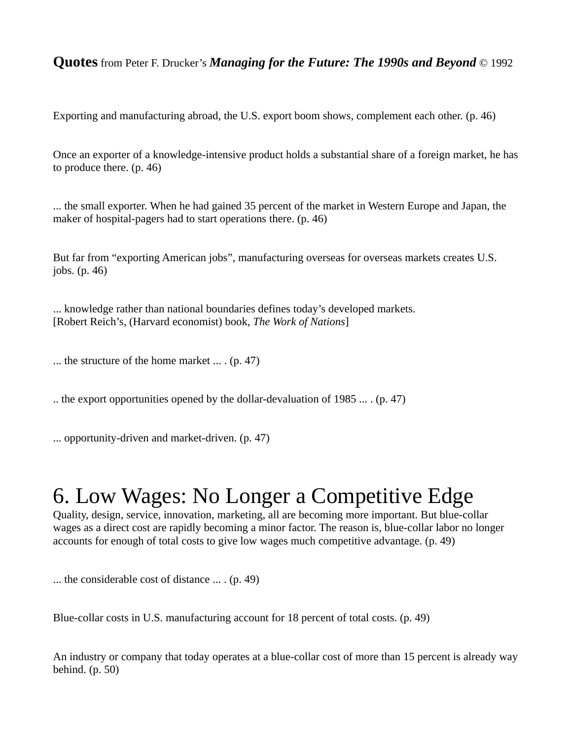Exporting and manufacturing abroad, the U.S. export boom shows, complement each other. (p. 46)

Once an exporter of a knowledge-intensive product holds a substantial share of a foreign market, he has to produce there. (p. 46)

... the small exporter. When he had gained 35 percent of the market in Western Europe and Japan, the maker of hospital-pagers had to start operations there. (p. 46)

But far from "exporting American jobs", manufacturing overseas for overseas markets creates U.S. jobs. (p. 46)

... knowledge rather than national boundaries defines today's developed markets. [Robert Reich's, (Harvard economist) book, *The Work of Nations*]

... the structure of the home market ... . (p. 47)

.. the export opportunities opened by the dollar-devaluation of 1985 ... . (p. 47)

... opportunity-driven and market-driven. (p. 47)

### 6. Low Wages: No Longer a Competitive Edge

Quality, design, service, innovation, marketing, all are becoming more important. But blue-collar wages as a direct cost are rapidly becoming a minor factor. The reason is, blue-collar labor no longer accounts for enough of total costs to give low wages much competitive advantage. (p. 49)

... the considerable cost of distance ... . (p. 49)

Blue-collar costs in U.S. manufacturing account for 18 percent of total costs. (p. 49)

An industry or company that today operates at a blue-collar cost of more than 15 percent is already way behind. (p. 50)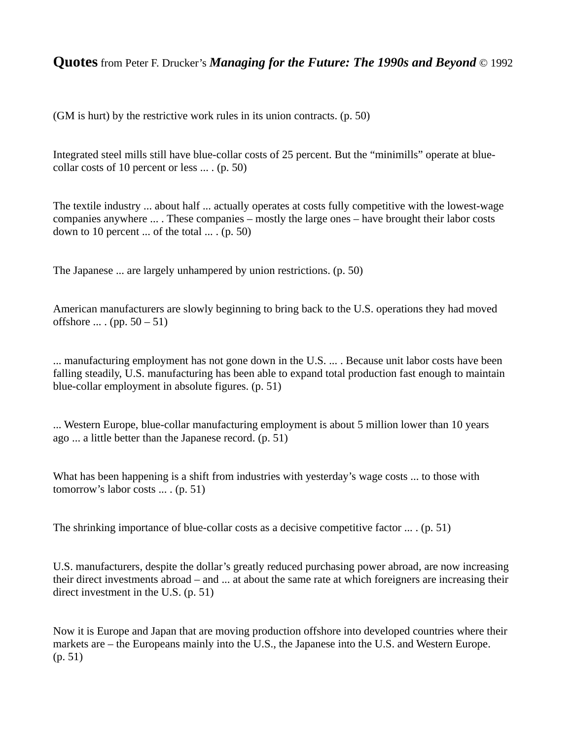(GM is hurt) by the restrictive work rules in its union contracts. (p. 50)

Integrated steel mills still have blue-collar costs of 25 percent. But the "minimills" operate at bluecollar costs of 10 percent or less ... . (p. 50)

The textile industry ... about half ... actually operates at costs fully competitive with the lowest-wage companies anywhere ... . These companies – mostly the large ones – have brought their labor costs down to 10 percent  $\ldots$  of the total  $\ldots$ . (p. 50)

The Japanese ... are largely unhampered by union restrictions. (p. 50)

American manufacturers are slowly beginning to bring back to the U.S. operations they had moved offshore ... . (pp.  $50 - 51$ )

... manufacturing employment has not gone down in the U.S. ... . Because unit labor costs have been falling steadily, U.S. manufacturing has been able to expand total production fast enough to maintain blue-collar employment in absolute figures. (p. 51)

... Western Europe, blue-collar manufacturing employment is about 5 million lower than 10 years ago ... a little better than the Japanese record. (p. 51)

What has been happening is a shift from industries with yesterday's wage costs ... to those with tomorrow's labor costs ... . (p. 51)

The shrinking importance of blue-collar costs as a decisive competitive factor ... . (p. 51)

U.S. manufacturers, despite the dollar's greatly reduced purchasing power abroad, are now increasing their direct investments abroad – and ... at about the same rate at which foreigners are increasing their direct investment in the U.S. (p. 51)

Now it is Europe and Japan that are moving production offshore into developed countries where their markets are – the Europeans mainly into the U.S., the Japanese into the U.S. and Western Europe. (p. 51)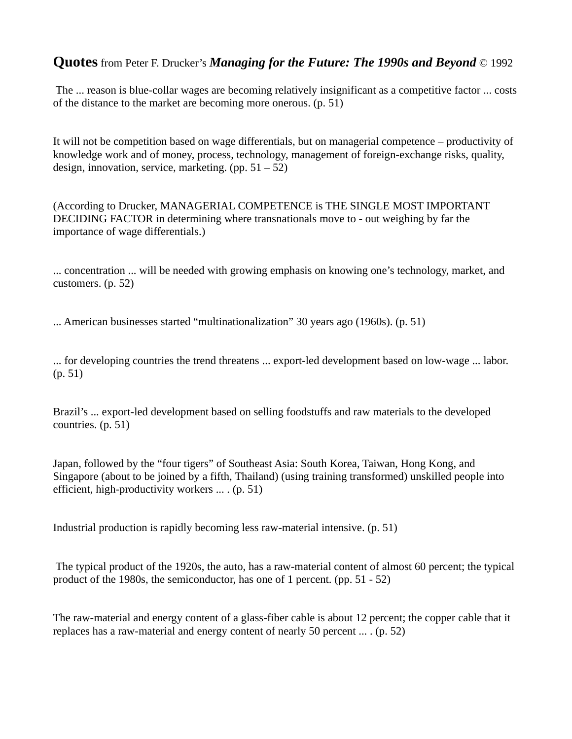The ... reason is blue-collar wages are becoming relatively insignificant as a competitive factor ... costs of the distance to the market are becoming more onerous. (p. 51)

It will not be competition based on wage differentials, but on managerial competence – productivity of knowledge work and of money, process, technology, management of foreign-exchange risks, quality, design, innovation, service, marketing.  $(pp. 51 – 52)$ 

(According to Drucker, MANAGERIAL COMPETENCE is THE SINGLE MOST IMPORTANT DECIDING FACTOR in determining where transnationals move to - out weighing by far the importance of wage differentials.)

... concentration ... will be needed with growing emphasis on knowing one's technology, market, and customers. (p. 52)

... American businesses started "multinationalization" 30 years ago (1960s). (p. 51)

... for developing countries the trend threatens ... export-led development based on low-wage ... labor. (p. 51)

Brazil's ... export-led development based on selling foodstuffs and raw materials to the developed countries. (p. 51)

Japan, followed by the "four tigers" of Southeast Asia: South Korea, Taiwan, Hong Kong, and Singapore (about to be joined by a fifth, Thailand) (using training transformed) unskilled people into efficient, high-productivity workers ... . (p. 51)

Industrial production is rapidly becoming less raw-material intensive. (p. 51)

 The typical product of the 1920s, the auto, has a raw-material content of almost 60 percent; the typical product of the 1980s, the semiconductor, has one of 1 percent. (pp. 51 - 52)

The raw-material and energy content of a glass-fiber cable is about 12 percent; the copper cable that it replaces has a raw-material and energy content of nearly 50 percent ... . (p. 52)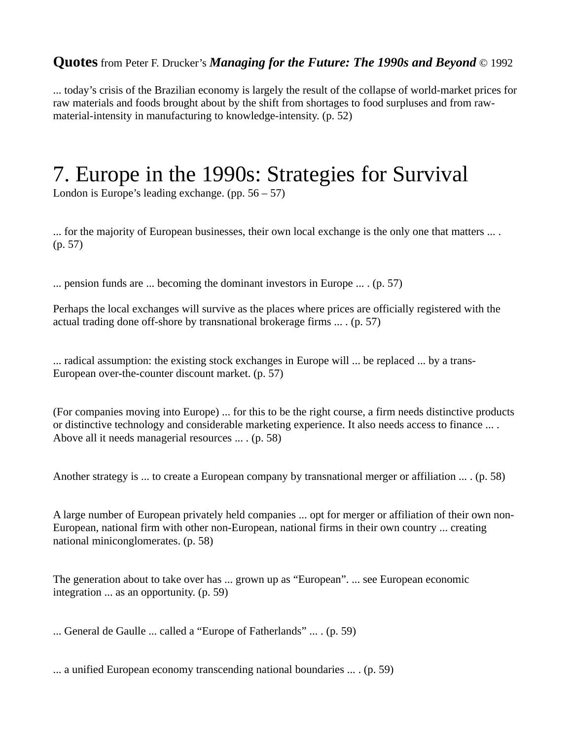... today's crisis of the Brazilian economy is largely the result of the collapse of world-market prices for raw materials and foods brought about by the shift from shortages to food surpluses and from rawmaterial-intensity in manufacturing to knowledge-intensity. (p. 52)

### 7. Europe in the 1990s: Strategies for Survival

London is Europe's leading exchange. (pp.  $56 - 57$ )

... for the majority of European businesses, their own local exchange is the only one that matters ... . (p. 57)

... pension funds are ... becoming the dominant investors in Europe ... . (p. 57)

Perhaps the local exchanges will survive as the places where prices are officially registered with the actual trading done off-shore by transnational brokerage firms ... . (p. 57)

... radical assumption: the existing stock exchanges in Europe will ... be replaced ... by a trans-European over-the-counter discount market. (p. 57)

(For companies moving into Europe) ... for this to be the right course, a firm needs distinctive products or distinctive technology and considerable marketing experience. It also needs access to finance ... . Above all it needs managerial resources ... . (p. 58)

Another strategy is ... to create a European company by transnational merger or affiliation ... . (p. 58)

A large number of European privately held companies ... opt for merger or affiliation of their own non-European, national firm with other non-European, national firms in their own country ... creating national miniconglomerates. (p. 58)

The generation about to take over has ... grown up as "European". ... see European economic integration ... as an opportunity. (p. 59)

... General de Gaulle ... called a "Europe of Fatherlands" ... . (p. 59)

... a unified European economy transcending national boundaries ... . (p. 59)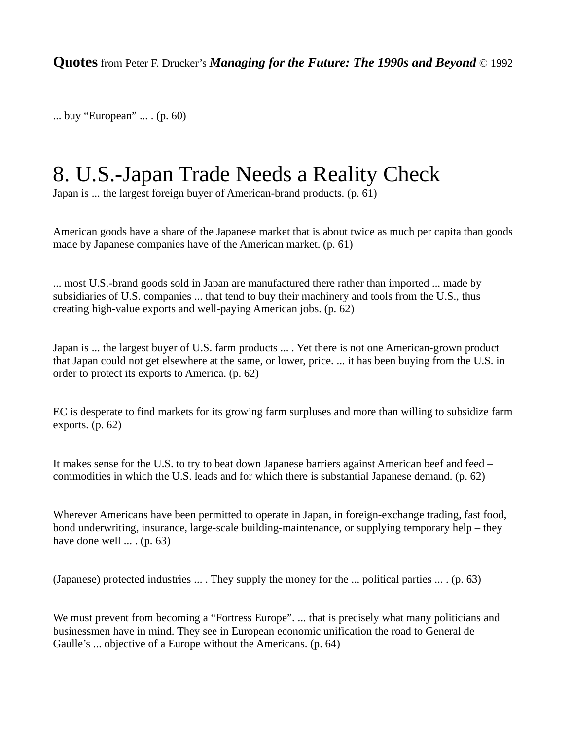... buy "European" ... . (p. 60)

### 8. U.S.-Japan Trade Needs a Reality Check

Japan is ... the largest foreign buyer of American-brand products. (p. 61)

American goods have a share of the Japanese market that is about twice as much per capita than goods made by Japanese companies have of the American market. (p. 61)

... most U.S.-brand goods sold in Japan are manufactured there rather than imported ... made by subsidiaries of U.S. companies ... that tend to buy their machinery and tools from the U.S., thus creating high-value exports and well-paying American jobs. (p. 62)

Japan is ... the largest buyer of U.S. farm products ... . Yet there is not one American-grown product that Japan could not get elsewhere at the same, or lower, price. ... it has been buying from the U.S. in order to protect its exports to America. (p. 62)

EC is desperate to find markets for its growing farm surpluses and more than willing to subsidize farm exports. (p. 62)

It makes sense for the U.S. to try to beat down Japanese barriers against American beef and feed – commodities in which the U.S. leads and for which there is substantial Japanese demand. (p. 62)

Wherever Americans have been permitted to operate in Japan, in foreign-exchange trading, fast food, bond underwriting, insurance, large-scale building-maintenance, or supplying temporary help – they have done well ... . (p. 63)

(Japanese) protected industries ... . They supply the money for the ... political parties ... . (p. 63)

We must prevent from becoming a "Fortress Europe". ... that is precisely what many politicians and businessmen have in mind. They see in European economic unification the road to General de Gaulle's ... objective of a Europe without the Americans. (p. 64)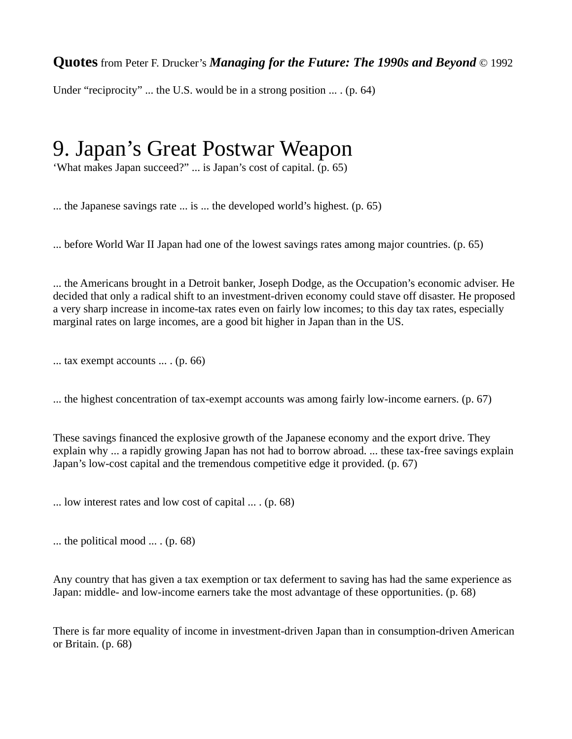Under "reciprocity" ... the U.S. would be in a strong position ... . (p. 64)

### 9. Japan's Great Postwar Weapon

'What makes Japan succeed?" ... is Japan's cost of capital. (p. 65)

... the Japanese savings rate ... is ... the developed world's highest. (p. 65)

... before World War II Japan had one of the lowest savings rates among major countries. (p. 65)

... the Americans brought in a Detroit banker, Joseph Dodge, as the Occupation's economic adviser. He decided that only a radical shift to an investment-driven economy could stave off disaster. He proposed a very sharp increase in income-tax rates even on fairly low incomes; to this day tax rates, especially marginal rates on large incomes, are a good bit higher in Japan than in the US.

... tax exempt accounts ... . (p. 66)

... the highest concentration of tax-exempt accounts was among fairly low-income earners. (p. 67)

These savings financed the explosive growth of the Japanese economy and the export drive. They explain why ... a rapidly growing Japan has not had to borrow abroad. ... these tax-free savings explain Japan's low-cost capital and the tremendous competitive edge it provided. (p. 67)

... low interest rates and low cost of capital ... . (p. 68)

... the political mood  $\ldots$  (p. 68)

Any country that has given a tax exemption or tax deferment to saving has had the same experience as Japan: middle- and low-income earners take the most advantage of these opportunities. (p. 68)

There is far more equality of income in investment-driven Japan than in consumption-driven American or Britain. (p. 68)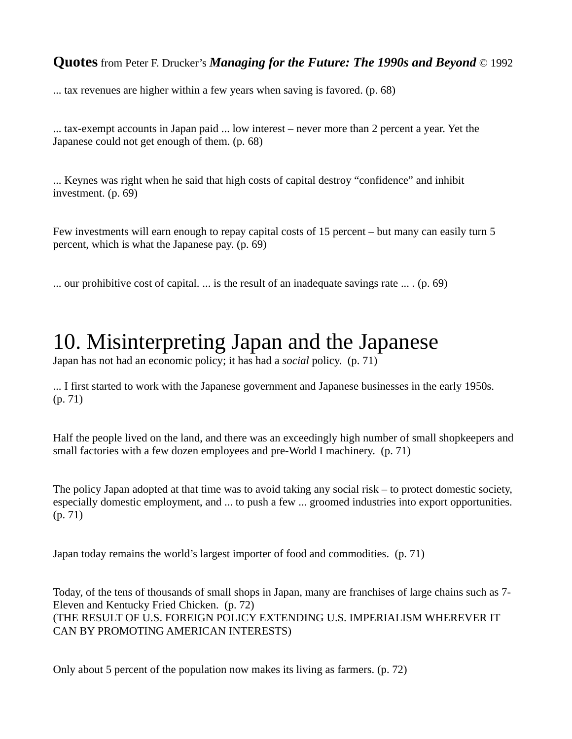... tax revenues are higher within a few years when saving is favored. (p. 68)

... tax-exempt accounts in Japan paid ... low interest – never more than 2 percent a year. Yet the Japanese could not get enough of them. (p. 68)

... Keynes was right when he said that high costs of capital destroy "confidence" and inhibit investment. (p. 69)

Few investments will earn enough to repay capital costs of 15 percent – but many can easily turn 5 percent, which is what the Japanese pay. (p. 69)

... our prohibitive cost of capital. ... is the result of an inadequate savings rate  $\dots$ . (p. 69)

### 10. Misinterpreting Japan and the Japanese

Japan has not had an economic policy; it has had a *social* policy. (p. 71)

... I first started to work with the Japanese government and Japanese businesses in the early 1950s. (p. 71)

Half the people lived on the land, and there was an exceedingly high number of small shopkeepers and small factories with a few dozen employees and pre-World I machinery. (p. 71)

The policy Japan adopted at that time was to avoid taking any social risk – to protect domestic society, especially domestic employment, and ... to push a few ... groomed industries into export opportunities. (p. 71)

Japan today remains the world's largest importer of food and commodities. (p. 71)

Today, of the tens of thousands of small shops in Japan, many are franchises of large chains such as 7- Eleven and Kentucky Fried Chicken. (p. 72) (THE RESULT OF U.S. FOREIGN POLICY EXTENDING U.S. IMPERIALISM WHEREVER IT CAN BY PROMOTING AMERICAN INTERESTS)

Only about 5 percent of the population now makes its living as farmers. (p. 72)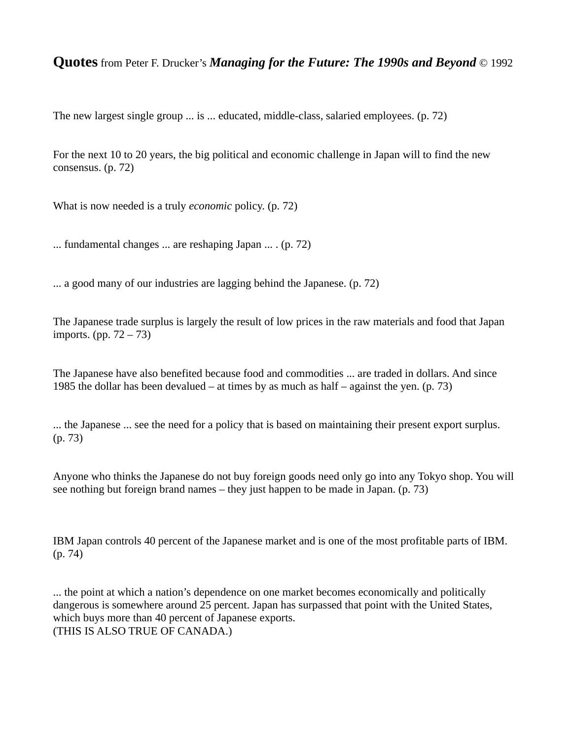The new largest single group ... is ... educated, middle-class, salaried employees. (p. 72)

For the next 10 to 20 years, the big political and economic challenge in Japan will to find the new consensus. (p. 72)

What is now needed is a truly *economic* policy. (p. 72)

... fundamental changes ... are reshaping Japan ... . (p. 72)

... a good many of our industries are lagging behind the Japanese. (p. 72)

The Japanese trade surplus is largely the result of low prices in the raw materials and food that Japan imports. (pp. 72 – 73)

The Japanese have also benefited because food and commodities ... are traded in dollars. And since 1985 the dollar has been devalued – at times by as much as half – against the yen.  $(p. 73)$ 

... the Japanese ... see the need for a policy that is based on maintaining their present export surplus. (p. 73)

Anyone who thinks the Japanese do not buy foreign goods need only go into any Tokyo shop. You will see nothing but foreign brand names – they just happen to be made in Japan. (p. 73)

IBM Japan controls 40 percent of the Japanese market and is one of the most profitable parts of IBM. (p. 74)

... the point at which a nation's dependence on one market becomes economically and politically dangerous is somewhere around 25 percent. Japan has surpassed that point with the United States, which buys more than 40 percent of Japanese exports. (THIS IS ALSO TRUE OF CANADA.)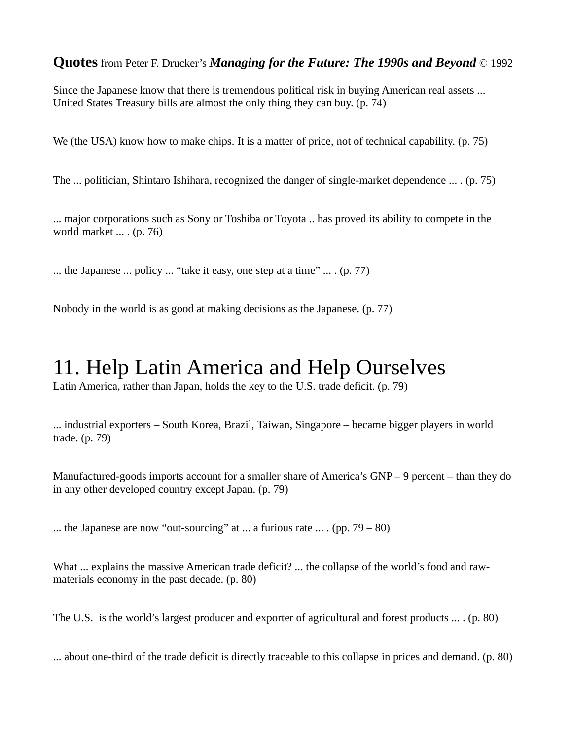Since the Japanese know that there is tremendous political risk in buying American real assets ... United States Treasury bills are almost the only thing they can buy. (p. 74)

We (the USA) know how to make chips. It is a matter of price, not of technical capability. (p. 75)

The ... politician, Shintaro Ishihara, recognized the danger of single-market dependence ... . (p. 75)

... major corporations such as Sony or Toshiba or Toyota .. has proved its ability to compete in the world market ... . (p. 76)

... the Japanese ... policy ... "take it easy, one step at a time" ... . (p. 77)

Nobody in the world is as good at making decisions as the Japanese. (p. 77)

### 11. Help Latin America and Help Ourselves

Latin America, rather than Japan, holds the key to the U.S. trade deficit. (p. 79)

... industrial exporters – South Korea, Brazil, Taiwan, Singapore – became bigger players in world trade. (p. 79)

Manufactured-goods imports account for a smaller share of America's GNP – 9 percent – than they do in any other developed country except Japan. (p. 79)

... the Japanese are now "out-sourcing" at ... a furious rate ... . (pp.  $79 - 80$ )

What ... explains the massive American trade deficit? ... the collapse of the world's food and rawmaterials economy in the past decade. (p. 80)

The U.S. is the world's largest producer and exporter of agricultural and forest products ... . (p. 80)

... about one-third of the trade deficit is directly traceable to this collapse in prices and demand. (p. 80)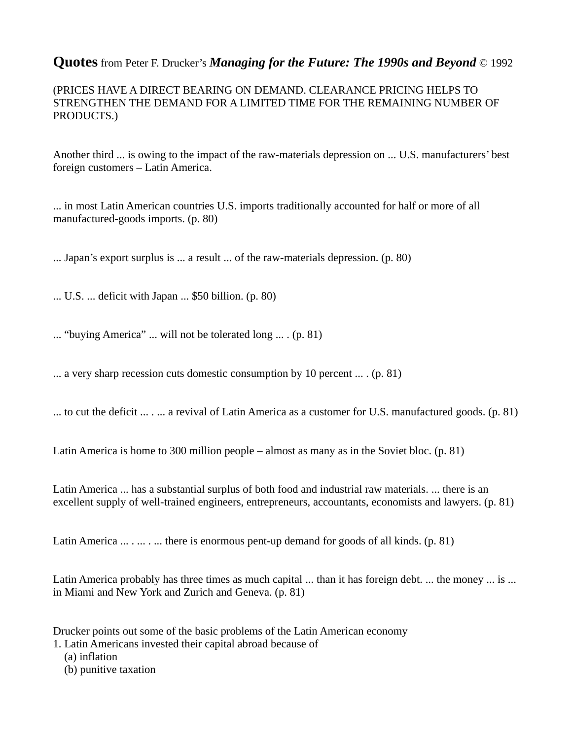(PRICES HAVE A DIRECT BEARING ON DEMAND. CLEARANCE PRICING HELPS TO STRENGTHEN THE DEMAND FOR A LIMITED TIME FOR THE REMAINING NUMBER OF PRODUCTS.)

Another third ... is owing to the impact of the raw-materials depression on ... U.S. manufacturers' best foreign customers – Latin America.

... in most Latin American countries U.S. imports traditionally accounted for half or more of all manufactured-goods imports. (p. 80)

... Japan's export surplus is ... a result ... of the raw-materials depression. (p. 80)

... U.S. ... deficit with Japan ... \$50 billion. (p. 80)

... "buying America" ... will not be tolerated long ... . (p. 81)

... a very sharp recession cuts domestic consumption by 10 percent ... . (p. 81)

... to cut the deficit  $\dots \dots$  a revival of Latin America as a customer for U.S. manufactured goods. (p. 81)

Latin America is home to 300 million people – almost as many as in the Soviet bloc. (p. 81)

Latin America ... has a substantial surplus of both food and industrial raw materials. ... there is an excellent supply of well-trained engineers, entrepreneurs, accountants, economists and lawyers. (p. 81)

Latin America  $\dots \dots \dots$  there is enormous pent-up demand for goods of all kinds. (p. 81)

Latin America probably has three times as much capital ... than it has foreign debt. ... the money ... is ... in Miami and New York and Zurich and Geneva. (p. 81)

Drucker points out some of the basic problems of the Latin American economy

1. Latin Americans invested their capital abroad because of

(a) inflation

(b) punitive taxation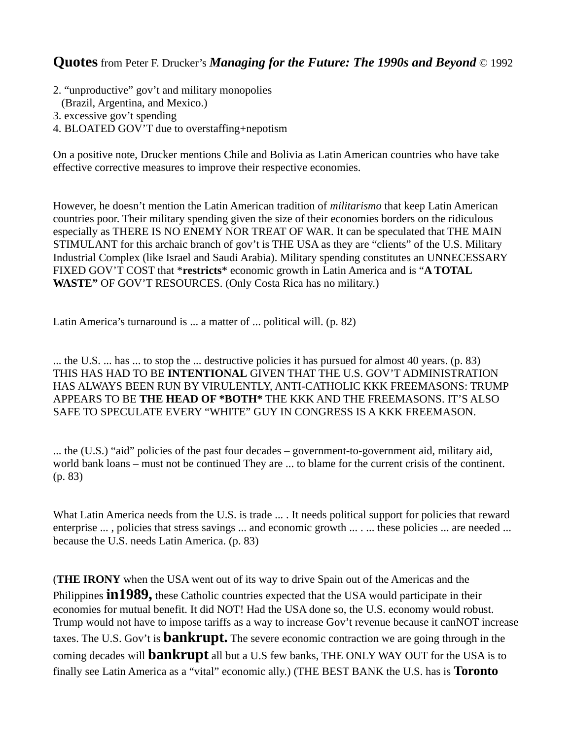- 2. "unproductive" gov't and military monopolies
- (Brazil, Argentina, and Mexico.)
- 3. excessive gov't spending
- 4. BLOATED GOV'T due to overstaffing+nepotism

On a positive note, Drucker mentions Chile and Bolivia as Latin American countries who have take effective corrective measures to improve their respective economies.

However, he doesn't mention the Latin American tradition of *militarismo* that keep Latin American countries poor. Their military spending given the size of their economies borders on the ridiculous especially as THERE IS NO ENEMY NOR TREAT OF WAR. It can be speculated that THE MAIN STIMULANT for this archaic branch of gov't is THE USA as they are "clients" of the U.S. Military Industrial Complex (like Israel and Saudi Arabia). Military spending constitutes an UNNECESSARY FIXED GOV'T COST that \***restricts**\* economic growth in Latin America and is "**A TOTAL WASTE"** OF GOV'T RESOURCES. (Only Costa Rica has no military.)

Latin America's turnaround is ... a matter of ... political will. (p. 82)

... the U.S. ... has ... to stop the ... destructive policies it has pursued for almost 40 years. (p. 83) THIS HAS HAD TO BE **INTENTIONAL** GIVEN THAT THE U.S. GOV'T ADMINISTRATION HAS ALWAYS BEEN RUN BY VIRULENTLY, ANTI-CATHOLIC KKK FREEMASONS: TRUMP APPEARS TO BE **THE HEAD OF \*BOTH\*** THE KKK AND THE FREEMASONS. IT'S ALSO SAFE TO SPECULATE EVERY "WHITE" GUY IN CONGRESS IS A KKK FREEMASON.

... the (U.S.) "aid" policies of the past four decades – government-to-government aid, military aid, world bank loans – must not be continued They are ... to blame for the current crisis of the continent. (p. 83)

What Latin America needs from the U.S. is trade ... . It needs political support for policies that reward enterprise ..., policies that stress savings ... and economic growth ... .... these policies ... are needed ... because the U.S. needs Latin America. (p. 83)

(**THE IRONY** when the USA went out of its way to drive Spain out of the Americas and the Philippines **in1989,** these Catholic countries expected that the USA would participate in their economies for mutual benefit. It did NOT! Had the USA done so, the U.S. economy would robust. Trump would not have to impose tariffs as a way to increase Gov't revenue because it canNOT increase taxes. The U.S. Gov't is **bankrupt.** The severe economic contraction we are going through in the coming decades will **bankrupt** all but a U.S few banks, THE ONLY WAY OUT for the USA is to finally see Latin America as a "vital" economic ally.) (THE BEST BANK the U.S. has is **Toronto**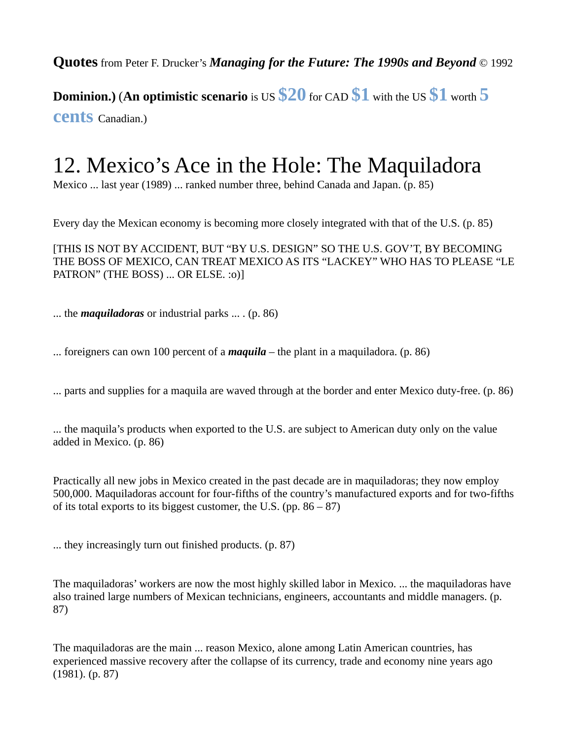**Dominion.)** (**An optimistic scenario** is US **\$20** for CAD **\$1** with the US **\$1** worth **5 cents** Canadian.)

### 12. Mexico's Ace in the Hole: The Maquiladora

Mexico ... last year (1989) ... ranked number three, behind Canada and Japan. (p. 85)

Every day the Mexican economy is becoming more closely integrated with that of the U.S. (p. 85)

[THIS IS NOT BY ACCIDENT, BUT "BY U.S. DESIGN" SO THE U.S. GOV'T, BY BECOMING THE BOSS OF MEXICO, CAN TREAT MEXICO AS ITS "LACKEY" WHO HAS TO PLEASE "LE PATRON" (THE BOSS) ... OR ELSE. : 0)]

... the *maquiladoras* or industrial parks ... . (p. 86)

... foreigners can own 100 percent of a *maquila* – the plant in a maquiladora. (p. 86)

... parts and supplies for a maquila are waved through at the border and enter Mexico duty-free. (p. 86)

... the maquila's products when exported to the U.S. are subject to American duty only on the value added in Mexico. (p. 86)

Practically all new jobs in Mexico created in the past decade are in maquiladoras; they now employ 500,000. Maquiladoras account for four-fifths of the country's manufactured exports and for two-fifths of its total exports to its biggest customer, the U.S. (pp.  $86 - 87$ )

... they increasingly turn out finished products. (p. 87)

The maquiladoras' workers are now the most highly skilled labor in Mexico. ... the maquiladoras have also trained large numbers of Mexican technicians, engineers, accountants and middle managers. (p. 87)

The maquiladoras are the main ... reason Mexico, alone among Latin American countries, has experienced massive recovery after the collapse of its currency, trade and economy nine years ago (1981). (p. 87)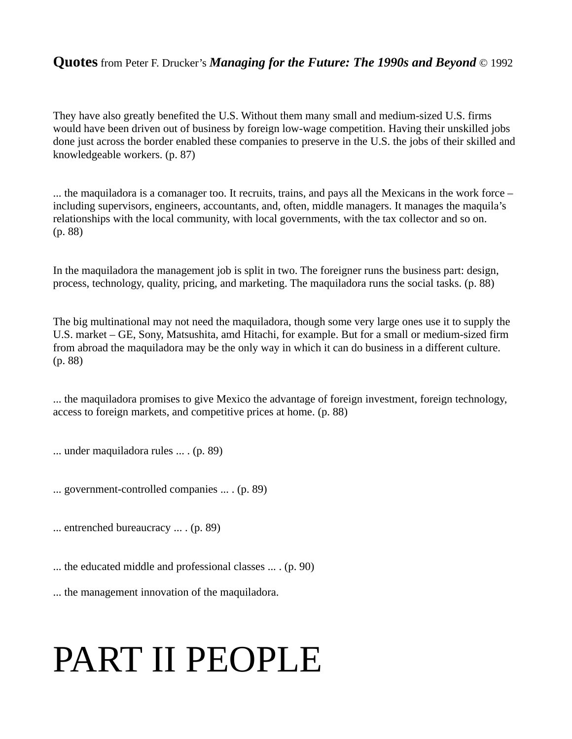They have also greatly benefited the U.S. Without them many small and medium-sized U.S. firms would have been driven out of business by foreign low-wage competition. Having their unskilled jobs done just across the border enabled these companies to preserve in the U.S. the jobs of their skilled and knowledgeable workers. (p. 87)

... the maquiladora is a comanager too. It recruits, trains, and pays all the Mexicans in the work force – including supervisors, engineers, accountants, and, often, middle managers. It manages the maquila's relationships with the local community, with local governments, with the tax collector and so on. (p. 88)

In the maquiladora the management job is split in two. The foreigner runs the business part: design, process, technology, quality, pricing, and marketing. The maquiladora runs the social tasks. (p. 88)

The big multinational may not need the maquiladora, though some very large ones use it to supply the U.S. market – GE, Sony, Matsushita, amd Hitachi, for example. But for a small or medium-sized firm from abroad the maquiladora may be the only way in which it can do business in a different culture. (p. 88)

... the maquiladora promises to give Mexico the advantage of foreign investment, foreign technology, access to foreign markets, and competitive prices at home. (p. 88)

... under maquiladora rules ... . (p. 89)

... government-controlled companies ... . (p. 89)

... entrenched bureaucracy ... . (p. 89)

... the educated middle and professional classes ... . (p. 90)

... the management innovation of the maquiladora.

# PART II PEOPLE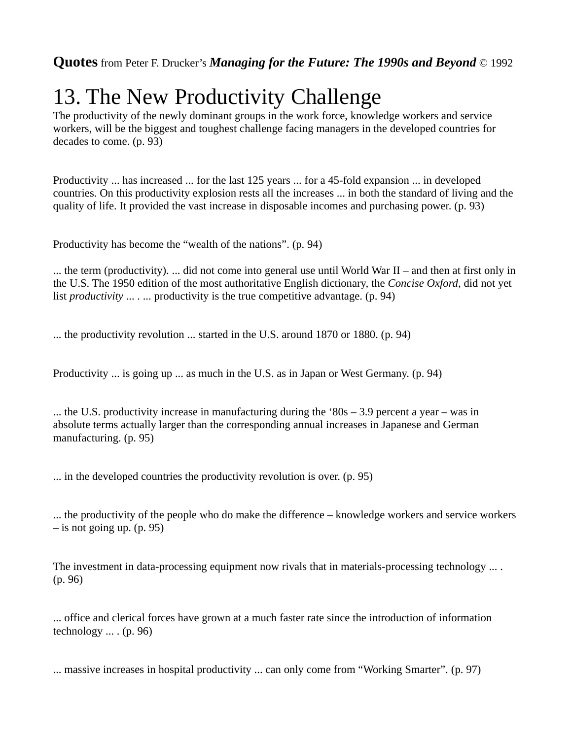## 13. The New Productivity Challenge

The productivity of the newly dominant groups in the work force, knowledge workers and service workers, will be the biggest and toughest challenge facing managers in the developed countries for decades to come. (p. 93)

Productivity ... has increased ... for the last 125 years ... for a 45-fold expansion ... in developed countries. On this productivity explosion rests all the increases ... in both the standard of living and the quality of life. It provided the vast increase in disposable incomes and purchasing power. (p. 93)

Productivity has become the "wealth of the nations". (p. 94)

... the term (productivity). ... did not come into general use until World War II – and then at first only in the U.S. The 1950 edition of the most authoritative English dictionary, the *Concise Oxford*, did not yet list *productivity* ... . ... productivity is the true competitive advantage. (p. 94)

... the productivity revolution ... started in the U.S. around 1870 or 1880. (p. 94)

Productivity ... is going up ... as much in the U.S. as in Japan or West Germany. (p. 94)

... the U.S. productivity increase in manufacturing during the '80s – 3.9 percent a year – was in absolute terms actually larger than the corresponding annual increases in Japanese and German manufacturing. (p. 95)

... in the developed countries the productivity revolution is over. (p. 95)

... the productivity of the people who do make the difference – knowledge workers and service workers – is not going up. (p. 95)

The investment in data-processing equipment now rivals that in materials-processing technology  $\dots$ . (p. 96)

... office and clerical forces have grown at a much faster rate since the introduction of information technology  $\dots$  (p. 96)

... massive increases in hospital productivity ... can only come from "Working Smarter". (p. 97)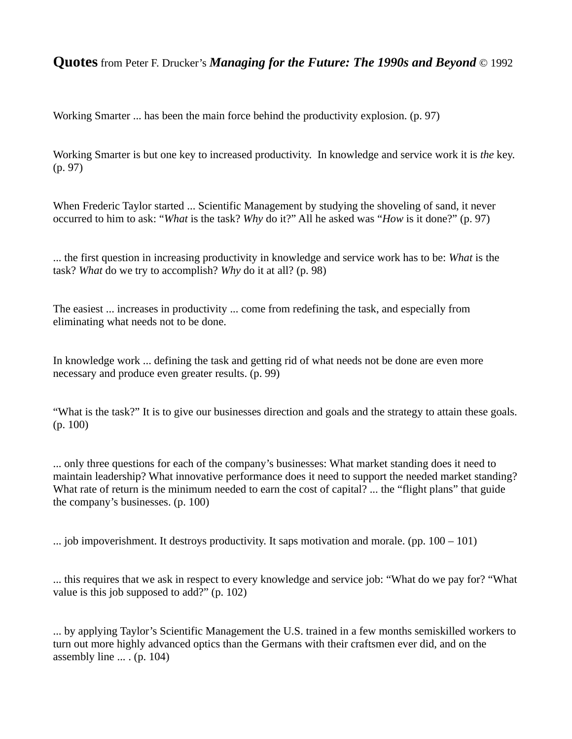Working Smarter ... has been the main force behind the productivity explosion. (p. 97)

Working Smarter is but one key to increased productivity. In knowledge and service work it is *the* key. (p. 97)

When Frederic Taylor started ... Scientific Management by studying the shoveling of sand, it never occurred to him to ask: "*What* is the task? *Why* do it?" All he asked was "*How* is it done?" (p. 97)

... the first question in increasing productivity in knowledge and service work has to be: *What* is the task? *What* do we try to accomplish? *Why* do it at all? (p. 98)

The easiest ... increases in productivity ... come from redefining the task, and especially from eliminating what needs not to be done.

In knowledge work ... defining the task and getting rid of what needs not be done are even more necessary and produce even greater results. (p. 99)

"What is the task?" It is to give our businesses direction and goals and the strategy to attain these goals. (p. 100)

... only three questions for each of the company's businesses: What market standing does it need to maintain leadership? What innovative performance does it need to support the needed market standing? What rate of return is the minimum needed to earn the cost of capital? ... the "flight plans" that guide the company's businesses. (p. 100)

... job impoverishment. It destroys productivity. It saps motivation and morale. (pp.  $100 - 101$ )

... this requires that we ask in respect to every knowledge and service job: "What do we pay for? "What value is this job supposed to add?" (p. 102)

... by applying Taylor's Scientific Management the U.S. trained in a few months semiskilled workers to turn out more highly advanced optics than the Germans with their craftsmen ever did, and on the assembly line ... . (p. 104)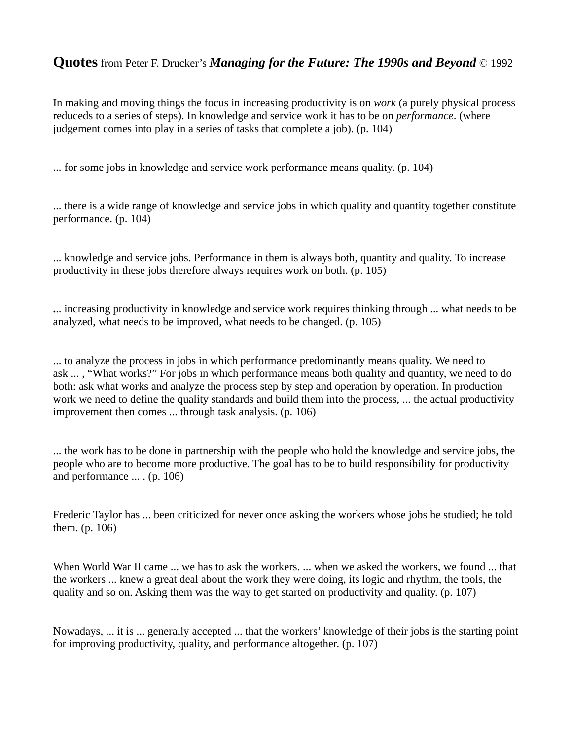In making and moving things the focus in increasing productivity is on *work* (a purely physical process reduceds to a series of steps). In knowledge and service work it has to be on *performance*. (where judgement comes into play in a series of tasks that complete a job). (p. 104)

... for some jobs in knowledge and service work performance means quality. (p. 104)

... there is a wide range of knowledge and service jobs in which quality and quantity together constitute performance. (p. 104)

... knowledge and service jobs. Performance in them is always both, quantity and quality. To increase productivity in these jobs therefore always requires work on both. (p. 105)

**.**.. increasing productivity in knowledge and service work requires thinking through ... what needs to be analyzed, what needs to be improved, what needs to be changed. (p. 105)

... to analyze the process in jobs in which performance predominantly means quality. We need to ask ... , "What works?" For jobs in which performance means both quality and quantity, we need to do both: ask what works and analyze the process step by step and operation by operation. In production work we need to define the quality standards and build them into the process, ... the actual productivity improvement then comes ... through task analysis. (p. 106)

... the work has to be done in partnership with the people who hold the knowledge and service jobs, the people who are to become more productive. The goal has to be to build responsibility for productivity and performance ... . (p. 106)

Frederic Taylor has ... been criticized for never once asking the workers whose jobs he studied; he told them. (p. 106)

When World War II came ... we has to ask the workers. ... when we asked the workers, we found ... that the workers ... knew a great deal about the work they were doing, its logic and rhythm, the tools, the quality and so on. Asking them was the way to get started on productivity and quality. (p. 107)

Nowadays, ... it is ... generally accepted ... that the workers' knowledge of their jobs is the starting point for improving productivity, quality, and performance altogether. (p. 107)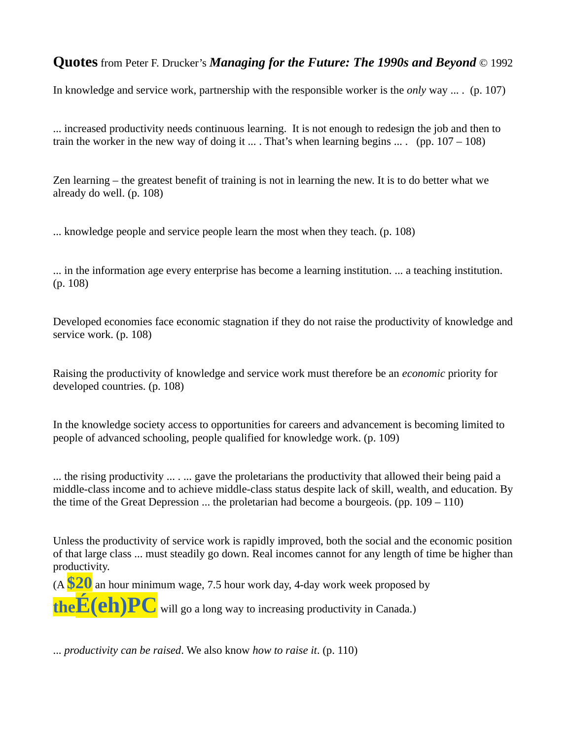In knowledge and service work, partnership with the responsible worker is the *only* way ... . (p. 107)

... increased productivity needs continuous learning. It is not enough to redesign the job and then to train the worker in the new way of doing it  $\dots$ . That's when learning begins  $\dots$ . (pp.  $107 - 108$ )

Zen learning – the greatest benefit of training is not in learning the new. It is to do better what we already do well. (p. 108)

... knowledge people and service people learn the most when they teach. (p. 108)

... in the information age every enterprise has become a learning institution. ... a teaching institution. (p. 108)

Developed economies face economic stagnation if they do not raise the productivity of knowledge and service work. (p. 108)

Raising the productivity of knowledge and service work must therefore be an *economic* priority for developed countries. (p. 108)

In the knowledge society access to opportunities for careers and advancement is becoming limited to people of advanced schooling, people qualified for knowledge work. (p. 109)

... the rising productivity ... . ... gave the proletarians the productivity that allowed their being paid a middle-class income and to achieve middle-class status despite lack of skill, wealth, and education. By the time of the Great Depression ... the proletarian had become a bourgeois. (pp.  $109 - 110$ )

Unless the productivity of service work is rapidly improved, both the social and the economic position of that large class ... must steadily go down. Real incomes cannot for any length of time be higher than productivity.

(A **\$20** an hour minimum wage, 7.5 hour work day, 4-day work week proposed by

**theÉ(eh)PC** will go a long way to increasing productivity in Canada.)

... *productivity can be raised*. We also know *how to raise it*. (p. 110)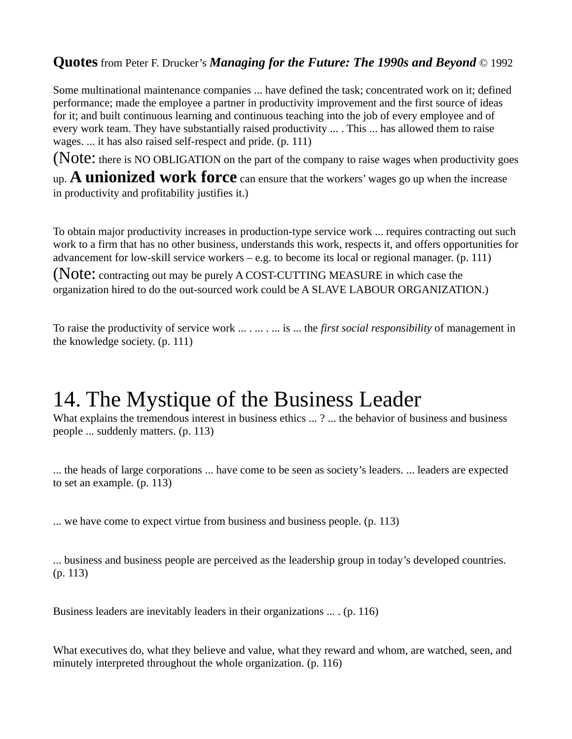Some multinational maintenance companies ... have defined the task; concentrated work on it; defined performance; made the employee a partner in productivity improvement and the first source of ideas for it; and built continuous learning and continuous teaching into the job of every employee and of every work team. They have substantially raised productivity ... . This ... has allowed them to raise wages. ... it has also raised self-respect and pride. (p. 111)

(Note: there is NO OBLIGATION on the part of the company to raise wages when productivity goes

up. **A unionized work force** can ensure that the workers' wages go up when the increase in productivity and profitability justifies it.)

To obtain major productivity increases in production-type service work ... requires contracting out such work to a firm that has no other business, understands this work, respects it, and offers opportunities for advancement for low-skill service workers  $-e.g.$  to become its local or regional manager. (p. 111)

(Note: contracting out may be purely A COST-CUTTING MEASURE in which case the organization hired to do the out-sourced work could be A SLAVE LABOUR ORGANIZATION.)

To raise the productivity of service work ... . ... . ... is ... the *first social responsibility* of management in the knowledge society. (p. 111)

### 14. The Mystique of the Business Leader

What explains the tremendous interest in business ethics ... ? ... the behavior of business and business people ... suddenly matters. (p. 113)

... the heads of large corporations ... have come to be seen as society's leaders. ... leaders are expected to set an example. (p. 113)

... we have come to expect virtue from business and business people. (p. 113)

... business and business people are perceived as the leadership group in today's developed countries. (p. 113)

Business leaders are inevitably leaders in their organizations ... . (p. 116)

What executives do, what they believe and value, what they reward and whom, are watched, seen, and minutely interpreted throughout the whole organization. (p. 116)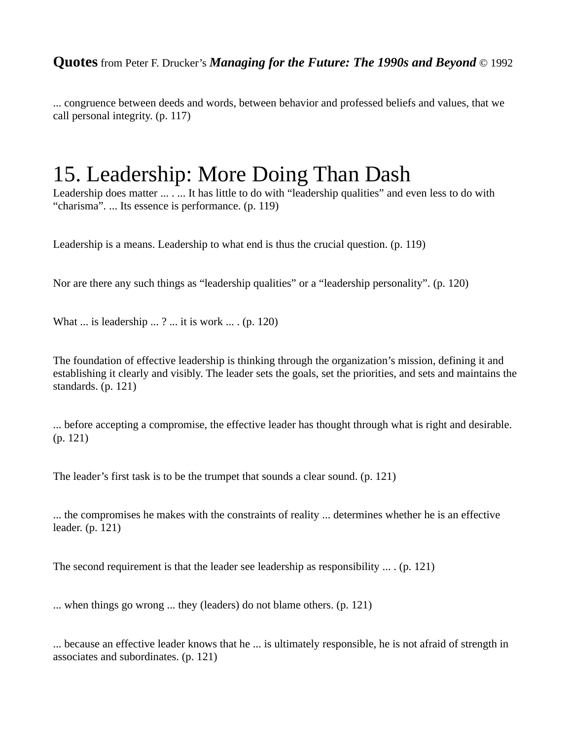... congruence between deeds and words, between behavior and professed beliefs and values, that we call personal integrity. (p. 117)

### 15. Leadership: More Doing Than Dash

Leadership does matter ... . ... It has little to do with "leadership qualities" and even less to do with "charisma". ... Its essence is performance. (p. 119)

Leadership is a means. Leadership to what end is thus the crucial question. (p. 119)

Nor are there any such things as "leadership qualities" or a "leadership personality". (p. 120)

What ... is leadership ... ? ... it is work ... . (p. 120)

The foundation of effective leadership is thinking through the organization's mission, defining it and establishing it clearly and visibly. The leader sets the goals, set the priorities, and sets and maintains the standards. (p. 121)

... before accepting a compromise, the effective leader has thought through what is right and desirable. (p. 121)

The leader's first task is to be the trumpet that sounds a clear sound. (p. 121)

... the compromises he makes with the constraints of reality ... determines whether he is an effective leader. (p. 121)

The second requirement is that the leader see leadership as responsibility  $\dots$ . (p. 121)

... when things go wrong ... they (leaders) do not blame others. (p. 121)

... because an effective leader knows that he ... is ultimately responsible, he is not afraid of strength in associates and subordinates. (p. 121)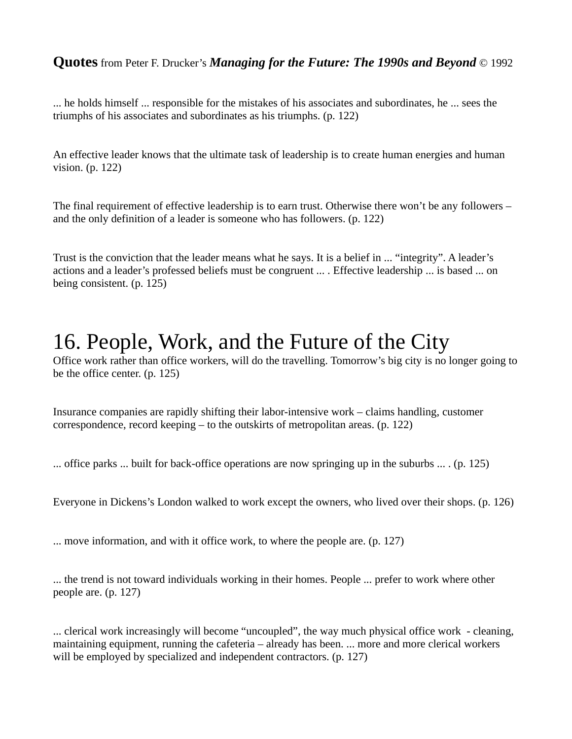... he holds himself ... responsible for the mistakes of his associates and subordinates, he ... sees the triumphs of his associates and subordinates as his triumphs. (p. 122)

An effective leader knows that the ultimate task of leadership is to create human energies and human vision. (p. 122)

The final requirement of effective leadership is to earn trust. Otherwise there won't be any followers – and the only definition of a leader is someone who has followers. (p. 122)

Trust is the conviction that the leader means what he says. It is a belief in ... "integrity". A leader's actions and a leader's professed beliefs must be congruent ... . Effective leadership ... is based ... on being consistent. (p. 125)

### 16. People, Work, and the Future of the City

Office work rather than office workers, will do the travelling. Tomorrow's big city is no longer going to be the office center. (p. 125)

Insurance companies are rapidly shifting their labor-intensive work – claims handling, customer correspondence, record keeping – to the outskirts of metropolitan areas. (p. 122)

... office parks ... built for back-office operations are now springing up in the suburbs ... . (p. 125)

Everyone in Dickens's London walked to work except the owners, who lived over their shops. (p. 126)

... move information, and with it office work, to where the people are. (p. 127)

... the trend is not toward individuals working in their homes. People ... prefer to work where other people are. (p. 127)

... clerical work increasingly will become "uncoupled", the way much physical office work - cleaning, maintaining equipment, running the cafeteria – already has been. ... more and more clerical workers will be employed by specialized and independent contractors. (p. 127)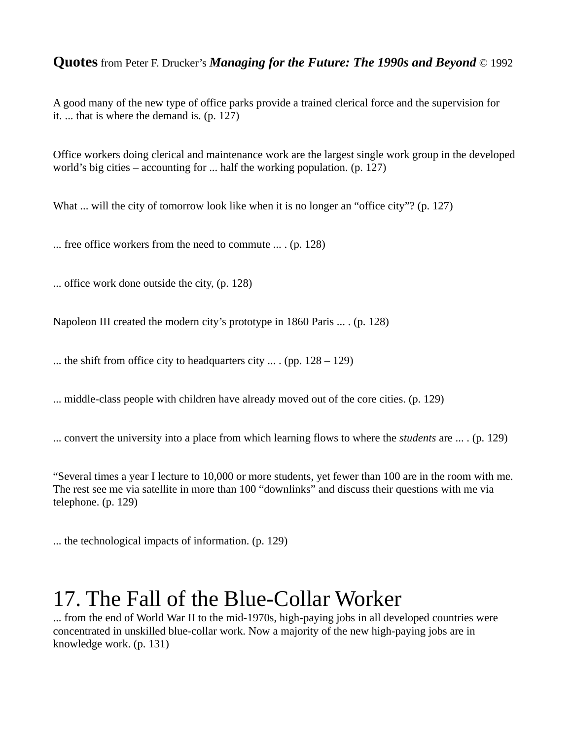A good many of the new type of office parks provide a trained clerical force and the supervision for it. ... that is where the demand is. (p. 127)

Office workers doing clerical and maintenance work are the largest single work group in the developed world's big cities – accounting for ... half the working population. (p. 127)

What ... will the city of tomorrow look like when it is no longer an "office city"? (p. 127)

... free office workers from the need to commute ... . (p. 128)

... office work done outside the city, (p. 128)

Napoleon III created the modern city's prototype in 1860 Paris ... . (p. 128)

... the shift from office city to headquarters city  $\ldots$  (pp.  $128 - 129$ )

... middle-class people with children have already moved out of the core cities. (p. 129)

... convert the university into a place from which learning flows to where the *students* are ... . (p. 129)

"Several times a year I lecture to 10,000 or more students, yet fewer than 100 are in the room with me. The rest see me via satellite in more than 100 "downlinks" and discuss their questions with me via telephone. (p. 129)

... the technological impacts of information. (p. 129)

### 17. The Fall of the Blue-Collar Worker

... from the end of World War II to the mid-1970s, high-paying jobs in all developed countries were concentrated in unskilled blue-collar work. Now a majority of the new high-paying jobs are in knowledge work. (p. 131)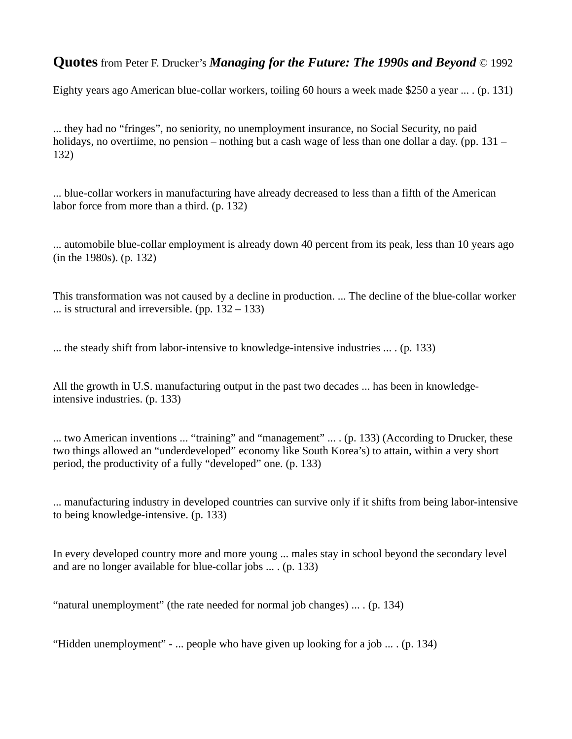Eighty years ago American blue-collar workers, toiling 60 hours a week made \$250 a year ... . (p. 131)

... they had no "fringes", no seniority, no unemployment insurance, no Social Security, no paid holidays, no overtiime, no pension – nothing but a cash wage of less than one dollar a day. (pp. 131 – 132)

... blue-collar workers in manufacturing have already decreased to less than a fifth of the American labor force from more than a third. (p. 132)

... automobile blue-collar employment is already down 40 percent from its peak, less than 10 years ago (in the 1980s). (p. 132)

This transformation was not caused by a decline in production. ... The decline of the blue-collar worker  $\ldots$  is structural and irreversible. (pp.  $132 - 133$ )

... the steady shift from labor-intensive to knowledge-intensive industries ... . (p. 133)

All the growth in U.S. manufacturing output in the past two decades ... has been in knowledgeintensive industries. (p. 133)

... two American inventions ... "training" and "management" ... . (p. 133) (According to Drucker, these two things allowed an "underdeveloped" economy like South Korea's) to attain, within a very short period, the productivity of a fully "developed" one. (p. 133)

... manufacturing industry in developed countries can survive only if it shifts from being labor-intensive to being knowledge-intensive. (p. 133)

In every developed country more and more young ... males stay in school beyond the secondary level and are no longer available for blue-collar jobs ... . (p. 133)

"natural unemployment" (the rate needed for normal job changes) ... . (p. 134)

"Hidden unemployment" - ... people who have given up looking for a job ... . (p. 134)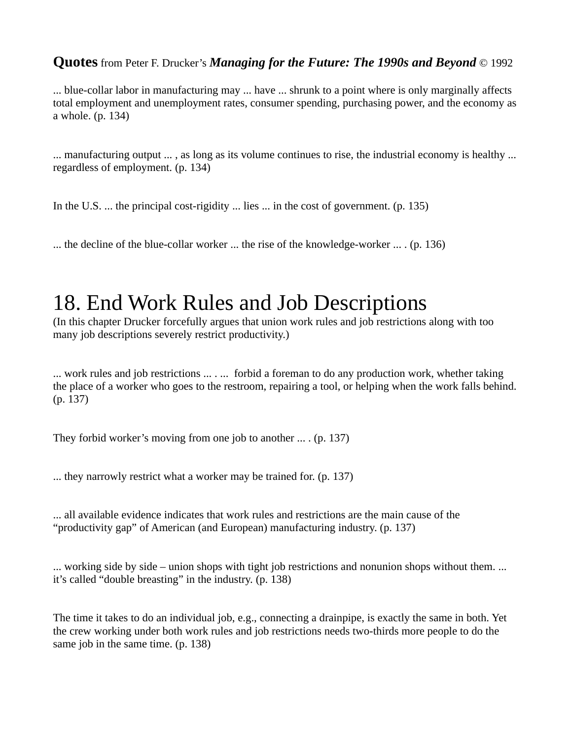... blue-collar labor in manufacturing may ... have ... shrunk to a point where is only marginally affects total employment and unemployment rates, consumer spending, purchasing power, and the economy as a whole. (p. 134)

... manufacturing output ... , as long as its volume continues to rise, the industrial economy is healthy ... regardless of employment. (p. 134)

In the U.S. ... the principal cost-rigidity ... lies ... in the cost of government. (p. 135)

... the decline of the blue-collar worker ... the rise of the knowledge-worker ... . (p. 136)

### 18. End Work Rules and Job Descriptions

(In this chapter Drucker forcefully argues that union work rules and job restrictions along with too many job descriptions severely restrict productivity.)

... work rules and job restrictions ... . ... forbid a foreman to do any production work, whether taking the place of a worker who goes to the restroom, repairing a tool, or helping when the work falls behind. (p. 137)

They forbid worker's moving from one job to another ... . (p. 137)

... they narrowly restrict what a worker may be trained for. (p. 137)

... all available evidence indicates that work rules and restrictions are the main cause of the "productivity gap" of American (and European) manufacturing industry. (p. 137)

... working side by side – union shops with tight job restrictions and nonunion shops without them. ... it's called "double breasting" in the industry. (p. 138)

The time it takes to do an individual job, e.g., connecting a drainpipe, is exactly the same in both. Yet the crew working under both work rules and job restrictions needs two-thirds more people to do the same job in the same time. (p. 138)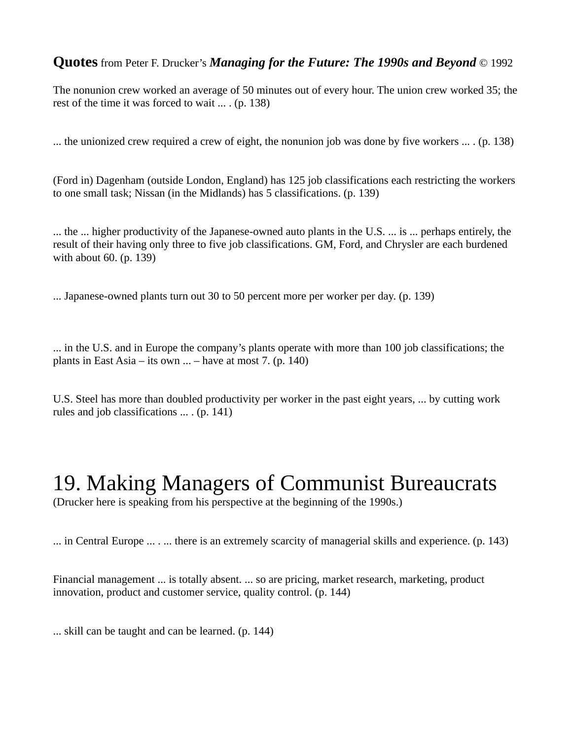The nonunion crew worked an average of 50 minutes out of every hour. The union crew worked 35; the rest of the time it was forced to wait ... . (p. 138)

... the unionized crew required a crew of eight, the nonunion job was done by five workers  $\dots$  (p. 138)

(Ford in) Dagenham (outside London, England) has 125 job classifications each restricting the workers to one small task; Nissan (in the Midlands) has 5 classifications. (p. 139)

... the ... higher productivity of the Japanese-owned auto plants in the U.S. ... is ... perhaps entirely, the result of their having only three to five job classifications. GM, Ford, and Chrysler are each burdened with about 60. (p. 139)

... Japanese-owned plants turn out 30 to 50 percent more per worker per day. (p. 139)

... in the U.S. and in Europe the company's plants operate with more than 100 job classifications; the plants in East Asia – its own  $\ldots$  – have at most 7. (p. 140)

U.S. Steel has more than doubled productivity per worker in the past eight years, ... by cutting work rules and job classifications ... . (p. 141)

### 19. Making Managers of Communist Bureaucrats

(Drucker here is speaking from his perspective at the beginning of the 1990s.)

... in Central Europe ... . ... there is an extremely scarcity of managerial skills and experience. (p. 143)

Financial management ... is totally absent. ... so are pricing, market research, marketing, product innovation, product and customer service, quality control. (p. 144)

... skill can be taught and can be learned. (p. 144)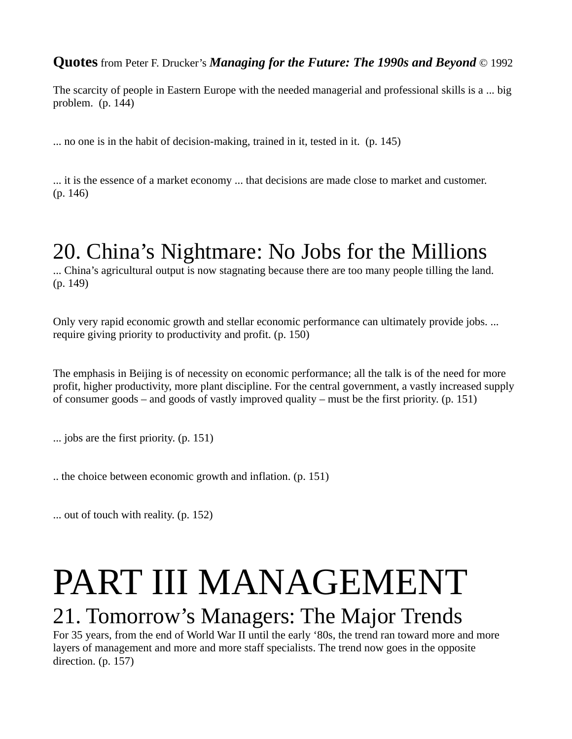The scarcity of people in Eastern Europe with the needed managerial and professional skills is a ... big problem. (p. 144)

... no one is in the habit of decision-making, trained in it, tested in it. (p. 145)

... it is the essence of a market economy ... that decisions are made close to market and customer. (p. 146)

### 20. China's Nightmare: No Jobs for the Millions

... China's agricultural output is now stagnating because there are too many people tilling the land. (p. 149)

Only very rapid economic growth and stellar economic performance can ultimately provide jobs. ... require giving priority to productivity and profit. (p. 150)

The emphasis in Beijing is of necessity on economic performance; all the talk is of the need for more profit, higher productivity, more plant discipline. For the central government, a vastly increased supply of consumer goods – and goods of vastly improved quality – must be the first priority. (p. 151)

... jobs are the first priority. (p. 151)

.. the choice between economic growth and inflation. (p. 151)

... out of touch with reality. (p. 152)

# PART III MANAGEMENT

### 21. Tomorrow's Managers: The Major Trends

For 35 years, from the end of World War II until the early '80s, the trend ran toward more and more layers of management and more and more staff specialists. The trend now goes in the opposite direction. (p. 157)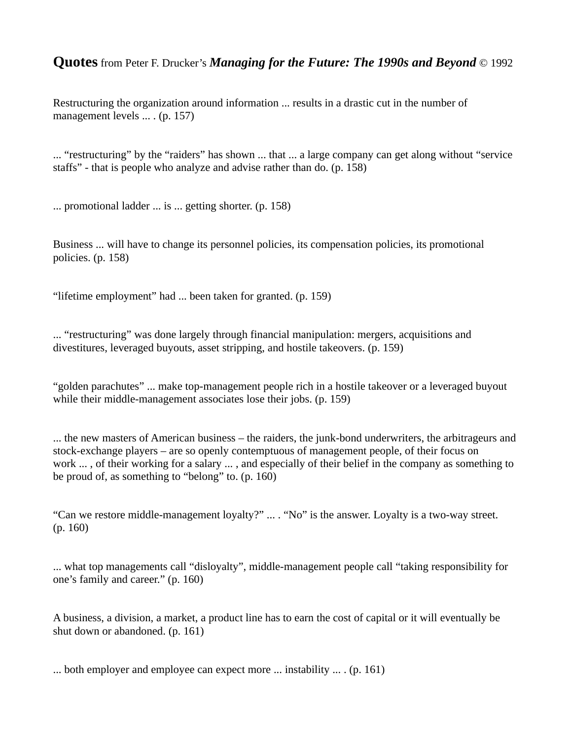Restructuring the organization around information ... results in a drastic cut in the number of management levels ... . (p. 157)

... "restructuring" by the "raiders" has shown ... that ... a large company can get along without "service staffs" - that is people who analyze and advise rather than do. (p. 158)

... promotional ladder ... is ... getting shorter. (p. 158)

Business ... will have to change its personnel policies, its compensation policies, its promotional policies. (p. 158)

"lifetime employment" had ... been taken for granted. (p. 159)

... "restructuring" was done largely through financial manipulation: mergers, acquisitions and divestitures, leveraged buyouts, asset stripping, and hostile takeovers. (p. 159)

"golden parachutes" ... make top-management people rich in a hostile takeover or a leveraged buyout while their middle-management associates lose their jobs. (p. 159)

... the new masters of American business – the raiders, the junk-bond underwriters, the arbitrageurs and stock-exchange players – are so openly contemptuous of management people, of their focus on work ... , of their working for a salary ... , and especially of their belief in the company as something to be proud of, as something to "belong" to. (p. 160)

"Can we restore middle-management loyalty?" ... . "No" is the answer. Loyalty is a two-way street. (p. 160)

... what top managements call "disloyalty", middle-management people call "taking responsibility for one's family and career." (p. 160)

A business, a division, a market, a product line has to earn the cost of capital or it will eventually be shut down or abandoned. (p. 161)

... both employer and employee can expect more ... instability ... . (p. 161)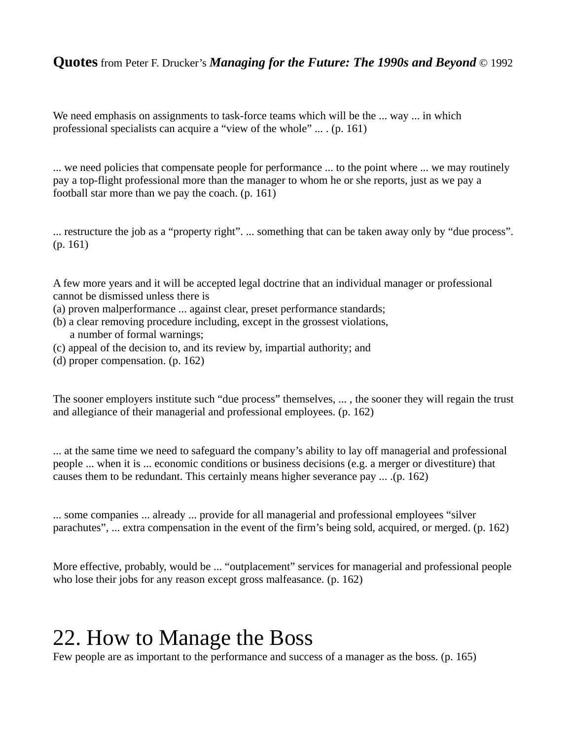We need emphasis on assignments to task-force teams which will be the ... way ... in which professional specialists can acquire a "view of the whole" ... . (p. 161)

... we need policies that compensate people for performance ... to the point where ... we may routinely pay a top-flight professional more than the manager to whom he or she reports, just as we pay a football star more than we pay the coach. (p. 161)

... restructure the job as a "property right". ... something that can be taken away only by "due process". (p. 161)

A few more years and it will be accepted legal doctrine that an individual manager or professional cannot be dismissed unless there is

- (a) proven malperformance ... against clear, preset performance standards;
- (b) a clear removing procedure including, except in the grossest violations, a number of formal warnings;
- (c) appeal of the decision to, and its review by, impartial authority; and
- (d) proper compensation. (p. 162)

The sooner employers institute such "due process" themselves, ... , the sooner they will regain the trust and allegiance of their managerial and professional employees. (p. 162)

... at the same time we need to safeguard the company's ability to lay off managerial and professional people ... when it is ... economic conditions or business decisions (e.g. a merger or divestiture) that causes them to be redundant. This certainly means higher severance pay ... .(p. 162)

... some companies ... already ... provide for all managerial and professional employees "silver parachutes", ... extra compensation in the event of the firm's being sold, acquired, or merged. (p. 162)

More effective, probably, would be ... "outplacement" services for managerial and professional people who lose their jobs for any reason except gross malfeasance. (p. 162)

# 22. How to Manage the Boss

Few people are as important to the performance and success of a manager as the boss. (p. 165)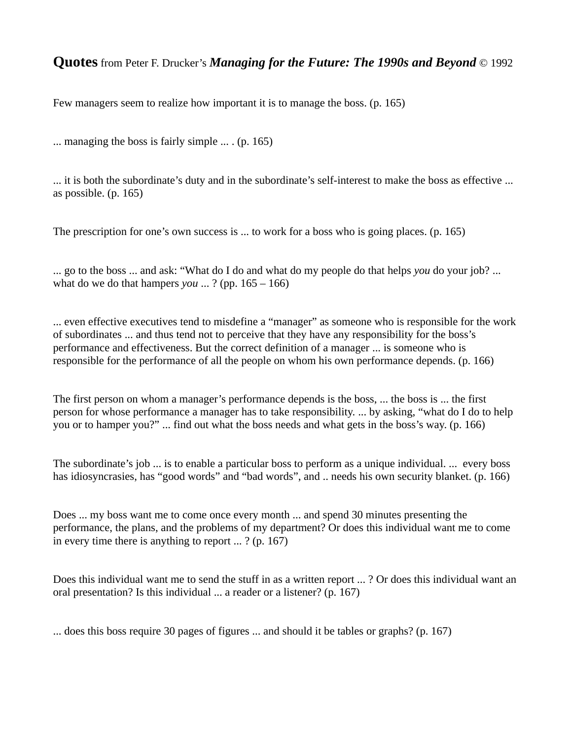Few managers seem to realize how important it is to manage the boss. (p. 165)

... managing the boss is fairly simple ... . (p. 165)

... it is both the subordinate's duty and in the subordinate's self-interest to make the boss as effective ... as possible. (p. 165)

The prescription for one's own success is ... to work for a boss who is going places. (p. 165)

... go to the boss ... and ask: "What do I do and what do my people do that helps *you* do your job? ... what do we do that hampers *you* ... ? (pp. 165 – 166)

... even effective executives tend to misdefine a "manager" as someone who is responsible for the work of subordinates ... and thus tend not to perceive that they have any responsibility for the boss's performance and effectiveness. But the correct definition of a manager ... is someone who is responsible for the performance of all the people on whom his own performance depends. (p. 166)

The first person on whom a manager's performance depends is the boss, ... the boss is ... the first person for whose performance a manager has to take responsibility. ... by asking, "what do I do to help you or to hamper you?" ... find out what the boss needs and what gets in the boss's way. (p. 166)

The subordinate's job ... is to enable a particular boss to perform as a unique individual. ... every boss has idiosyncrasies, has "good words" and "bad words", and .. needs his own security blanket. (p. 166)

Does ... my boss want me to come once every month ... and spend 30 minutes presenting the performance, the plans, and the problems of my department? Or does this individual want me to come in every time there is anything to report ... ? (p. 167)

Does this individual want me to send the stuff in as a written report ... ? Or does this individual want an oral presentation? Is this individual ... a reader or a listener? (p. 167)

... does this boss require 30 pages of figures ... and should it be tables or graphs? (p. 167)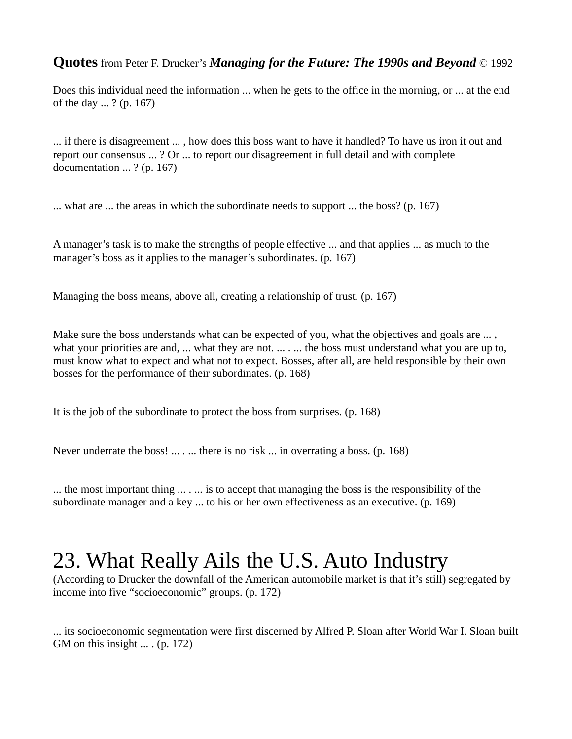Does this individual need the information ... when he gets to the office in the morning, or ... at the end of the day ... ? (p. 167)

... if there is disagreement ... , how does this boss want to have it handled? To have us iron it out and report our consensus ... ? Or ... to report our disagreement in full detail and with complete documentation ... ? (p. 167)

... what are ... the areas in which the subordinate needs to support ... the boss? (p. 167)

A manager's task is to make the strengths of people effective ... and that applies ... as much to the manager's boss as it applies to the manager's subordinates. (p. 167)

Managing the boss means, above all, creating a relationship of trust. (p. 167)

Make sure the boss understands what can be expected of you, what the objectives and goals are ..., what your priorities are and, ... what they are not. ... . ... the boss must understand what you are up to, must know what to expect and what not to expect. Bosses, after all, are held responsible by their own bosses for the performance of their subordinates. (p. 168)

It is the job of the subordinate to protect the boss from surprises. (p. 168)

Never underrate the boss! ... . ... there is no risk ... in overrating a boss. (p. 168)

... the most important thing ... . ... is to accept that managing the boss is the responsibility of the subordinate manager and a key ... to his or her own effectiveness as an executive. (p. 169)

# 23. What Really Ails the U.S. Auto Industry

(According to Drucker the downfall of the American automobile market is that it's still) segregated by income into five "socioeconomic" groups. (p. 172)

... its socioeconomic segmentation were first discerned by Alfred P. Sloan after World War I. Sloan built GM on this insight  $\dots$  (p. 172)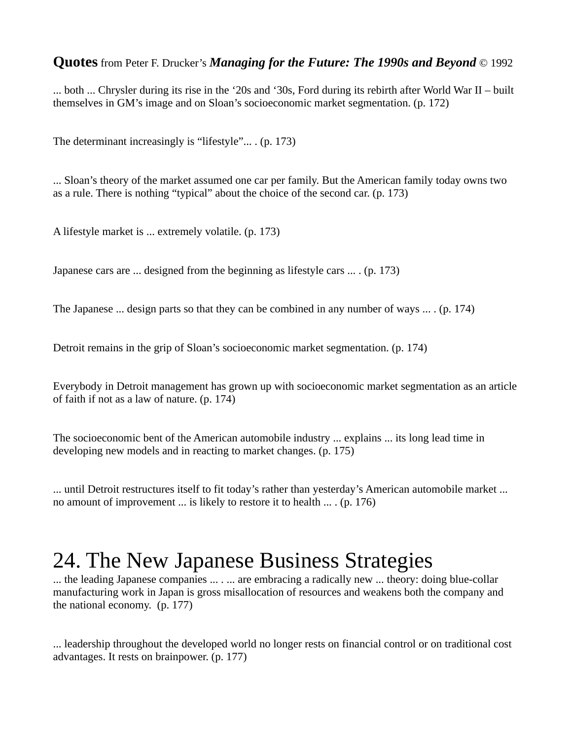... both ... Chrysler during its rise in the '20s and '30s, Ford during its rebirth after World War II – built themselves in GM's image and on Sloan's socioeconomic market segmentation. (p. 172)

The determinant increasingly is "lifestyle"... . (p. 173)

... Sloan's theory of the market assumed one car per family. But the American family today owns two as a rule. There is nothing "typical" about the choice of the second car. (p. 173)

A lifestyle market is ... extremely volatile. (p. 173)

Japanese cars are ... designed from the beginning as lifestyle cars ... . (p. 173)

The Japanese ... design parts so that they can be combined in any number of ways ... . (p. 174)

Detroit remains in the grip of Sloan's socioeconomic market segmentation. (p. 174)

Everybody in Detroit management has grown up with socioeconomic market segmentation as an article of faith if not as a law of nature. (p. 174)

The socioeconomic bent of the American automobile industry ... explains ... its long lead time in developing new models and in reacting to market changes. (p. 175)

... until Detroit restructures itself to fit today's rather than yesterday's American automobile market ... no amount of improvement ... is likely to restore it to health ... . (p. 176)

# 24. The New Japanese Business Strategies

... the leading Japanese companies ... . ... are embracing a radically new ... theory: doing blue-collar manufacturing work in Japan is gross misallocation of resources and weakens both the company and the national economy. (p. 177)

... leadership throughout the developed world no longer rests on financial control or on traditional cost advantages. It rests on brainpower. (p. 177)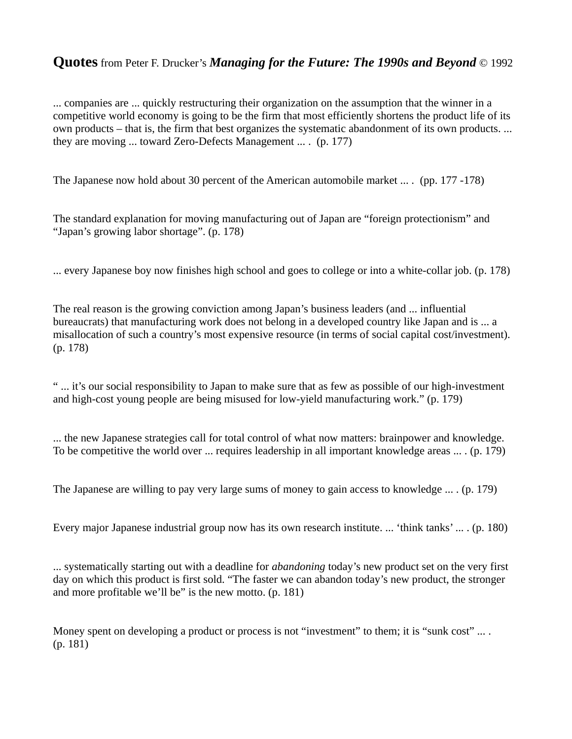... companies are ... quickly restructuring their organization on the assumption that the winner in a competitive world economy is going to be the firm that most efficiently shortens the product life of its own products – that is, the firm that best organizes the systematic abandonment of its own products. ... they are moving ... toward Zero-Defects Management ... . (p. 177)

The Japanese now hold about 30 percent of the American automobile market ... . (pp. 177 -178)

The standard explanation for moving manufacturing out of Japan are "foreign protectionism" and "Japan's growing labor shortage". (p. 178)

... every Japanese boy now finishes high school and goes to college or into a white-collar job. (p. 178)

The real reason is the growing conviction among Japan's business leaders (and ... influential bureaucrats) that manufacturing work does not belong in a developed country like Japan and is ... a misallocation of such a country's most expensive resource (in terms of social capital cost/investment). (p. 178)

" ... it's our social responsibility to Japan to make sure that as few as possible of our high-investment and high-cost young people are being misused for low-yield manufacturing work." (p. 179)

... the new Japanese strategies call for total control of what now matters: brainpower and knowledge. To be competitive the world over ... requires leadership in all important knowledge areas ... . (p. 179)

The Japanese are willing to pay very large sums of money to gain access to knowledge ... . (p. 179)

Every major Japanese industrial group now has its own research institute. ... 'think tanks' ... . (p. 180)

... systematically starting out with a deadline for *abandoning* today's new product set on the very first day on which this product is first sold. "The faster we can abandon today's new product, the stronger and more profitable we'll be" is the new motto. (p. 181)

Money spent on developing a product or process is not "investment" to them; it is "sunk cost" ... . (p. 181)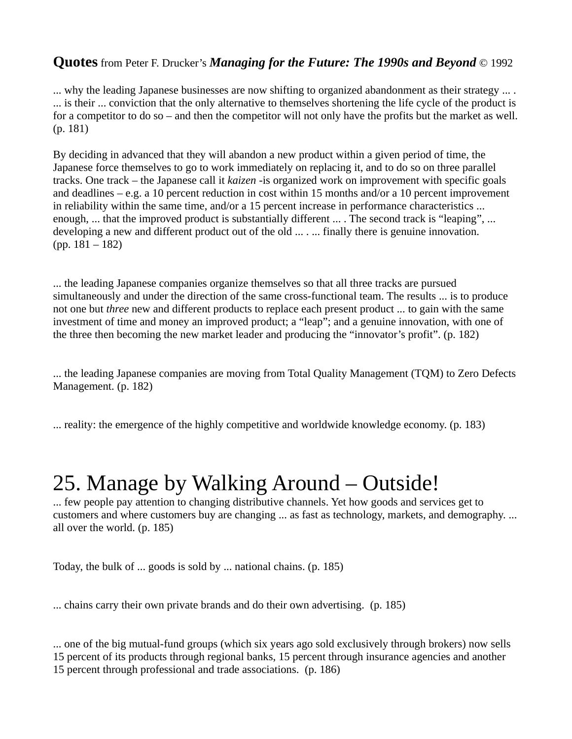... why the leading Japanese businesses are now shifting to organized abandonment as their strategy ... . ... is their ... conviction that the only alternative to themselves shortening the life cycle of the product is for a competitor to do so – and then the competitor will not only have the profits but the market as well. (p. 181)

By deciding in advanced that they will abandon a new product within a given period of time, the Japanese force themselves to go to work immediately on replacing it, and to do so on three parallel tracks. One track – the Japanese call it *kaizen -*is organized work on improvement with specific goals and deadlines – e.g. a 10 percent reduction in cost within 15 months and/or a 10 percent improvement in reliability within the same time, and/or a 15 percent increase in performance characteristics ... enough, ... that the improved product is substantially different ... . The second track is "leaping", ... developing a new and different product out of the old ... . ... finally there is genuine innovation. (pp. 181 – 182)

... the leading Japanese companies organize themselves so that all three tracks are pursued simultaneously and under the direction of the same cross-functional team. The results ... is to produce not one but *three* new and different products to replace each present product ... to gain with the same investment of time and money an improved product; a "leap"; and a genuine innovation, with one of the three then becoming the new market leader and producing the "innovator's profit". (p. 182)

... the leading Japanese companies are moving from Total Quality Management (TQM) to Zero Defects Management. (p. 182)

... reality: the emergence of the highly competitive and worldwide knowledge economy. (p. 183)

# 25. Manage by Walking Around – Outside!

... few people pay attention to changing distributive channels. Yet how goods and services get to customers and where customers buy are changing ... as fast as technology, markets, and demography. ... all over the world. (p. 185)

Today, the bulk of ... goods is sold by ... national chains. (p. 185)

... chains carry their own private brands and do their own advertising. (p. 185)

... one of the big mutual-fund groups (which six years ago sold exclusively through brokers) now sells 15 percent of its products through regional banks, 15 percent through insurance agencies and another 15 percent through professional and trade associations. (p. 186)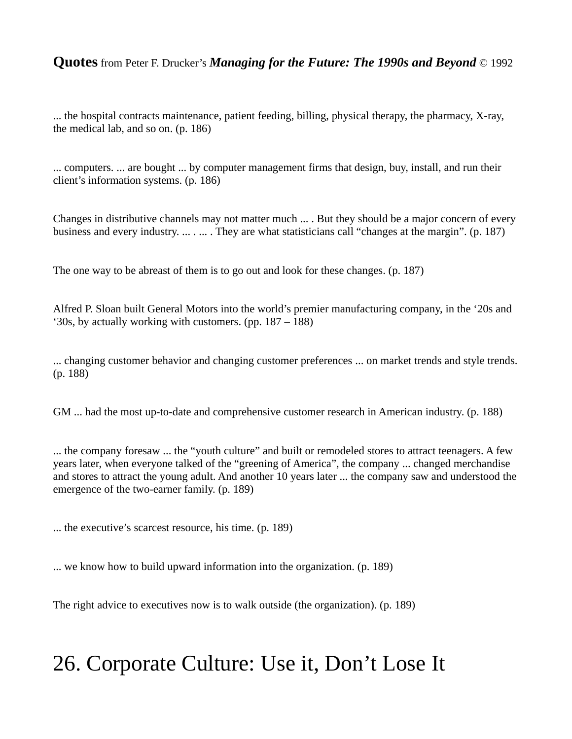... the hospital contracts maintenance, patient feeding, billing, physical therapy, the pharmacy, X-ray, the medical lab, and so on. (p. 186)

... computers. ... are bought ... by computer management firms that design, buy, install, and run their client's information systems. (p. 186)

Changes in distributive channels may not matter much ... . But they should be a major concern of every business and every industry. ... . ... . They are what statisticians call "changes at the margin". (p. 187)

The one way to be abreast of them is to go out and look for these changes. (p. 187)

Alfred P. Sloan built General Motors into the world's premier manufacturing company, in the '20s and '30s, by actually working with customers. (pp. 187 – 188)

... changing customer behavior and changing customer preferences ... on market trends and style trends. (p. 188)

GM ... had the most up-to-date and comprehensive customer research in American industry. (p. 188)

... the company foresaw ... the "youth culture" and built or remodeled stores to attract teenagers. A few years later, when everyone talked of the "greening of America", the company ... changed merchandise and stores to attract the young adult. And another 10 years later ... the company saw and understood the emergence of the two-earner family. (p. 189)

... the executive's scarcest resource, his time. (p. 189)

... we know how to build upward information into the organization. (p. 189)

The right advice to executives now is to walk outside (the organization). (p. 189)

# 26. Corporate Culture: Use it, Don't Lose It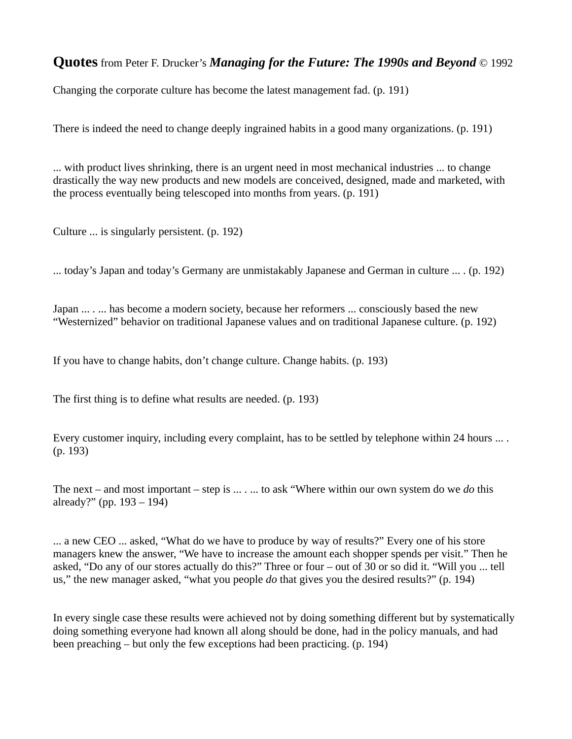Changing the corporate culture has become the latest management fad. (p. 191)

There is indeed the need to change deeply ingrained habits in a good many organizations. (p. 191)

... with product lives shrinking, there is an urgent need in most mechanical industries ... to change drastically the way new products and new models are conceived, designed, made and marketed, with the process eventually being telescoped into months from years. (p. 191)

Culture ... is singularly persistent. (p. 192)

... today's Japan and today's Germany are unmistakably Japanese and German in culture ... . (p. 192)

Japan ... . ... has become a modern society, because her reformers ... consciously based the new "Westernized" behavior on traditional Japanese values and on traditional Japanese culture. (p. 192)

If you have to change habits, don't change culture. Change habits. (p. 193)

The first thing is to define what results are needed. (p. 193)

Every customer inquiry, including every complaint, has to be settled by telephone within 24 hours ... . (p. 193)

The next – and most important – step is ... . ... to ask "Where within our own system do we *do* this already?" (pp. 193 – 194)

... a new CEO ... asked, "What do we have to produce by way of results?" Every one of his store managers knew the answer, "We have to increase the amount each shopper spends per visit." Then he asked, "Do any of our stores actually do this?" Three or four – out of 30 or so did it. "Will you ... tell us," the new manager asked, "what you people *do* that gives you the desired results?" (p. 194)

In every single case these results were achieved not by doing something different but by systematically doing something everyone had known all along should be done, had in the policy manuals, and had been preaching – but only the few exceptions had been practicing. (p. 194)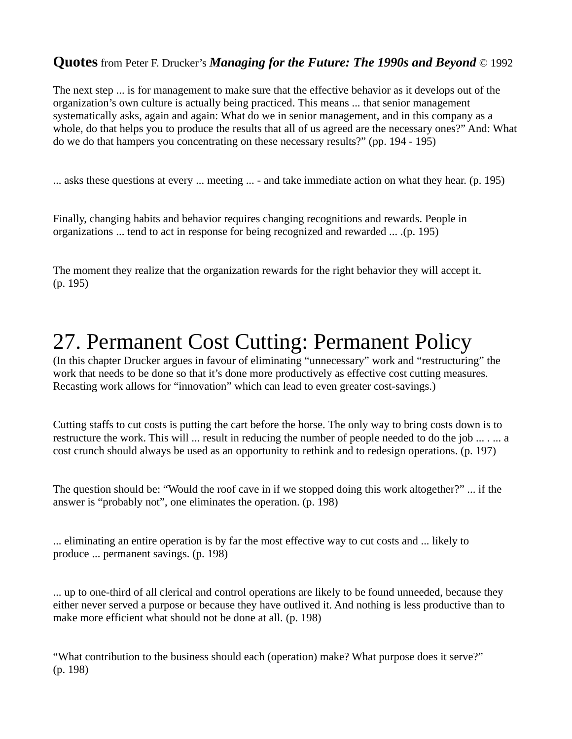The next step ... is for management to make sure that the effective behavior as it develops out of the organization's own culture is actually being practiced. This means ... that senior management systematically asks, again and again: What do we in senior management, and in this company as a whole, do that helps you to produce the results that all of us agreed are the necessary ones?" And: What do we do that hampers you concentrating on these necessary results?" (pp. 194 - 195)

... asks these questions at every ... meeting ... - and take immediate action on what they hear. (p. 195)

Finally, changing habits and behavior requires changing recognitions and rewards. People in organizations ... tend to act in response for being recognized and rewarded ... .(p. 195)

The moment they realize that the organization rewards for the right behavior they will accept it. (p. 195)

# 27. Permanent Cost Cutting: Permanent Policy

(In this chapter Drucker argues in favour of eliminating "unnecessary" work and "restructuring" the work that needs to be done so that it's done more productively as effective cost cutting measures. Recasting work allows for "innovation" which can lead to even greater cost-savings.)

Cutting staffs to cut costs is putting the cart before the horse. The only way to bring costs down is to restructure the work. This will ... result in reducing the number of people needed to do the job ... . ... a cost crunch should always be used as an opportunity to rethink and to redesign operations. (p. 197)

The question should be: "Would the roof cave in if we stopped doing this work altogether?" ... if the answer is "probably not", one eliminates the operation. (p. 198)

... eliminating an entire operation is by far the most effective way to cut costs and ... likely to produce ... permanent savings. (p. 198)

... up to one-third of all clerical and control operations are likely to be found unneeded, because they either never served a purpose or because they have outlived it. And nothing is less productive than to make more efficient what should not be done at all. (p. 198)

"What contribution to the business should each (operation) make? What purpose does it serve?" (p. 198)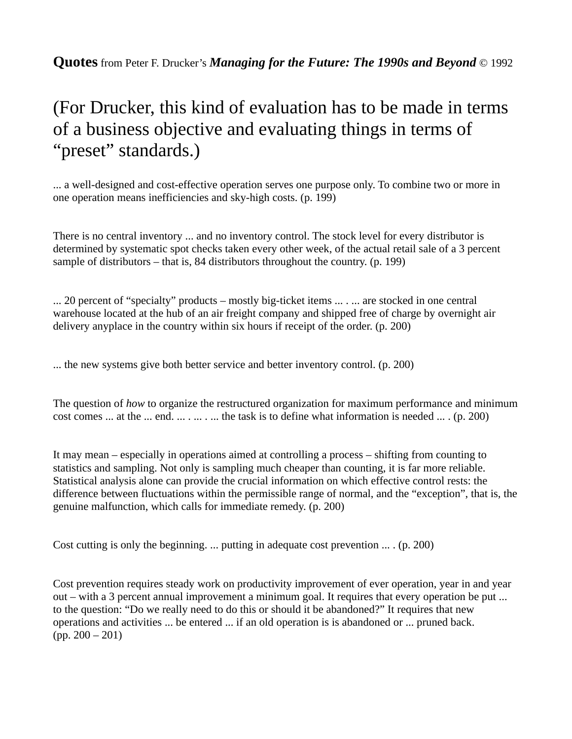### (For Drucker, this kind of evaluation has to be made in terms of a business objective and evaluating things in terms of "preset" standards.)

... a well-designed and cost-effective operation serves one purpose only. To combine two or more in one operation means inefficiencies and sky-high costs. (p. 199)

There is no central inventory ... and no inventory control. The stock level for every distributor is determined by systematic spot checks taken every other week, of the actual retail sale of a 3 percent sample of distributors – that is, 84 distributors throughout the country. (p. 199)

... 20 percent of "specialty" products – mostly big-ticket items ... . ... are stocked in one central warehouse located at the hub of an air freight company and shipped free of charge by overnight air delivery anyplace in the country within six hours if receipt of the order. (p. 200)

... the new systems give both better service and better inventory control. (p. 200)

The question of *how* to organize the restructured organization for maximum performance and minimum cost comes ... at the ... end. ... . ... . ... the task is to define what information is needed ... . (p. 200)

It may mean – especially in operations aimed at controlling a process – shifting from counting to statistics and sampling. Not only is sampling much cheaper than counting, it is far more reliable. Statistical analysis alone can provide the crucial information on which effective control rests: the difference between fluctuations within the permissible range of normal, and the "exception", that is, the genuine malfunction, which calls for immediate remedy. (p. 200)

Cost cutting is only the beginning. ... putting in adequate cost prevention ... . (p. 200)

Cost prevention requires steady work on productivity improvement of ever operation, year in and year out – with a 3 percent annual improvement a minimum goal. It requires that every operation be put ... to the question: "Do we really need to do this or should it be abandoned?" It requires that new operations and activities ... be entered ... if an old operation is is abandoned or ... pruned back. (pp. 200 – 201)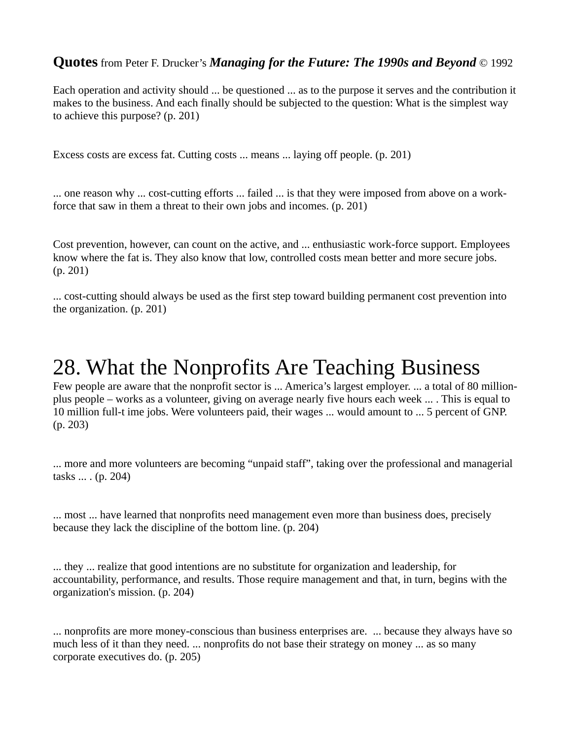Each operation and activity should ... be questioned ... as to the purpose it serves and the contribution it makes to the business. And each finally should be subjected to the question: What is the simplest way to achieve this purpose? (p. 201)

Excess costs are excess fat. Cutting costs ... means ... laying off people. (p. 201)

... one reason why ... cost-cutting efforts ... failed ... is that they were imposed from above on a workforce that saw in them a threat to their own jobs and incomes. (p. 201)

Cost prevention, however, can count on the active, and ... enthusiastic work-force support. Employees know where the fat is. They also know that low, controlled costs mean better and more secure jobs. (p. 201)

... cost-cutting should always be used as the first step toward building permanent cost prevention into the organization. (p. 201)

# 28. What the Nonprofits Are Teaching Business

Few people are aware that the nonprofit sector is ... America's largest employer. ... a total of 80 millionplus people – works as a volunteer, giving on average nearly five hours each week ... . This is equal to 10 million full-t ime jobs. Were volunteers paid, their wages ... would amount to ... 5 percent of GNP. (p. 203)

... more and more volunteers are becoming "unpaid staff", taking over the professional and managerial tasks ... . (p. 204)

... most ... have learned that nonprofits need management even more than business does, precisely because they lack the discipline of the bottom line. (p. 204)

... they ... realize that good intentions are no substitute for organization and leadership, for accountability, performance, and results. Those require management and that, in turn, begins with the organization's mission. (p. 204)

... nonprofits are more money-conscious than business enterprises are. ... because they always have so much less of it than they need. ... nonprofits do not base their strategy on money ... as so many corporate executives do. (p. 205)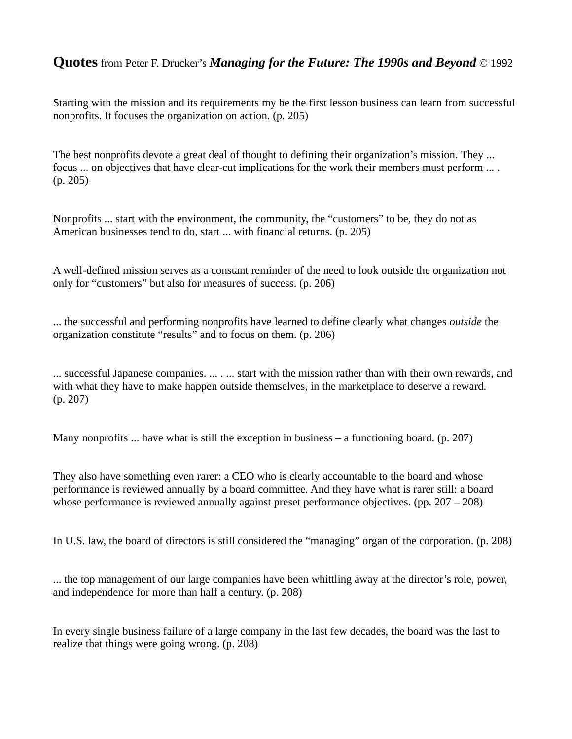Starting with the mission and its requirements my be the first lesson business can learn from successful nonprofits. It focuses the organization on action. (p. 205)

The best nonprofits devote a great deal of thought to defining their organization's mission. They ... focus ... on objectives that have clear-cut implications for the work their members must perform ... . (p. 205)

Nonprofits ... start with the environment, the community, the "customers" to be, they do not as American businesses tend to do, start ... with financial returns. (p. 205)

A well-defined mission serves as a constant reminder of the need to look outside the organization not only for "customers" but also for measures of success. (p. 206)

... the successful and performing nonprofits have learned to define clearly what changes *outside* the organization constitute "results" and to focus on them. (p. 206)

... successful Japanese companies. ... . ... start with the mission rather than with their own rewards, and with what they have to make happen outside themselves, in the marketplace to deserve a reward. (p. 207)

Many nonprofits ... have what is still the exception in business – a functioning board. (p. 207)

They also have something even rarer: a CEO who is clearly accountable to the board and whose performance is reviewed annually by a board committee. And they have what is rarer still: a board whose performance is reviewed annually against preset performance objectives. (pp. 207 – 208)

In U.S. law, the board of directors is still considered the "managing" organ of the corporation. (p. 208)

... the top management of our large companies have been whittling away at the director's role, power, and independence for more than half a century. (p. 208)

In every single business failure of a large company in the last few decades, the board was the last to realize that things were going wrong. (p. 208)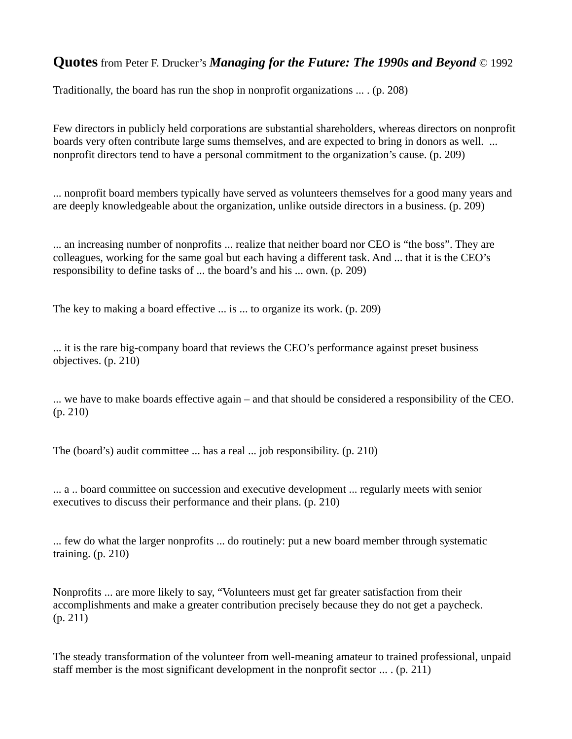Traditionally, the board has run the shop in nonprofit organizations ... . (p. 208)

Few directors in publicly held corporations are substantial shareholders, whereas directors on nonprofit boards very often contribute large sums themselves, and are expected to bring in donors as well. ... nonprofit directors tend to have a personal commitment to the organization's cause. (p. 209)

... nonprofit board members typically have served as volunteers themselves for a good many years and are deeply knowledgeable about the organization, unlike outside directors in a business. (p. 209)

... an increasing number of nonprofits ... realize that neither board nor CEO is "the boss". They are colleagues, working for the same goal but each having a different task. And ... that it is the CEO's responsibility to define tasks of ... the board's and his ... own. (p. 209)

The key to making a board effective ... is ... to organize its work. (p. 209)

... it is the rare big-company board that reviews the CEO's performance against preset business objectives. (p. 210)

... we have to make boards effective again – and that should be considered a responsibility of the CEO. (p. 210)

The (board's) audit committee ... has a real ... job responsibility. (p. 210)

... a .. board committee on succession and executive development ... regularly meets with senior executives to discuss their performance and their plans. (p. 210)

... few do what the larger nonprofits ... do routinely: put a new board member through systematic training. (p. 210)

Nonprofits ... are more likely to say, "Volunteers must get far greater satisfaction from their accomplishments and make a greater contribution precisely because they do not get a paycheck. (p. 211)

The steady transformation of the volunteer from well-meaning amateur to trained professional, unpaid staff member is the most significant development in the nonprofit sector  $\dots$ . (p. 211)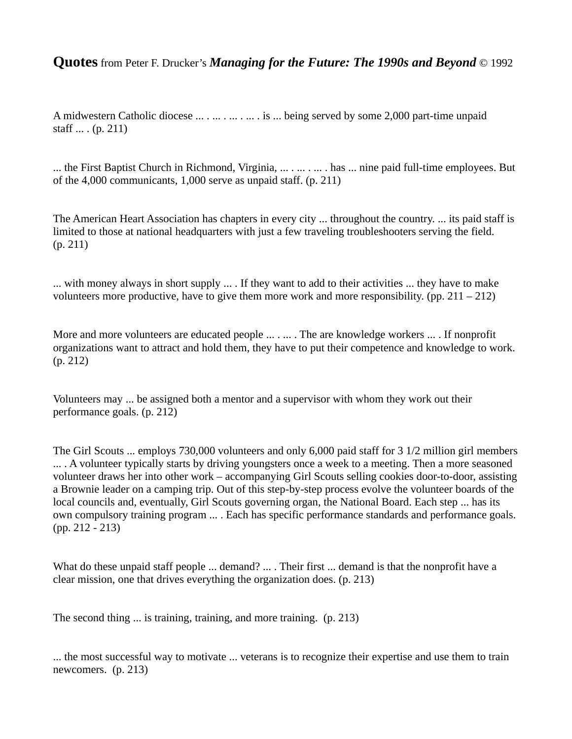A midwestern Catholic diocese ... . ... . ... . ... . is ... being served by some 2,000 part-time unpaid staff ... . (p. 211)

... the First Baptist Church in Richmond, Virginia, ... . ... . ... . has ... nine paid full-time employees. But of the 4,000 communicants, 1,000 serve as unpaid staff. (p. 211)

The American Heart Association has chapters in every city ... throughout the country. ... its paid staff is limited to those at national headquarters with just a few traveling troubleshooters serving the field. (p. 211)

... with money always in short supply ... . If they want to add to their activities ... they have to make volunteers more productive, have to give them more work and more responsibility. (pp. 211 – 212)

More and more volunteers are educated people ... . ... . The are knowledge workers ... . If nonprofit organizations want to attract and hold them, they have to put their competence and knowledge to work. (p. 212)

Volunteers may ... be assigned both a mentor and a supervisor with whom they work out their performance goals. (p. 212)

The Girl Scouts ... employs 730,000 volunteers and only 6,000 paid staff for 3 1/2 million girl members .... A volunteer typically starts by driving youngsters once a week to a meeting. Then a more seasoned volunteer draws her into other work – accompanying Girl Scouts selling cookies door-to-door, assisting a Brownie leader on a camping trip. Out of this step-by-step process evolve the volunteer boards of the local councils and, eventually, Girl Scouts governing organ, the National Board. Each step ... has its own compulsory training program ... . Each has specific performance standards and performance goals. (pp. 212 - 213)

What do these unpaid staff people ... demand? ... . Their first ... demand is that the nonprofit have a clear mission, one that drives everything the organization does. (p. 213)

The second thing ... is training, training, and more training. (p. 213)

... the most successful way to motivate ... veterans is to recognize their expertise and use them to train newcomers. (p. 213)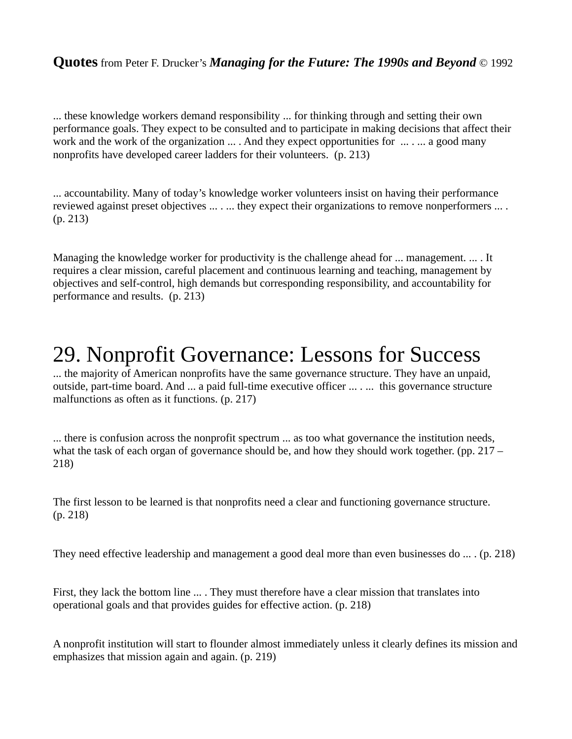... these knowledge workers demand responsibility ... for thinking through and setting their own performance goals. They expect to be consulted and to participate in making decisions that affect their work and the work of the organization ... . And they expect opportunities for  $\ldots$  ... ... a good many nonprofits have developed career ladders for their volunteers. (p. 213)

... accountability. Many of today's knowledge worker volunteers insist on having their performance reviewed against preset objectives ... . ... they expect their organizations to remove nonperformers ... . (p. 213)

Managing the knowledge worker for productivity is the challenge ahead for ... management. ... . It requires a clear mission, careful placement and continuous learning and teaching, management by objectives and self-control, high demands but corresponding responsibility, and accountability for performance and results. (p. 213)

# 29. Nonprofit Governance: Lessons for Success

... the majority of American nonprofits have the same governance structure. They have an unpaid, outside, part-time board. And ... a paid full-time executive officer ... . ... this governance structure malfunctions as often as it functions. (p. 217)

... there is confusion across the nonprofit spectrum ... as too what governance the institution needs, what the task of each organ of governance should be, and how they should work together. (pp. 217 – 218)

The first lesson to be learned is that nonprofits need a clear and functioning governance structure. (p. 218)

They need effective leadership and management a good deal more than even businesses do ... . (p. 218)

First, they lack the bottom line ... . They must therefore have a clear mission that translates into operational goals and that provides guides for effective action. (p. 218)

A nonprofit institution will start to flounder almost immediately unless it clearly defines its mission and emphasizes that mission again and again. (p. 219)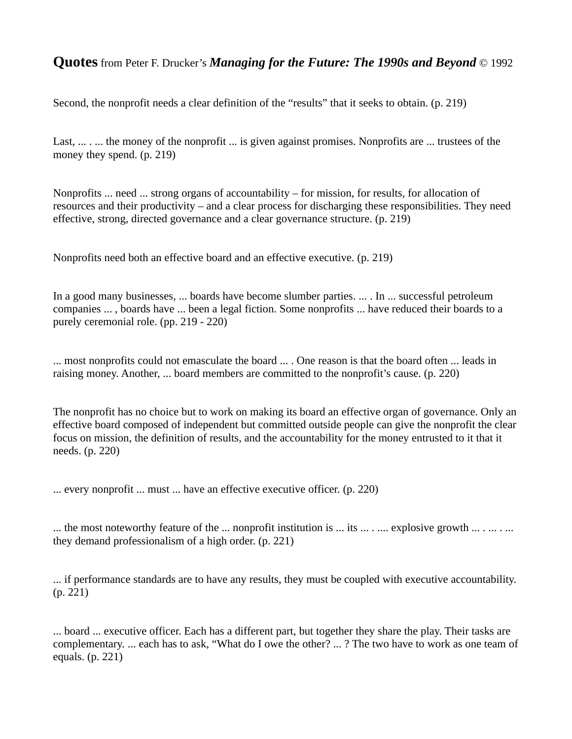Second, the nonprofit needs a clear definition of the "results" that it seeks to obtain. (p. 219)

Last, ... . ... the money of the nonprofit ... is given against promises. Nonprofits are ... trustees of the money they spend. (p. 219)

Nonprofits ... need ... strong organs of accountability – for mission, for results, for allocation of resources and their productivity – and a clear process for discharging these responsibilities. They need effective, strong, directed governance and a clear governance structure. (p. 219)

Nonprofits need both an effective board and an effective executive. (p. 219)

In a good many businesses, ... boards have become slumber parties. ... . In ... successful petroleum companies ... , boards have ... been a legal fiction. Some nonprofits ... have reduced their boards to a purely ceremonial role. (pp. 219 - 220)

... most nonprofits could not emasculate the board ... . One reason is that the board often ... leads in raising money. Another, ... board members are committed to the nonprofit's cause. (p. 220)

The nonprofit has no choice but to work on making its board an effective organ of governance. Only an effective board composed of independent but committed outside people can give the nonprofit the clear focus on mission, the definition of results, and the accountability for the money entrusted to it that it needs. (p. 220)

... every nonprofit ... must ... have an effective executive officer. (p. 220)

... the most noteworthy feature of the ... nonprofit institution is ... its ... . ... explosive growth ... . ... . ... they demand professionalism of a high order. (p. 221)

... if performance standards are to have any results, they must be coupled with executive accountability. (p. 221)

... board ... executive officer. Each has a different part, but together they share the play. Their tasks are complementary. ... each has to ask, "What do I owe the other? ... ? The two have to work as one team of equals. (p. 221)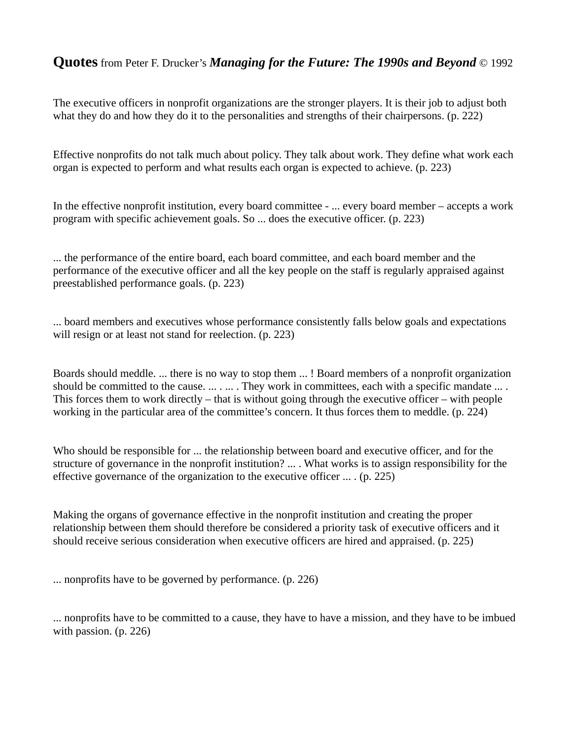The executive officers in nonprofit organizations are the stronger players. It is their job to adjust both what they do and how they do it to the personalities and strengths of their chairpersons. (p. 222)

Effective nonprofits do not talk much about policy. They talk about work. They define what work each organ is expected to perform and what results each organ is expected to achieve. (p. 223)

In the effective nonprofit institution, every board committee - ... every board member – accepts a work program with specific achievement goals. So ... does the executive officer. (p. 223)

... the performance of the entire board, each board committee, and each board member and the performance of the executive officer and all the key people on the staff is regularly appraised against preestablished performance goals. (p. 223)

... board members and executives whose performance consistently falls below goals and expectations will resign or at least not stand for reelection. (p. 223)

Boards should meddle. ... there is no way to stop them ... ! Board members of a nonprofit organization should be committed to the cause. ... . ... . They work in committees, each with a specific mandate ... . This forces them to work directly – that is without going through the executive officer – with people working in the particular area of the committee's concern. It thus forces them to meddle. (p. 224)

Who should be responsible for ... the relationship between board and executive officer, and for the structure of governance in the nonprofit institution? ... . What works is to assign responsibility for the effective governance of the organization to the executive officer ... . (p. 225)

Making the organs of governance effective in the nonprofit institution and creating the proper relationship between them should therefore be considered a priority task of executive officers and it should receive serious consideration when executive officers are hired and appraised. (p. 225)

... nonprofits have to be governed by performance. (p. 226)

... nonprofits have to be committed to a cause, they have to have a mission, and they have to be imbued with passion. (p. 226)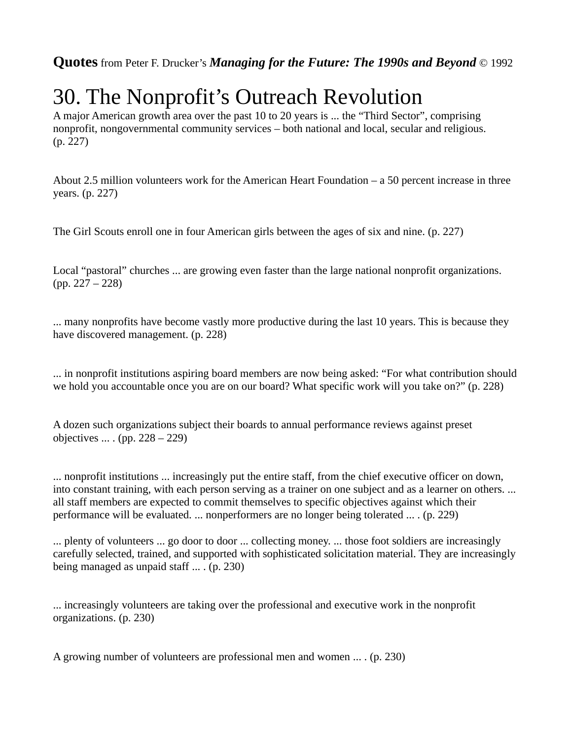# 30. The Nonprofit's Outreach Revolution

A major American growth area over the past 10 to 20 years is ... the "Third Sector", comprising nonprofit, nongovernmental community services – both national and local, secular and religious. (p. 227)

About 2.5 million volunteers work for the American Heart Foundation – a 50 percent increase in three years. (p. 227)

The Girl Scouts enroll one in four American girls between the ages of six and nine. (p. 227)

Local "pastoral" churches ... are growing even faster than the large national nonprofit organizations. (pp. 227 – 228)

... many nonprofits have become vastly more productive during the last 10 years. This is because they have discovered management. (p. 228)

... in nonprofit institutions aspiring board members are now being asked: "For what contribution should we hold you accountable once you are on our board? What specific work will you take on?" (p. 228)

A dozen such organizations subject their boards to annual performance reviews against preset objectives ... . (pp. 228 – 229)

... nonprofit institutions ... increasingly put the entire staff, from the chief executive officer on down, into constant training, with each person serving as a trainer on one subject and as a learner on others. ... all staff members are expected to commit themselves to specific objectives against which their performance will be evaluated. ... nonperformers are no longer being tolerated ... . (p. 229)

... plenty of volunteers ... go door to door ... collecting money. ... those foot soldiers are increasingly carefully selected, trained, and supported with sophisticated solicitation material. They are increasingly being managed as unpaid staff ... . (p. 230)

... increasingly volunteers are taking over the professional and executive work in the nonprofit organizations. (p. 230)

A growing number of volunteers are professional men and women ... . (p. 230)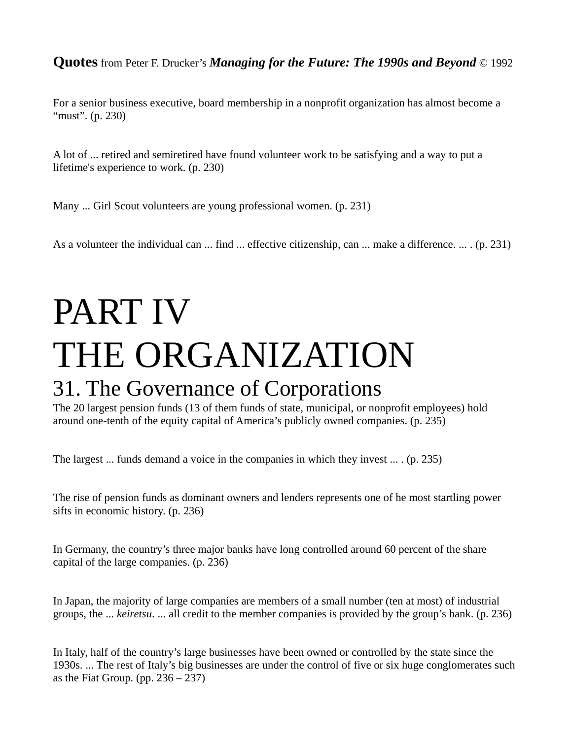For a senior business executive, board membership in a nonprofit organization has almost become a "must". (p. 230)

A lot of ... retired and semiretired have found volunteer work to be satisfying and a way to put a lifetime's experience to work. (p. 230)

Many ... Girl Scout volunteers are young professional women. (p. 231)

As a volunteer the individual can ... find ... effective citizenship, can ... make a difference. ... . (p. 231)

# PART IV THE ORGANIZATION 31. The Governance of Corporations

The 20 largest pension funds (13 of them funds of state, municipal, or nonprofit employees) hold around one-tenth of the equity capital of America's publicly owned companies. (p. 235)

The largest ... funds demand a voice in the companies in which they invest ... . (p. 235)

The rise of pension funds as dominant owners and lenders represents one of he most startling power sifts in economic history. (p. 236)

In Germany, the country's three major banks have long controlled around 60 percent of the share capital of the large companies. (p. 236)

In Japan, the majority of large companies are members of a small number (ten at most) of industrial groups, the ... *keiretsu*. ... all credit to the member companies is provided by the group's bank. (p. 236)

In Italy, half of the country's large businesses have been owned or controlled by the state since the 1930s. ... The rest of Italy's big businesses are under the control of five or six huge conglomerates such as the Fiat Group. (pp.  $236 - 237$ )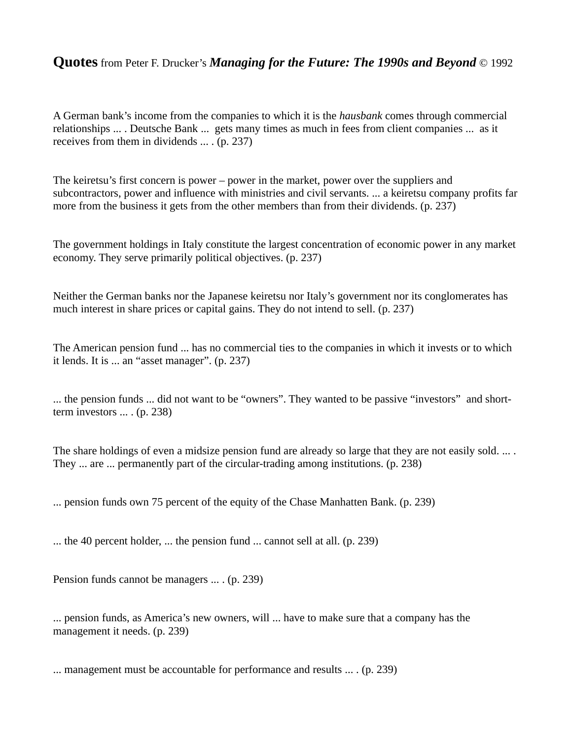A German bank's income from the companies to which it is the *hausbank* comes through commercial relationships ... . Deutsche Bank ... gets many times as much in fees from client companies ... as it receives from them in dividends ... . (p. 237)

The keiretsu's first concern is power – power in the market, power over the suppliers and subcontractors, power and influence with ministries and civil servants. ... a keiretsu company profits far more from the business it gets from the other members than from their dividends. (p. 237)

The government holdings in Italy constitute the largest concentration of economic power in any market economy. They serve primarily political objectives. (p. 237)

Neither the German banks nor the Japanese keiretsu nor Italy's government nor its conglomerates has much interest in share prices or capital gains. They do not intend to sell. (p. 237)

The American pension fund ... has no commercial ties to the companies in which it invests or to which it lends. It is ... an "asset manager". (p. 237)

... the pension funds ... did not want to be "owners". They wanted to be passive "investors" and shortterm investors ... . (p. 238)

The share holdings of even a midsize pension fund are already so large that they are not easily sold. ... . They ... are ... permanently part of the circular-trading among institutions. (p. 238)

... pension funds own 75 percent of the equity of the Chase Manhatten Bank. (p. 239)

... the 40 percent holder, ... the pension fund ... cannot sell at all. (p. 239)

Pension funds cannot be managers ... . (p. 239)

... pension funds, as America's new owners, will ... have to make sure that a company has the management it needs. (p. 239)

... management must be accountable for performance and results ... . (p. 239)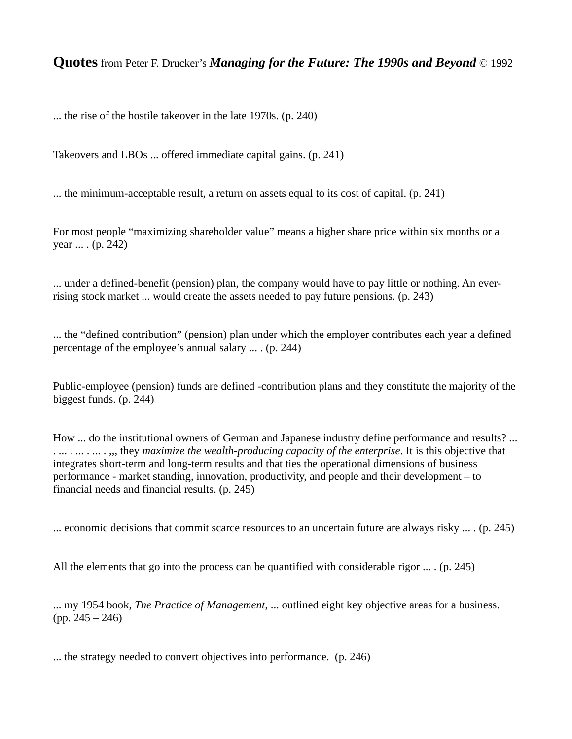... the rise of the hostile takeover in the late 1970s. (p. 240)

Takeovers and LBOs ... offered immediate capital gains. (p. 241)

... the minimum-acceptable result, a return on assets equal to its cost of capital. (p. 241)

For most people "maximizing shareholder value" means a higher share price within six months or a year ... . (p. 242)

... under a defined-benefit (pension) plan, the company would have to pay little or nothing. An everrising stock market ... would create the assets needed to pay future pensions. (p. 243)

... the "defined contribution" (pension) plan under which the employer contributes each year a defined percentage of the employee's annual salary ... . (p. 244)

Public-employee (pension) funds are defined -contribution plans and they constitute the majority of the biggest funds. (p. 244)

How ... do the institutional owners of German and Japanese industry define performance and results? ... . ... . ... . ... . ,,, they *maximize the wealth-producing capacity of the enterprise*. It is this objective that integrates short-term and long-term results and that ties the operational dimensions of business performance - market standing, innovation, productivity, and people and their development – to financial needs and financial results. (p. 245)

... economic decisions that commit scarce resources to an uncertain future are always risky ... . (p. 245)

All the elements that go into the process can be quantified with considerable rigor ... . (p. 245)

... my 1954 book, *The Practice of Management*, ... outlined eight key objective areas for a business. (pp. 245 – 246)

... the strategy needed to convert objectives into performance. (p. 246)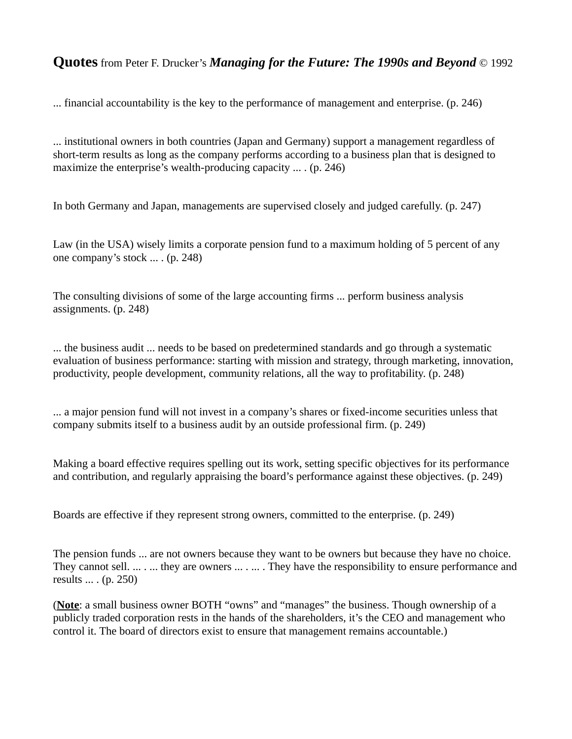... financial accountability is the key to the performance of management and enterprise. (p. 246)

... institutional owners in both countries (Japan and Germany) support a management regardless of short-term results as long as the company performs according to a business plan that is designed to maximize the enterprise's wealth-producing capacity ... . (p. 246)

In both Germany and Japan, managements are supervised closely and judged carefully. (p. 247)

Law (in the USA) wisely limits a corporate pension fund to a maximum holding of 5 percent of any one company's stock ... . (p. 248)

The consulting divisions of some of the large accounting firms ... perform business analysis assignments. (p. 248)

... the business audit ... needs to be based on predetermined standards and go through a systematic evaluation of business performance: starting with mission and strategy, through marketing, innovation, productivity, people development, community relations, all the way to profitability. (p. 248)

... a major pension fund will not invest in a company's shares or fixed-income securities unless that company submits itself to a business audit by an outside professional firm. (p. 249)

Making a board effective requires spelling out its work, setting specific objectives for its performance and contribution, and regularly appraising the board's performance against these objectives. (p. 249)

Boards are effective if they represent strong owners, committed to the enterprise. (p. 249)

The pension funds ... are not owners because they want to be owners but because they have no choice. They cannot sell. ... . ... they are owners ... . ... . They have the responsibility to ensure performance and results ... . (p. 250)

(**Note**: a small business owner BOTH "owns" and "manages" the business. Though ownership of a publicly traded corporation rests in the hands of the shareholders, it's the CEO and management who control it. The board of directors exist to ensure that management remains accountable.)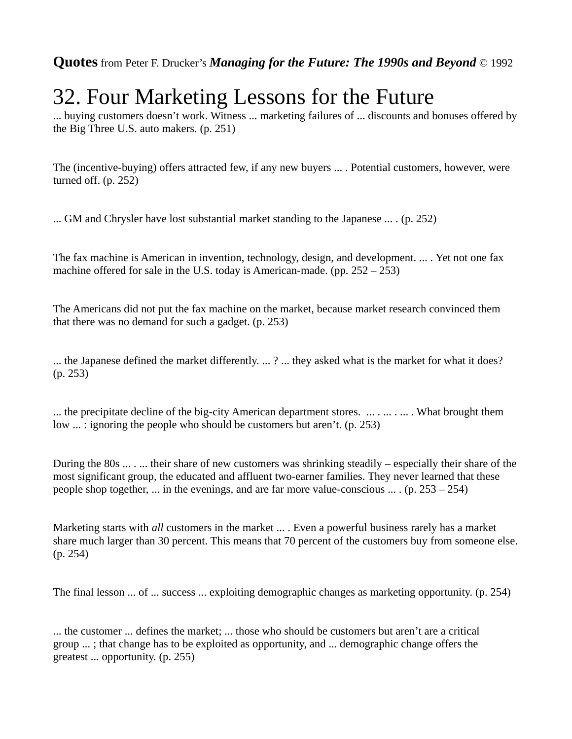# 32. Four Marketing Lessons for the Future

... buying customers doesn't work. Witness ... marketing failures of ... discounts and bonuses offered by the Big Three U.S. auto makers. (p. 251)

The (incentive-buying) offers attracted few, if any new buyers ... . Potential customers, however, were turned off. (p. 252)

... GM and Chrysler have lost substantial market standing to the Japanese ... . (p. 252)

The fax machine is American in invention, technology, design, and development. ... . Yet not one fax machine offered for sale in the U.S. today is American-made. (pp. 252 – 253)

The Americans did not put the fax machine on the market, because market research convinced them that there was no demand for such a gadget. (p. 253)

... the Japanese defined the market differently. ... ? ... they asked what is the market for what it does? (p. 253)

... the precipitate decline of the big-city American department stores. ... . ... . ... . What brought them low ... : ignoring the people who should be customers but aren't. (p. 253)

During the 80s ... . ... their share of new customers was shrinking steadily – especially their share of the most significant group, the educated and affluent two-earner families. They never learned that these people shop together, ... in the evenings, and are far more value-conscious ... . (p. 253 – 254)

Marketing starts with *all* customers in the market ... . Even a powerful business rarely has a market share much larger than 30 percent. This means that 70 percent of the customers buy from someone else. (p. 254)

The final lesson ... of ... success ... exploiting demographic changes as marketing opportunity. (p. 254)

... the customer ... defines the market; ... those who should be customers but aren't are a critical group ... ; that change has to be exploited as opportunity, and ... demographic change offers the greatest ... opportunity. (p. 255)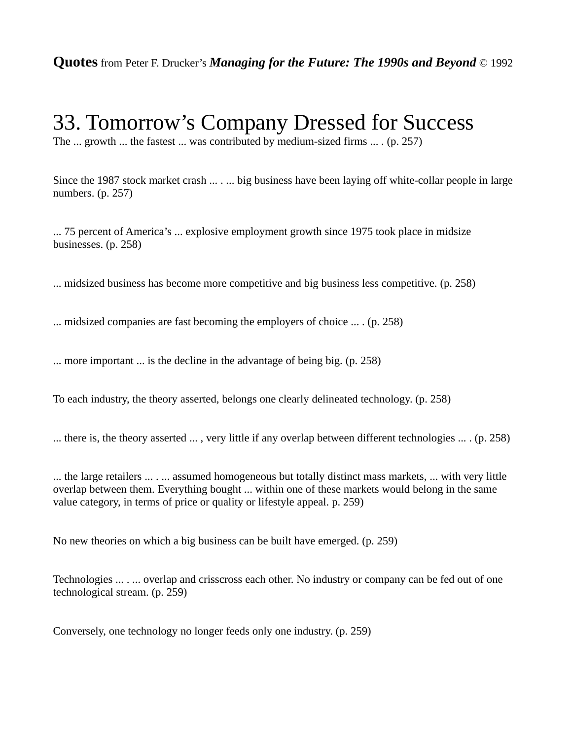### 33. Tomorrow's Company Dressed for Success

The ... growth ... the fastest ... was contributed by medium-sized firms ... . (p. 257)

Since the 1987 stock market crash ... ... big business have been laying off white-collar people in large numbers. (p. 257)

... 75 percent of America's ... explosive employment growth since 1975 took place in midsize businesses. (p. 258)

... midsized business has become more competitive and big business less competitive. (p. 258)

... midsized companies are fast becoming the employers of choice ... . (p. 258)

... more important ... is the decline in the advantage of being big. (p. 258)

To each industry, the theory asserted, belongs one clearly delineated technology. (p. 258)

... there is, the theory asserted ... , very little if any overlap between different technologies ... . (p. 258)

... the large retailers ... . ... assumed homogeneous but totally distinct mass markets, ... with very little overlap between them. Everything bought ... within one of these markets would belong in the same value category, in terms of price or quality or lifestyle appeal. p. 259)

No new theories on which a big business can be built have emerged. (p. 259)

Technologies ... . ... overlap and crisscross each other. No industry or company can be fed out of one technological stream. (p. 259)

Conversely, one technology no longer feeds only one industry. (p. 259)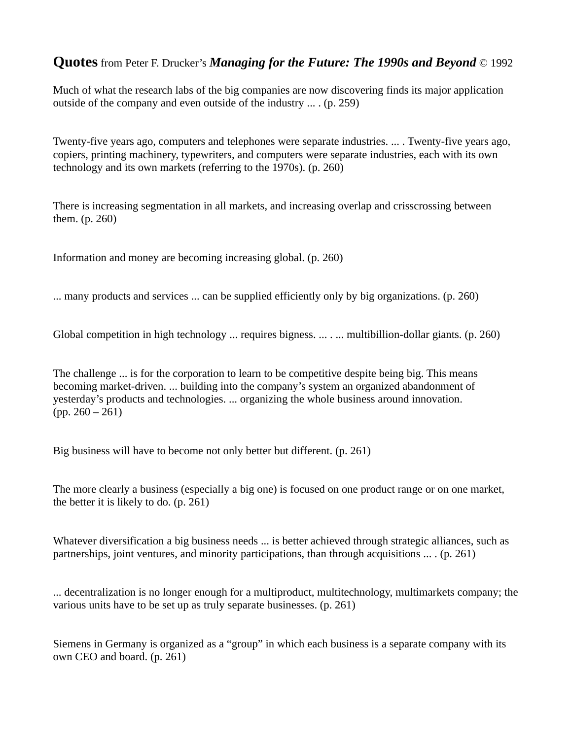Much of what the research labs of the big companies are now discovering finds its major application outside of the company and even outside of the industry ... . (p. 259)

Twenty-five years ago, computers and telephones were separate industries. ... . Twenty-five years ago, copiers, printing machinery, typewriters, and computers were separate industries, each with its own technology and its own markets (referring to the 1970s). (p. 260)

There is increasing segmentation in all markets, and increasing overlap and crisscrossing between them. (p. 260)

Information and money are becoming increasing global. (p. 260)

... many products and services ... can be supplied efficiently only by big organizations. (p. 260)

Global competition in high technology ... requires bigness. ... . ... multibillion-dollar giants. (p. 260)

The challenge ... is for the corporation to learn to be competitive despite being big. This means becoming market-driven. ... building into the company's system an organized abandonment of yesterday's products and technologies. ... organizing the whole business around innovation. (pp. 260 – 261)

Big business will have to become not only better but different. (p. 261)

The more clearly a business (especially a big one) is focused on one product range or on one market, the better it is likely to do. (p. 261)

Whatever diversification a big business needs ... is better achieved through strategic alliances, such as partnerships, joint ventures, and minority participations, than through acquisitions ... . (p. 261)

... decentralization is no longer enough for a multiproduct, multitechnology, multimarkets company; the various units have to be set up as truly separate businesses. (p. 261)

Siemens in Germany is organized as a "group" in which each business is a separate company with its own CEO and board. (p. 261)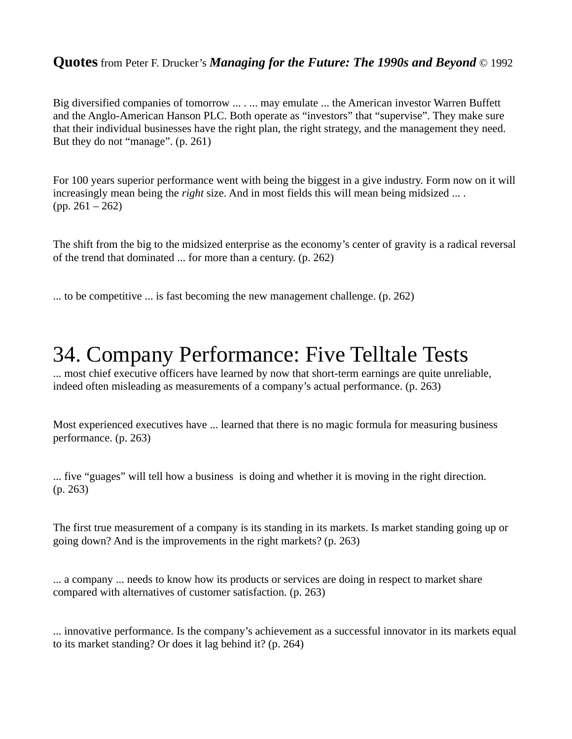Big diversified companies of tomorrow ... . ... may emulate ... the American investor Warren Buffett and the Anglo-American Hanson PLC. Both operate as "investors" that "supervise". They make sure that their individual businesses have the right plan, the right strategy, and the management they need. But they do not "manage". (p. 261)

For 100 years superior performance went with being the biggest in a give industry. Form now on it will increasingly mean being the *right* size. And in most fields this will mean being midsized ... . (pp. 261 – 262)

The shift from the big to the midsized enterprise as the economy's center of gravity is a radical reversal of the trend that dominated ... for more than a century. (p. 262)

... to be competitive ... is fast becoming the new management challenge. (p. 262)

# 34. Company Performance: Five Telltale Tests

... most chief executive officers have learned by now that short-term earnings are quite unreliable, indeed often misleading as measurements of a company's actual performance. (p. 263)

Most experienced executives have ... learned that there is no magic formula for measuring business performance. (p. 263)

... five "guages" will tell how a business is doing and whether it is moving in the right direction. (p. 263)

The first true measurement of a company is its standing in its markets. Is market standing going up or going down? And is the improvements in the right markets? (p. 263)

... a company ... needs to know how its products or services are doing in respect to market share compared with alternatives of customer satisfaction. (p. 263)

... innovative performance. Is the company's achievement as a successful innovator in its markets equal to its market standing? Or does it lag behind it? (p. 264)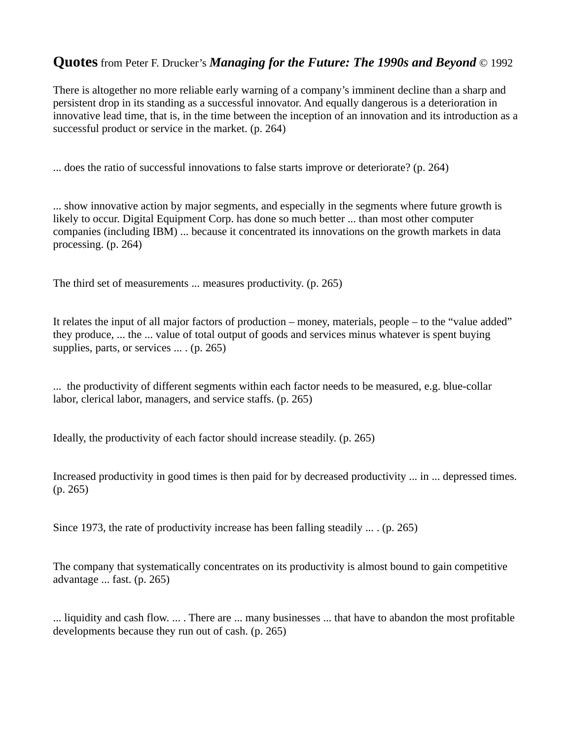There is altogether no more reliable early warning of a company's imminent decline than a sharp and persistent drop in its standing as a successful innovator. And equally dangerous is a deterioration in innovative lead time, that is, in the time between the inception of an innovation and its introduction as a successful product or service in the market. (p. 264)

... does the ratio of successful innovations to false starts improve or deteriorate? (p. 264)

... show innovative action by major segments, and especially in the segments where future growth is likely to occur. Digital Equipment Corp. has done so much better ... than most other computer companies (including IBM) ... because it concentrated its innovations on the growth markets in data processing. (p. 264)

The third set of measurements ... measures productivity. (p. 265)

It relates the input of all major factors of production – money, materials, people – to the "value added" they produce, ... the ... value of total output of goods and services minus whatever is spent buying supplies, parts, or services ... . (p. 265)

... the productivity of different segments within each factor needs to be measured, e.g. blue-collar labor, clerical labor, managers, and service staffs. (p. 265)

Ideally, the productivity of each factor should increase steadily. (p. 265)

Increased productivity in good times is then paid for by decreased productivity ... in ... depressed times. (p. 265)

Since 1973, the rate of productivity increase has been falling steadily ... . (p. 265)

The company that systematically concentrates on its productivity is almost bound to gain competitive advantage ... fast. (p. 265)

... liquidity and cash flow. ... . There are ... many businesses ... that have to abandon the most profitable developments because they run out of cash. (p. 265)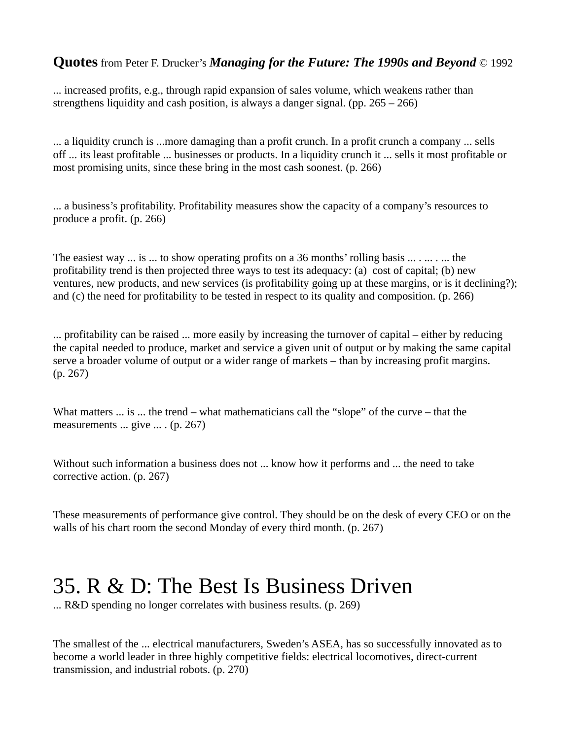... increased profits, e.g., through rapid expansion of sales volume, which weakens rather than strengthens liquidity and cash position, is always a danger signal. (pp. 265 – 266)

... a liquidity crunch is ...more damaging than a profit crunch. In a profit crunch a company ... sells off ... its least profitable ... businesses or products. In a liquidity crunch it ... sells it most profitable or most promising units, since these bring in the most cash soonest. (p. 266)

... a business's profitability. Profitability measures show the capacity of a company's resources to produce a profit. (p. 266)

The easiest way  $\ldots$  is  $\ldots$  to show operating profits on a 36 months' rolling basis  $\ldots \ldots \ldots$  the profitability trend is then projected three ways to test its adequacy: (a) cost of capital; (b) new ventures, new products, and new services (is profitability going up at these margins, or is it declining?); and (c) the need for profitability to be tested in respect to its quality and composition. (p. 266)

... profitability can be raised ... more easily by increasing the turnover of capital – either by reducing the capital needed to produce, market and service a given unit of output or by making the same capital serve a broader volume of output or a wider range of markets – than by increasing profit margins. (p. 267)

What matters ... is ... the trend – what mathematicians call the "slope" of the curve – that the measurements ... give ... . (p. 267)

Without such information a business does not ... know how it performs and ... the need to take corrective action. (p. 267)

These measurements of performance give control. They should be on the desk of every CEO or on the walls of his chart room the second Monday of every third month. (p. 267)

# 35. R & D: The Best Is Business Driven

... R&D spending no longer correlates with business results. (p. 269)

The smallest of the ... electrical manufacturers, Sweden's ASEA, has so successfully innovated as to become a world leader in three highly competitive fields: electrical locomotives, direct-current transmission, and industrial robots. (p. 270)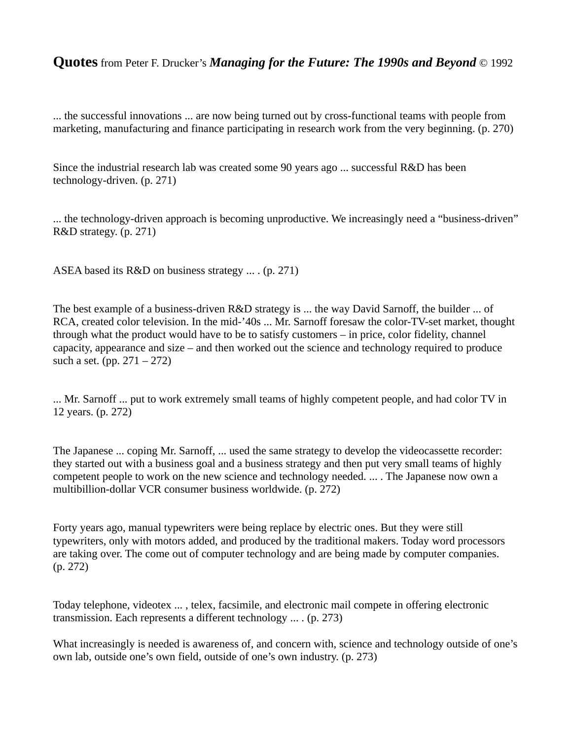... the successful innovations ... are now being turned out by cross-functional teams with people from marketing, manufacturing and finance participating in research work from the very beginning. (p. 270)

Since the industrial research lab was created some 90 years ago ... successful R&D has been technology-driven. (p. 271)

... the technology-driven approach is becoming unproductive. We increasingly need a "business-driven" R&D strategy. (p. 271)

ASEA based its R&D on business strategy ... . (p. 271)

The best example of a business-driven R&D strategy is ... the way David Sarnoff, the builder ... of RCA, created color television. In the mid-'40s ... Mr. Sarnoff foresaw the color-TV-set market, thought through what the product would have to be to satisfy customers – in price, color fidelity, channel capacity, appearance and size – and then worked out the science and technology required to produce such a set. (pp.  $271 - 272$ )

... Mr. Sarnoff ... put to work extremely small teams of highly competent people, and had color TV in 12 years. (p. 272)

The Japanese ... coping Mr. Sarnoff, ... used the same strategy to develop the videocassette recorder: they started out with a business goal and a business strategy and then put very small teams of highly competent people to work on the new science and technology needed. ... . The Japanese now own a multibillion-dollar VCR consumer business worldwide. (p. 272)

Forty years ago, manual typewriters were being replace by electric ones. But they were still typewriters, only with motors added, and produced by the traditional makers. Today word processors are taking over. The come out of computer technology and are being made by computer companies. (p. 272)

Today telephone, videotex ... , telex, facsimile, and electronic mail compete in offering electronic transmission. Each represents a different technology ... . (p. 273)

What increasingly is needed is awareness of, and concern with, science and technology outside of one's own lab, outside one's own field, outside of one's own industry. (p. 273)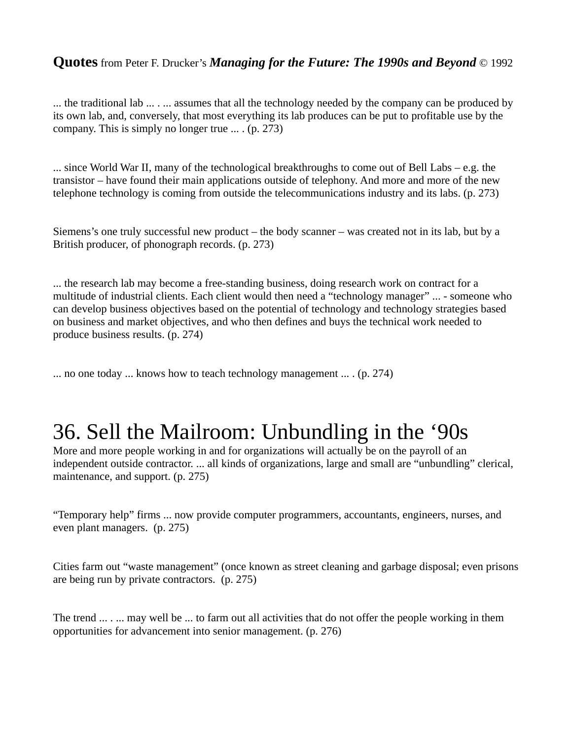... the traditional lab ... . ... assumes that all the technology needed by the company can be produced by its own lab, and, conversely, that most everything its lab produces can be put to profitable use by the company. This is simply no longer true ... . (p. 273)

... since World War II, many of the technological breakthroughs to come out of Bell Labs – e.g. the transistor – have found their main applications outside of telephony. And more and more of the new telephone technology is coming from outside the telecommunications industry and its labs. (p. 273)

Siemens's one truly successful new product – the body scanner – was created not in its lab, but by a British producer, of phonograph records. (p. 273)

... the research lab may become a free-standing business, doing research work on contract for a multitude of industrial clients. Each client would then need a "technology manager" ... - someone who can develop business objectives based on the potential of technology and technology strategies based on business and market objectives, and who then defines and buys the technical work needed to produce business results. (p. 274)

... no one today ... knows how to teach technology management ... . (p. 274)

# 36. Sell the Mailroom: Unbundling in the '90s

More and more people working in and for organizations will actually be on the payroll of an independent outside contractor. ... all kinds of organizations, large and small are "unbundling" clerical, maintenance, and support. (p. 275)

"Temporary help" firms ... now provide computer programmers, accountants, engineers, nurses, and even plant managers. (p. 275)

Cities farm out "waste management" (once known as street cleaning and garbage disposal; even prisons are being run by private contractors. (p. 275)

The trend ... . ... may well be ... to farm out all activities that do not offer the people working in them opportunities for advancement into senior management. (p. 276)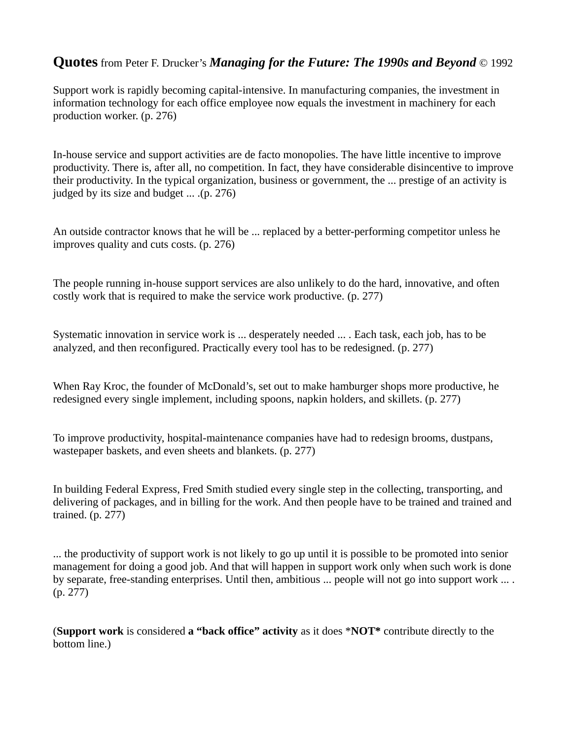Support work is rapidly becoming capital-intensive. In manufacturing companies, the investment in information technology for each office employee now equals the investment in machinery for each production worker. (p. 276)

In-house service and support activities are de facto monopolies. The have little incentive to improve productivity. There is, after all, no competition. In fact, they have considerable disincentive to improve their productivity. In the typical organization, business or government, the ... prestige of an activity is judged by its size and budget ... .(p. 276)

An outside contractor knows that he will be ... replaced by a better-performing competitor unless he improves quality and cuts costs. (p. 276)

The people running in-house support services are also unlikely to do the hard, innovative, and often costly work that is required to make the service work productive. (p. 277)

Systematic innovation in service work is ... desperately needed ... . Each task, each job, has to be analyzed, and then reconfigured. Practically every tool has to be redesigned. (p. 277)

When Ray Kroc, the founder of McDonald's, set out to make hamburger shops more productive, he redesigned every single implement, including spoons, napkin holders, and skillets. (p. 277)

To improve productivity, hospital-maintenance companies have had to redesign brooms, dustpans, wastepaper baskets, and even sheets and blankets. (p. 277)

In building Federal Express, Fred Smith studied every single step in the collecting, transporting, and delivering of packages, and in billing for the work. And then people have to be trained and trained and trained. (p. 277)

... the productivity of support work is not likely to go up until it is possible to be promoted into senior management for doing a good job. And that will happen in support work only when such work is done by separate, free-standing enterprises. Until then, ambitious ... people will not go into support work ... . (p. 277)

(**Support work** is considered **a "back office" activity** as it does \***NOT\*** contribute directly to the bottom line.)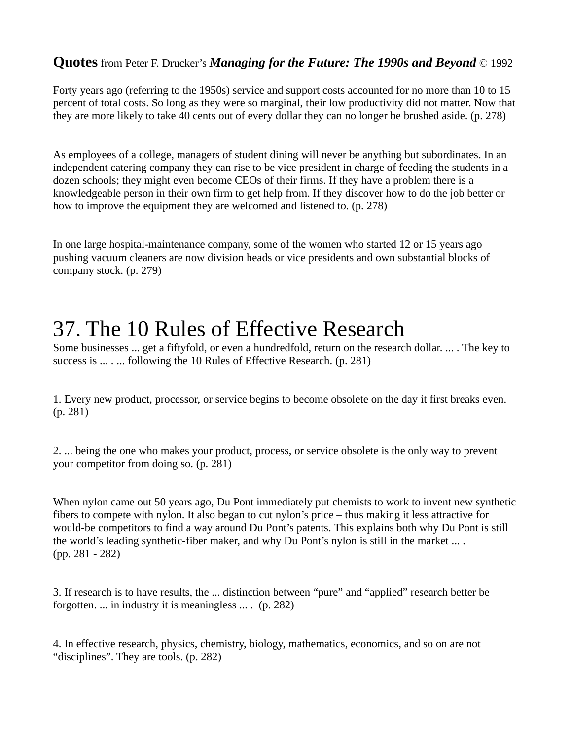Forty years ago (referring to the 1950s) service and support costs accounted for no more than 10 to 15 percent of total costs. So long as they were so marginal, their low productivity did not matter. Now that they are more likely to take 40 cents out of every dollar they can no longer be brushed aside. (p. 278)

As employees of a college, managers of student dining will never be anything but subordinates. In an independent catering company they can rise to be vice president in charge of feeding the students in a dozen schools; they might even become CEOs of their firms. If they have a problem there is a knowledgeable person in their own firm to get help from. If they discover how to do the job better or how to improve the equipment they are welcomed and listened to. (p. 278)

In one large hospital-maintenance company, some of the women who started 12 or 15 years ago pushing vacuum cleaners are now division heads or vice presidents and own substantial blocks of company stock. (p. 279)

# 37. The 10 Rules of Effective Research

Some businesses ... get a fiftyfold, or even a hundredfold, return on the research dollar. ... . The key to success is ... . ... following the 10 Rules of Effective Research. (p. 281)

1. Every new product, processor, or service begins to become obsolete on the day it first breaks even. (p. 281)

2. ... being the one who makes your product, process, or service obsolete is the only way to prevent your competitor from doing so. (p. 281)

When nylon came out 50 years ago, Du Pont immediately put chemists to work to invent new synthetic fibers to compete with nylon. It also began to cut nylon's price – thus making it less attractive for would-be competitors to find a way around Du Pont's patents. This explains both why Du Pont is still the world's leading synthetic-fiber maker, and why Du Pont's nylon is still in the market ... . (pp. 281 - 282)

3. If research is to have results, the ... distinction between "pure" and "applied" research better be forgotten. ... in industry it is meaningless ... . (p. 282)

4. In effective research, physics, chemistry, biology, mathematics, economics, and so on are not "disciplines". They are tools. (p. 282)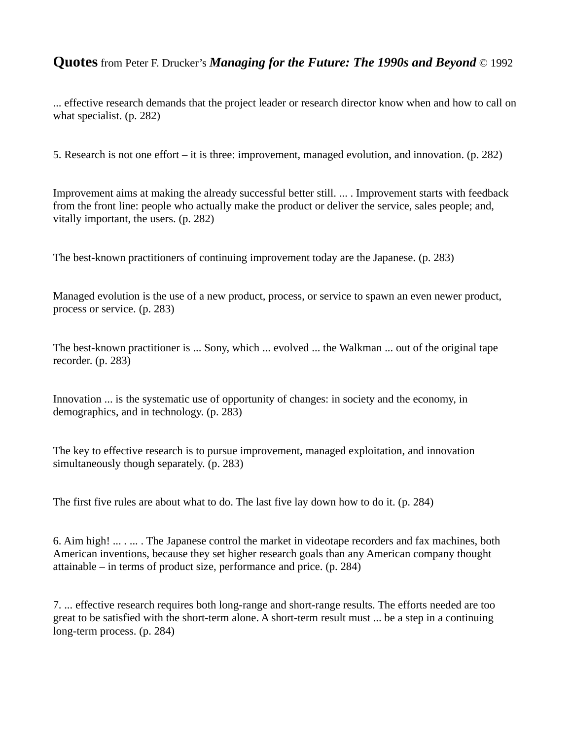... effective research demands that the project leader or research director know when and how to call on what specialist. (p. 282)

5. Research is not one effort – it is three: improvement, managed evolution, and innovation. (p. 282)

Improvement aims at making the already successful better still. ... . Improvement starts with feedback from the front line: people who actually make the product or deliver the service, sales people; and, vitally important, the users. (p. 282)

The best-known practitioners of continuing improvement today are the Japanese. (p. 283)

Managed evolution is the use of a new product, process, or service to spawn an even newer product, process or service. (p. 283)

The best-known practitioner is ... Sony, which ... evolved ... the Walkman ... out of the original tape recorder. (p. 283)

Innovation ... is the systematic use of opportunity of changes: in society and the economy, in demographics, and in technology. (p. 283)

The key to effective research is to pursue improvement, managed exploitation, and innovation simultaneously though separately. (p. 283)

The first five rules are about what to do. The last five lay down how to do it. (p. 284)

6. Aim high! ... . ... . The Japanese control the market in videotape recorders and fax machines, both American inventions, because they set higher research goals than any American company thought attainable – in terms of product size, performance and price. (p. 284)

7. ... effective research requires both long-range and short-range results. The efforts needed are too great to be satisfied with the short-term alone. A short-term result must ... be a step in a continuing long-term process. (p. 284)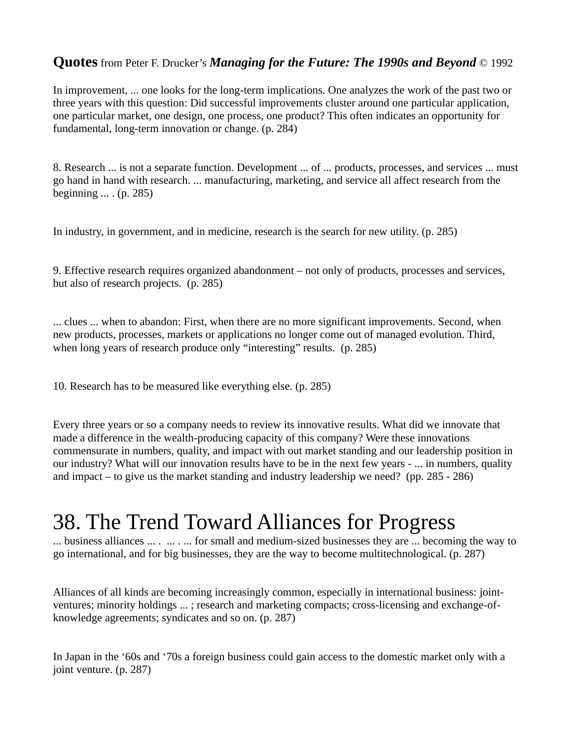In improvement, ... one looks for the long-term implications. One analyzes the work of the past two or three years with this question: Did successful improvements cluster around one particular application, one particular market, one design, one process, one product? This often indicates an opportunity for fundamental, long-term innovation or change. (p. 284)

8. Research ... is not a separate function. Development ... of ... products, processes, and services ... must go hand in hand with research. ... manufacturing, marketing, and service all affect research from the beginning ... . (p. 285)

In industry, in government, and in medicine, research is the search for new utility. (p. 285)

9. Effective research requires organized abandonment – not only of products, processes and services, but also of research projects. (p. 285)

... clues ... when to abandon: First, when there are no more significant improvements. Second, when new products, processes, markets or applications no longer come out of managed evolution. Third, when long years of research produce only "interesting" results. (p. 285)

10. Research has to be measured like everything else. (p. 285)

Every three years or so a company needs to review its innovative results. What did we innovate that made a difference in the wealth-producing capacity of this company? Were these innovations commensurate in numbers, quality, and impact with out market standing and our leadership position in our industry? What will our innovation results have to be in the next few years - ... in numbers, quality and impact – to give us the market standing and industry leadership we need? (pp. 285 - 286)

# 38. The Trend Toward Alliances for Progress

... business alliances ... . ... . ... for small and medium-sized businesses they are ... becoming the way to go international, and for big businesses, they are the way to become multitechnological. (p. 287)

Alliances of all kinds are becoming increasingly common, especially in international business: jointventures; minority holdings ... ; research and marketing compacts; cross-licensing and exchange-ofknowledge agreements; syndicates and so on. (p. 287)

In Japan in the '60s and '70s a foreign business could gain access to the domestic market only with a joint venture. (p. 287)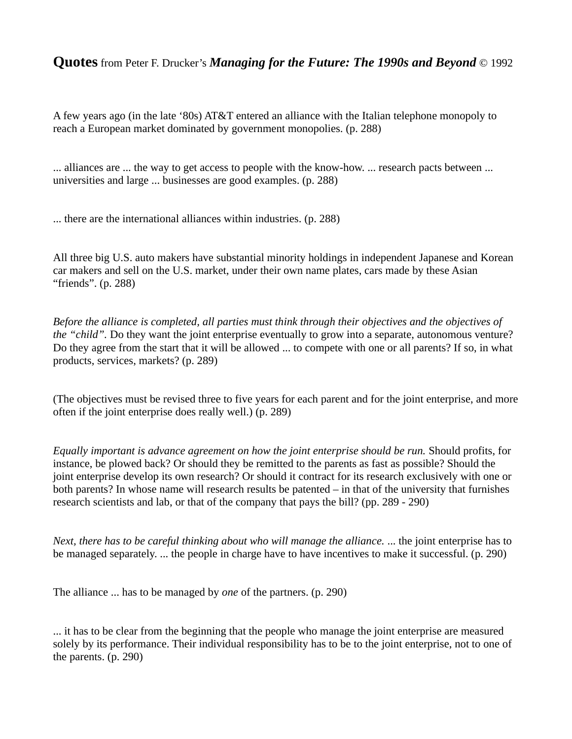A few years ago (in the late '80s) AT&T entered an alliance with the Italian telephone monopoly to reach a European market dominated by government monopolies. (p. 288)

... alliances are ... the way to get access to people with the know-how. ... research pacts between ... universities and large ... businesses are good examples. (p. 288)

... there are the international alliances within industries. (p. 288)

All three big U.S. auto makers have substantial minority holdings in independent Japanese and Korean car makers and sell on the U.S. market, under their own name plates, cars made by these Asian "friends". (p. 288)

*Before the alliance is completed, all parties must think through their objectives and the objectives of the "child".* Do they want the joint enterprise eventually to grow into a separate, autonomous venture? Do they agree from the start that it will be allowed ... to compete with one or all parents? If so, in what products, services, markets? (p. 289)

(The objectives must be revised three to five years for each parent and for the joint enterprise, and more often if the joint enterprise does really well.) (p. 289)

*Equally important is advance agreement on how the joint enterprise should be run.* Should profits, for instance, be plowed back? Or should they be remitted to the parents as fast as possible? Should the joint enterprise develop its own research? Or should it contract for its research exclusively with one or both parents? In whose name will research results be patented – in that of the university that furnishes research scientists and lab, or that of the company that pays the bill? (pp. 289 - 290)

*Next, there has to be careful thinking about who will manage the alliance.* ... the joint enterprise has to be managed separately. ... the people in charge have to have incentives to make it successful. (p. 290)

The alliance ... has to be managed by *one* of the partners. (p. 290)

... it has to be clear from the beginning that the people who manage the joint enterprise are measured solely by its performance. Their individual responsibility has to be to the joint enterprise, not to one of the parents. (p. 290)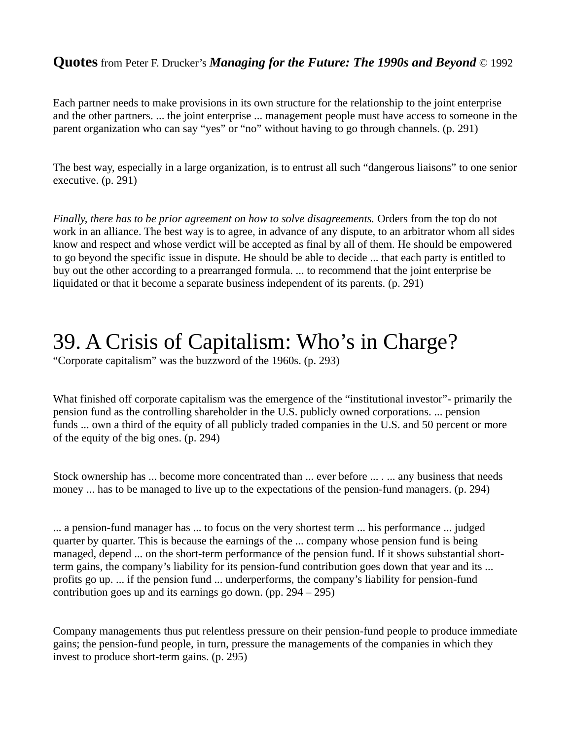Each partner needs to make provisions in its own structure for the relationship to the joint enterprise and the other partners. ... the joint enterprise ... management people must have access to someone in the parent organization who can say "yes" or "no" without having to go through channels. (p. 291)

The best way, especially in a large organization, is to entrust all such "dangerous liaisons" to one senior executive. (p. 291)

*Finally, there has to be prior agreement on how to solve disagreements.* Orders from the top do not work in an alliance. The best way is to agree, in advance of any dispute, to an arbitrator whom all sides know and respect and whose verdict will be accepted as final by all of them. He should be empowered to go beyond the specific issue in dispute. He should be able to decide ... that each party is entitled to buy out the other according to a prearranged formula. ... to recommend that the joint enterprise be liquidated or that it become a separate business independent of its parents. (p. 291)

### 39. A Crisis of Capitalism: Who's in Charge?

"Corporate capitalism" was the buzzword of the 1960s. (p. 293)

What finished off corporate capitalism was the emergence of the "institutional investor"- primarily the pension fund as the controlling shareholder in the U.S. publicly owned corporations. ... pension funds ... own a third of the equity of all publicly traded companies in the U.S. and 50 percent or more of the equity of the big ones. (p. 294)

Stock ownership has ... become more concentrated than ... ever before ... . ... any business that needs money ... has to be managed to live up to the expectations of the pension-fund managers. (p. 294)

... a pension-fund manager has ... to focus on the very shortest term ... his performance ... judged quarter by quarter. This is because the earnings of the ... company whose pension fund is being managed, depend ... on the short-term performance of the pension fund. If it shows substantial shortterm gains, the company's liability for its pension-fund contribution goes down that year and its ... profits go up. ... if the pension fund ... underperforms, the company's liability for pension-fund contribution goes up and its earnings go down. (pp. 294 – 295)

Company managements thus put relentless pressure on their pension-fund people to produce immediate gains; the pension-fund people, in turn, pressure the managements of the companies in which they invest to produce short-term gains. (p. 295)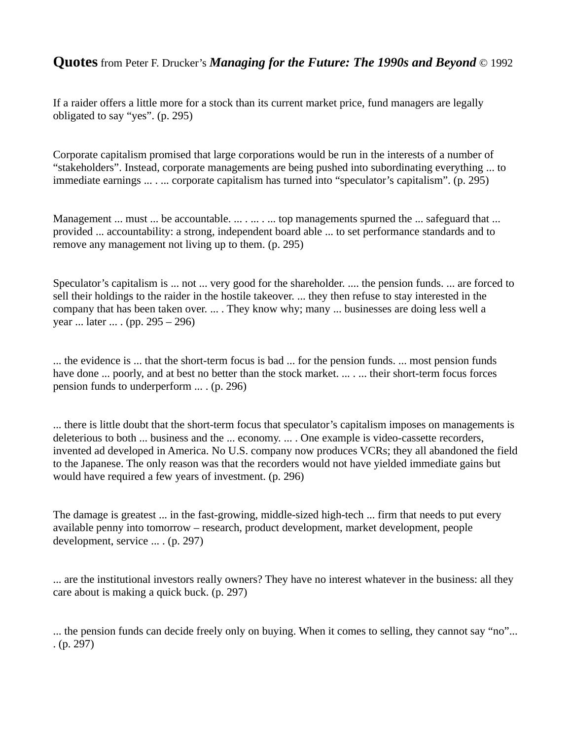If a raider offers a little more for a stock than its current market price, fund managers are legally obligated to say "yes". (p. 295)

Corporate capitalism promised that large corporations would be run in the interests of a number of "stakeholders". Instead, corporate managements are being pushed into subordinating everything ... to immediate earnings ... . ... corporate capitalism has turned into "speculator's capitalism". (p. 295)

Management ... must ... be accountable. ... . ... . ... top managements spurned the ... safeguard that ... provided ... accountability: a strong, independent board able ... to set performance standards and to remove any management not living up to them. (p. 295)

Speculator's capitalism is ... not ... very good for the shareholder. .... the pension funds. ... are forced to sell their holdings to the raider in the hostile takeover. ... they then refuse to stay interested in the company that has been taken over. ... . They know why; many ... businesses are doing less well a year ... later ... . (pp. 295 – 296)

... the evidence is ... that the short-term focus is bad ... for the pension funds. ... most pension funds have done ... poorly, and at best no better than the stock market. ... . ... their short-term focus forces pension funds to underperform ... . (p. 296)

... there is little doubt that the short-term focus that speculator's capitalism imposes on managements is deleterious to both ... business and the ... economy. ... . One example is video-cassette recorders, invented ad developed in America. No U.S. company now produces VCRs; they all abandoned the field to the Japanese. The only reason was that the recorders would not have yielded immediate gains but would have required a few years of investment. (p. 296)

The damage is greatest ... in the fast-growing, middle-sized high-tech ... firm that needs to put every available penny into tomorrow – research, product development, market development, people development, service ... . (p. 297)

... are the institutional investors really owners? They have no interest whatever in the business: all they care about is making a quick buck. (p. 297)

... the pension funds can decide freely only on buying. When it comes to selling, they cannot say "no"... . (p. 297)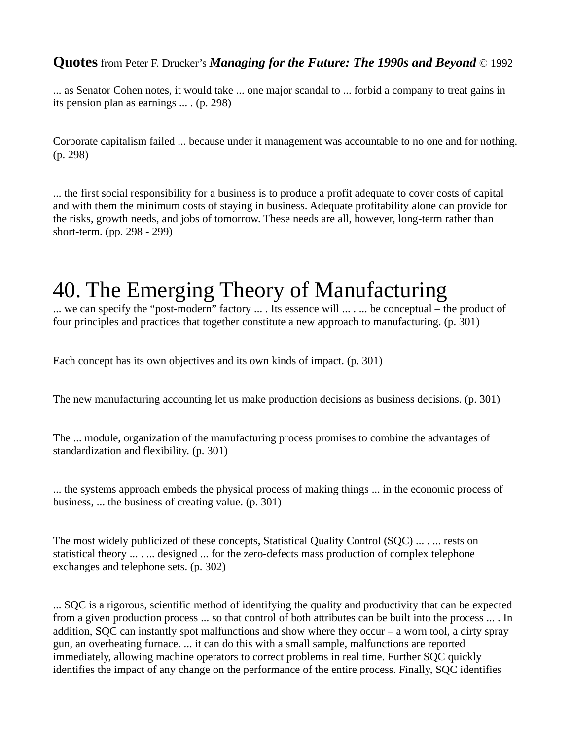... as Senator Cohen notes, it would take ... one major scandal to ... forbid a company to treat gains in its pension plan as earnings ... . (p. 298)

Corporate capitalism failed ... because under it management was accountable to no one and for nothing. (p. 298)

... the first social responsibility for a business is to produce a profit adequate to cover costs of capital and with them the minimum costs of staying in business. Adequate profitability alone can provide for the risks, growth needs, and jobs of tomorrow. These needs are all, however, long-term rather than short-term. (pp. 298 - 299)

### 40. The Emerging Theory of Manufacturing

... we can specify the "post-modern" factory ... . Its essence will ... . ... be conceptual – the product of four principles and practices that together constitute a new approach to manufacturing. (p. 301)

Each concept has its own objectives and its own kinds of impact. (p. 301)

The new manufacturing accounting let us make production decisions as business decisions. (p. 301)

The ... module, organization of the manufacturing process promises to combine the advantages of standardization and flexibility. (p. 301)

... the systems approach embeds the physical process of making things ... in the economic process of business, ... the business of creating value. (p. 301)

The most widely publicized of these concepts, Statistical Quality Control (SQC) ... . ... rests on statistical theory ... . ... designed ... for the zero-defects mass production of complex telephone exchanges and telephone sets. (p. 302)

... SQC is a rigorous, scientific method of identifying the quality and productivity that can be expected from a given production process ... so that control of both attributes can be built into the process ... . In addition, SQC can instantly spot malfunctions and show where they occur – a worn tool, a dirty spray gun, an overheating furnace. ... it can do this with a small sample, malfunctions are reported immediately, allowing machine operators to correct problems in real time. Further SQC quickly identifies the impact of any change on the performance of the entire process. Finally, SQC identifies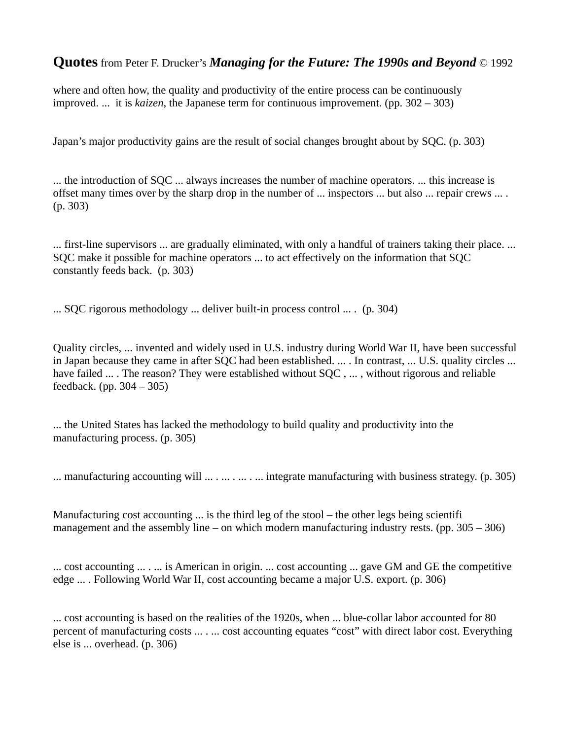where and often how, the quality and productivity of the entire process can be continuously improved. ... it is *kaizen*, the Japanese term for continuous improvement. (pp. 302 – 303)

Japan's major productivity gains are the result of social changes brought about by SQC. (p. 303)

... the introduction of SQC ... always increases the number of machine operators. ... this increase is offset many times over by the sharp drop in the number of ... inspectors ... but also ... repair crews ... . (p. 303)

... first-line supervisors ... are gradually eliminated, with only a handful of trainers taking their place. ... SQC make it possible for machine operators ... to act effectively on the information that SQC constantly feeds back. (p. 303)

... SQC rigorous methodology ... deliver built-in process control ... . (p. 304)

Quality circles, ... invented and widely used in U.S. industry during World War II, have been successful in Japan because they came in after SQC had been established. ... . In contrast, ... U.S. quality circles ... have failed ... . The reason? They were established without SQC, ..., without rigorous and reliable feedback. (pp. 304 – 305)

... the United States has lacked the methodology to build quality and productivity into the manufacturing process. (p. 305)

... manufacturing accounting will ... . ... . ... . ... integrate manufacturing with business strategy. (p. 305)

Manufacturing cost accounting ... is the third leg of the stool – the other legs being scientifi management and the assembly line – on which modern manufacturing industry rests. (pp.  $305 - 306$ )

... cost accounting ... . ... is American in origin. ... cost accounting ... gave GM and GE the competitive edge ... . Following World War II, cost accounting became a major U.S. export. (p. 306)

... cost accounting is based on the realities of the 1920s, when ... blue-collar labor accounted for 80 percent of manufacturing costs ... . ... cost accounting equates "cost" with direct labor cost. Everything else is ... overhead. (p. 306)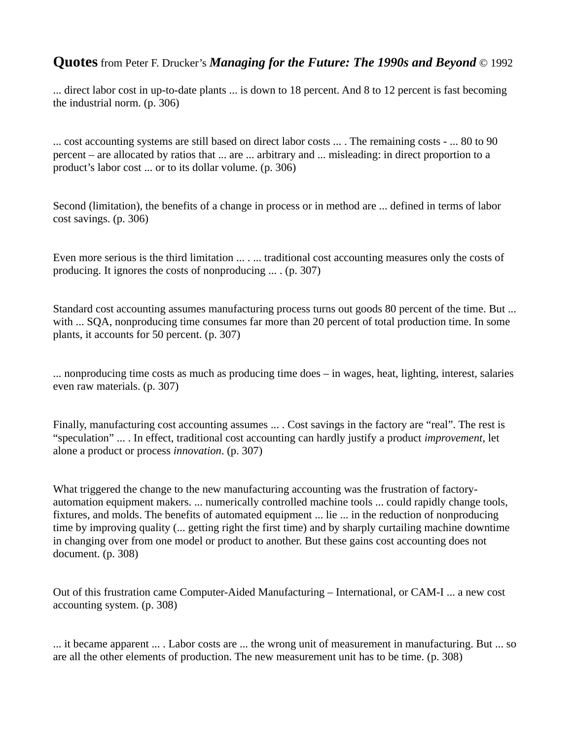... direct labor cost in up-to-date plants ... is down to 18 percent. And 8 to 12 percent is fast becoming the industrial norm. (p. 306)

... cost accounting systems are still based on direct labor costs ... . The remaining costs - ... 80 to 90 percent – are allocated by ratios that ... are ... arbitrary and ... misleading: in direct proportion to a product's labor cost ... or to its dollar volume. (p. 306)

Second (limitation), the benefits of a change in process or in method are ... defined in terms of labor cost savings. (p. 306)

Even more serious is the third limitation ... . ... traditional cost accounting measures only the costs of producing. It ignores the costs of nonproducing ... . (p. 307)

Standard cost accounting assumes manufacturing process turns out goods 80 percent of the time. But ... with ... SQA, nonproducing time consumes far more than 20 percent of total production time. In some plants, it accounts for 50 percent. (p. 307)

... nonproducing time costs as much as producing time does – in wages, heat, lighting, interest, salaries even raw materials. (p. 307)

Finally, manufacturing cost accounting assumes ... . Cost savings in the factory are "real". The rest is "speculation" ... . In effect, traditional cost accounting can hardly justify a product *improvement*, let alone a product or process *innovation*. (p. 307)

What triggered the change to the new manufacturing accounting was the frustration of factoryautomation equipment makers. ... numerically controlled machine tools ... could rapidly change tools, fixtures, and molds. The benefits of automated equipment ... lie ... in the reduction of nonproducing time by improving quality (... getting right the first time) and by sharply curtailing machine downtime in changing over from one model or product to another. But these gains cost accounting does not document. (p. 308)

Out of this frustration came Computer-Aided Manufacturing – International, or CAM-I ... a new cost accounting system. (p. 308)

... it became apparent ... . Labor costs are ... the wrong unit of measurement in manufacturing. But ... so are all the other elements of production. The new measurement unit has to be time. (p. 308)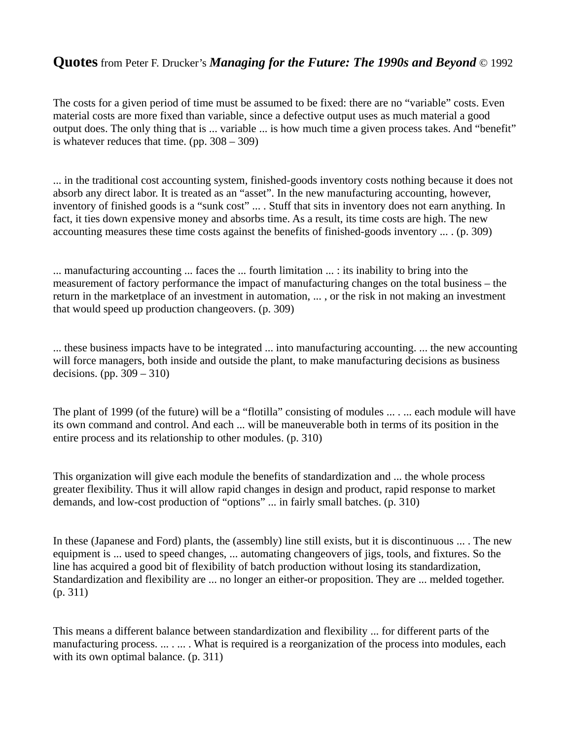The costs for a given period of time must be assumed to be fixed: there are no "variable" costs. Even material costs are more fixed than variable, since a defective output uses as much material a good output does. The only thing that is ... variable ... is how much time a given process takes. And "benefit" is whatever reduces that time. (pp. 308 – 309)

... in the traditional cost accounting system, finished-goods inventory costs nothing because it does not absorb any direct labor. It is treated as an "asset". In the new manufacturing accounting, however, inventory of finished goods is a "sunk cost" ... . Stuff that sits in inventory does not earn anything. In fact, it ties down expensive money and absorbs time. As a result, its time costs are high. The new accounting measures these time costs against the benefits of finished-goods inventory ... . (p. 309)

... manufacturing accounting ... faces the ... fourth limitation ... : its inability to bring into the measurement of factory performance the impact of manufacturing changes on the total business – the return in the marketplace of an investment in automation, ... , or the risk in not making an investment that would speed up production changeovers. (p. 309)

... these business impacts have to be integrated ... into manufacturing accounting. ... the new accounting will force managers, both inside and outside the plant, to make manufacturing decisions as business decisions. (pp. 309 – 310)

The plant of 1999 (of the future) will be a "flotilla" consisting of modules ... . ... each module will have its own command and control. And each ... will be maneuverable both in terms of its position in the entire process and its relationship to other modules. (p. 310)

This organization will give each module the benefits of standardization and ... the whole process greater flexibility. Thus it will allow rapid changes in design and product, rapid response to market demands, and low-cost production of "options" ... in fairly small batches. (p. 310)

In these (Japanese and Ford) plants, the (assembly) line still exists, but it is discontinuous ... . The new equipment is ... used to speed changes, ... automating changeovers of jigs, tools, and fixtures. So the line has acquired a good bit of flexibility of batch production without losing its standardization, Standardization and flexibility are ... no longer an either-or proposition. They are ... melded together. (p. 311)

This means a different balance between standardization and flexibility ... for different parts of the manufacturing process. ... . ... . What is required is a reorganization of the process into modules, each with its own optimal balance. (p. 311)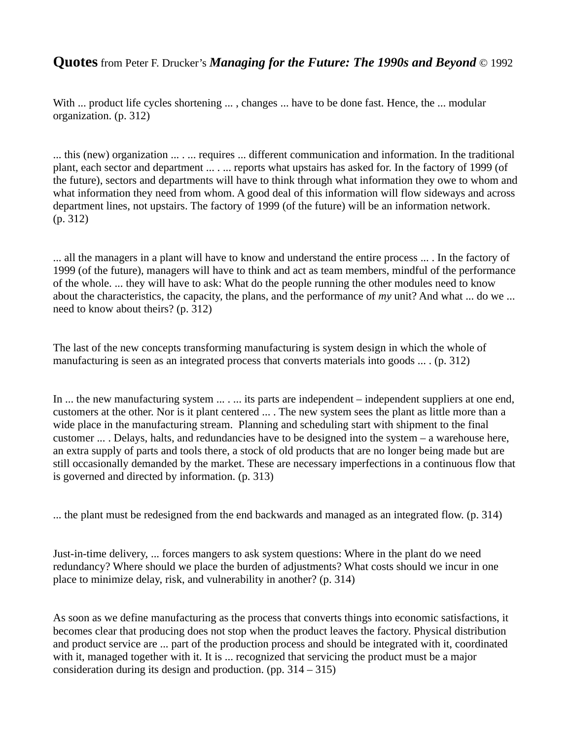With ... product life cycles shortening ..., changes ... have to be done fast. Hence, the ... modular organization. (p. 312)

... this (new) organization ... . ... requires ... different communication and information. In the traditional plant, each sector and department ... . ... reports what upstairs has asked for. In the factory of 1999 (of the future), sectors and departments will have to think through what information they owe to whom and what information they need from whom. A good deal of this information will flow sideways and across department lines, not upstairs. The factory of 1999 (of the future) will be an information network. (p. 312)

... all the managers in a plant will have to know and understand the entire process ... . In the factory of 1999 (of the future), managers will have to think and act as team members, mindful of the performance of the whole. ... they will have to ask: What do the people running the other modules need to know about the characteristics, the capacity, the plans, and the performance of *my* unit? And what ... do we ... need to know about theirs? (p. 312)

The last of the new concepts transforming manufacturing is system design in which the whole of manufacturing is seen as an integrated process that converts materials into goods ... . (p. 312)

In ... the new manufacturing system ... . ... its parts are independent – independent suppliers at one end, customers at the other. Nor is it plant centered ... . The new system sees the plant as little more than a wide place in the manufacturing stream. Planning and scheduling start with shipment to the final customer ... . Delays, halts, and redundancies have to be designed into the system – a warehouse here, an extra supply of parts and tools there, a stock of old products that are no longer being made but are still occasionally demanded by the market. These are necessary imperfections in a continuous flow that is governed and directed by information. (p. 313)

... the plant must be redesigned from the end backwards and managed as an integrated flow. (p. 314)

Just-in-time delivery, ... forces mangers to ask system questions: Where in the plant do we need redundancy? Where should we place the burden of adjustments? What costs should we incur in one place to minimize delay, risk, and vulnerability in another? (p. 314)

As soon as we define manufacturing as the process that converts things into economic satisfactions, it becomes clear that producing does not stop when the product leaves the factory. Physical distribution and product service are ... part of the production process and should be integrated with it, coordinated with it, managed together with it. It is ... recognized that servicing the product must be a major consideration during its design and production. (pp. 314 – 315)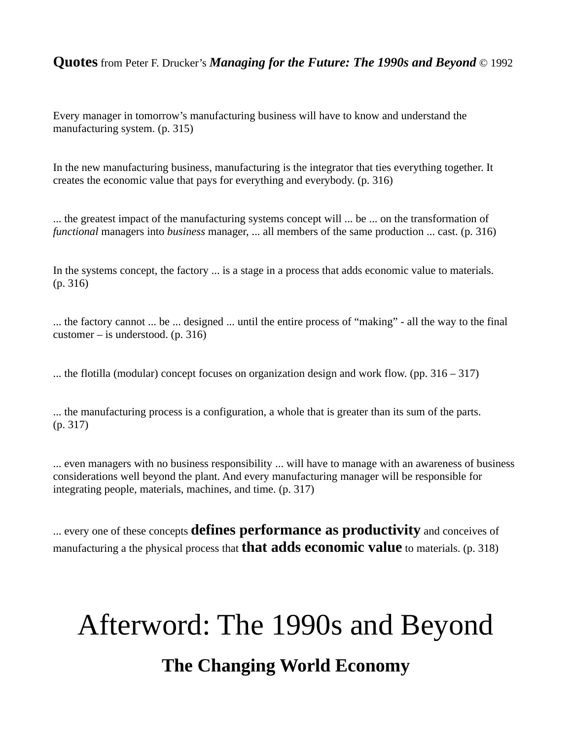Every manager in tomorrow's manufacturing business will have to know and understand the manufacturing system. (p. 315)

In the new manufacturing business, manufacturing is the integrator that ties everything together. It creates the economic value that pays for everything and everybody. (p. 316)

... the greatest impact of the manufacturing systems concept will ... be ... on the transformation of *functional* managers into *business* manager, ... all members of the same production ... cast. (p. 316)

In the systems concept, the factory ... is a stage in a process that adds economic value to materials. (p. 316)

... the factory cannot ... be ... designed ... until the entire process of "making" - all the way to the final customer – is understood. (p. 316)

... the flotilla (modular) concept focuses on organization design and work flow. (pp. 316 – 317)

... the manufacturing process is a configuration, a whole that is greater than its sum of the parts. (p. 317)

... even managers with no business responsibility ... will have to manage with an awareness of business considerations well beyond the plant. And every manufacturing manager will be responsible for integrating people, materials, machines, and time. (p. 317)

... every one of these concepts **defines performance as productivity** and conceives of manufacturing a the physical process that **that adds economic value** to materials. (p. 318)

# Afterword: The 1990s and Beyond **The Changing World Economy**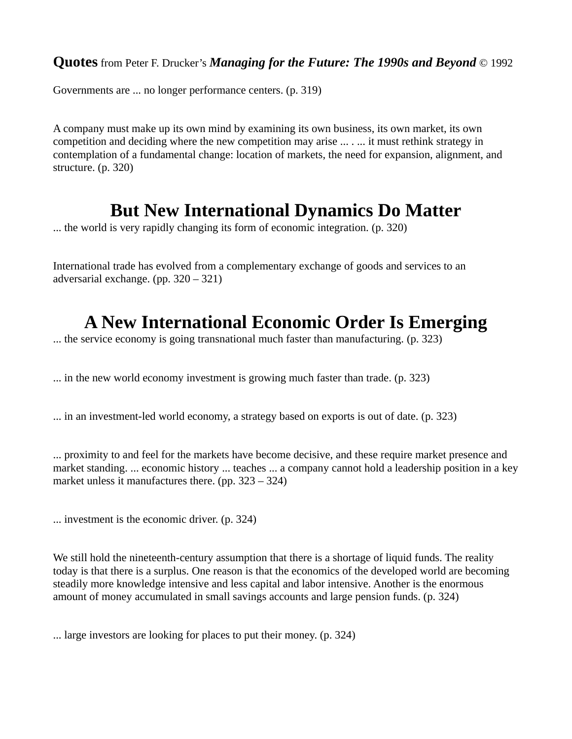Governments are ... no longer performance centers. (p. 319)

A company must make up its own mind by examining its own business, its own market, its own competition and deciding where the new competition may arise ... . ... it must rethink strategy in contemplation of a fundamental change: location of markets, the need for expansion, alignment, and structure. (p. 320)

### **But New International Dynamics Do Matter**

... the world is very rapidly changing its form of economic integration. (p. 320)

International trade has evolved from a complementary exchange of goods and services to an adversarial exchange. (pp. 320 – 321)

### **A New International Economic Order Is Emerging**

... the service economy is going transnational much faster than manufacturing. (p. 323)

... in the new world economy investment is growing much faster than trade. (p. 323)

... in an investment-led world economy, a strategy based on exports is out of date. (p. 323)

... proximity to and feel for the markets have become decisive, and these require market presence and market standing. ... economic history ... teaches ... a company cannot hold a leadership position in a key market unless it manufactures there. (pp. 323 – 324)

... investment is the economic driver. (p. 324)

We still hold the nineteenth-century assumption that there is a shortage of liquid funds. The reality today is that there is a surplus. One reason is that the economics of the developed world are becoming steadily more knowledge intensive and less capital and labor intensive. Another is the enormous amount of money accumulated in small savings accounts and large pension funds. (p. 324)

... large investors are looking for places to put their money. (p. 324)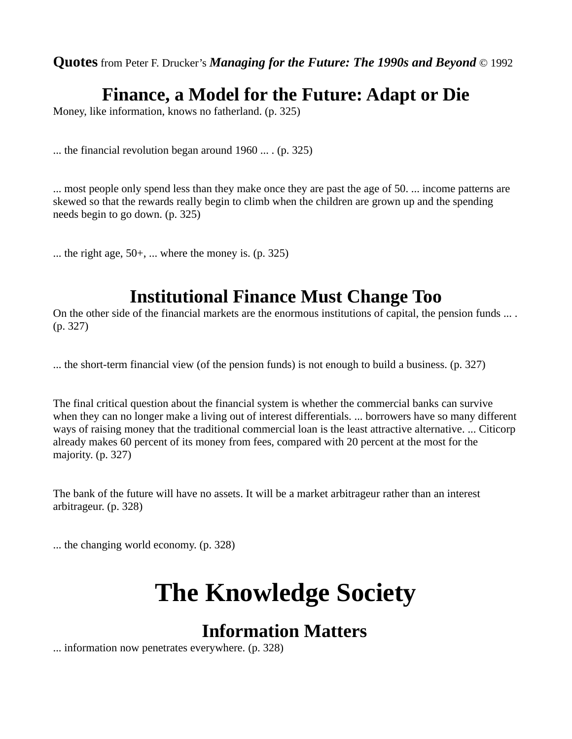### **Finance, a Model for the Future: Adapt or Die**

Money, like information, knows no fatherland. (p. 325)

... the financial revolution began around 1960 ... . (p. 325)

... most people only spend less than they make once they are past the age of 50. ... income patterns are skewed so that the rewards really begin to climb when the children are grown up and the spending needs begin to go down. (p. 325)

 $\ldots$  the right age, 50+,  $\ldots$  where the money is. (p. 325)

### **Institutional Finance Must Change Too**

On the other side of the financial markets are the enormous institutions of capital, the pension funds ... . (p. 327)

... the short-term financial view (of the pension funds) is not enough to build a business. (p. 327)

The final critical question about the financial system is whether the commercial banks can survive when they can no longer make a living out of interest differentials. ... borrowers have so many different ways of raising money that the traditional commercial loan is the least attractive alternative. ... Citicorp already makes 60 percent of its money from fees, compared with 20 percent at the most for the majority. (p. 327)

The bank of the future will have no assets. It will be a market arbitrageur rather than an interest arbitrageur. (p. 328)

... the changing world economy. (p. 328)

# **The Knowledge Society**

### **Information Matters**

... information now penetrates everywhere. (p. 328)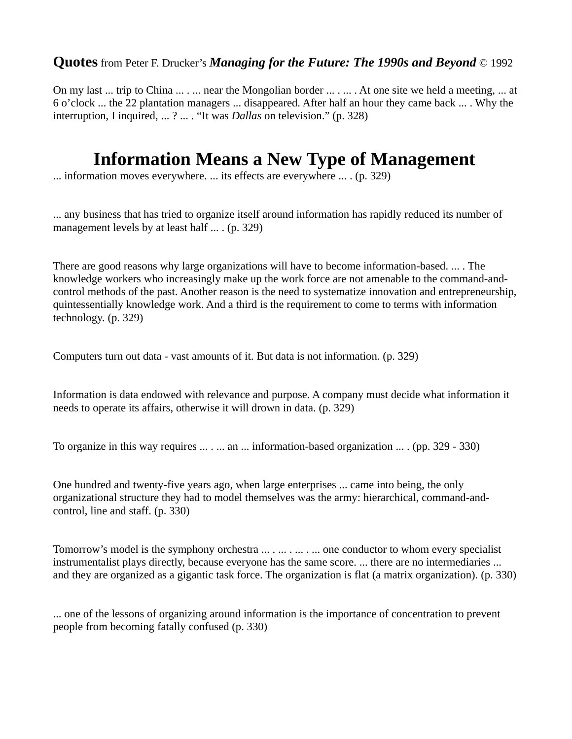On my last ... trip to China ... . ... near the Mongolian border ... . ... . At one site we held a meeting, ... at 6 o'clock ... the 22 plantation managers ... disappeared. After half an hour they came back ... . Why the interruption, I inquired, ... ? ... . "It was *Dallas* on television." (p. 328)

#### **Information Means a New Type of Management**

... information moves everywhere. ... its effects are everywhere ... . (p. 329)

... any business that has tried to organize itself around information has rapidly reduced its number of management levels by at least half ... . (p. 329)

There are good reasons why large organizations will have to become information-based. ... . The knowledge workers who increasingly make up the work force are not amenable to the command-andcontrol methods of the past. Another reason is the need to systematize innovation and entrepreneurship, quintessentially knowledge work. And a third is the requirement to come to terms with information technology. (p. 329)

Computers turn out data - vast amounts of it. But data is not information. (p. 329)

Information is data endowed with relevance and purpose. A company must decide what information it needs to operate its affairs, otherwise it will drown in data. (p. 329)

To organize in this way requires ... . ... an ... information-based organization ... . (pp. 329 - 330)

One hundred and twenty-five years ago, when large enterprises ... came into being, the only organizational structure they had to model themselves was the army: hierarchical, command-andcontrol, line and staff. (p. 330)

Tomorrow's model is the symphony orchestra ... . ... . ... . ... one conductor to whom every specialist instrumentalist plays directly, because everyone has the same score. ... there are no intermediaries ... and they are organized as a gigantic task force. The organization is flat (a matrix organization). (p. 330)

... one of the lessons of organizing around information is the importance of concentration to prevent people from becoming fatally confused (p. 330)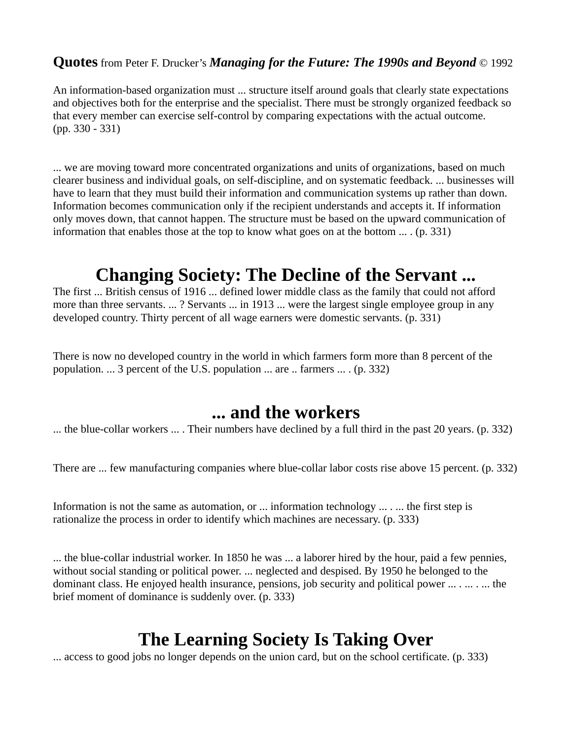An information-based organization must ... structure itself around goals that clearly state expectations and objectives both for the enterprise and the specialist. There must be strongly organized feedback so that every member can exercise self-control by comparing expectations with the actual outcome. (pp. 330 - 331)

... we are moving toward more concentrated organizations and units of organizations, based on much clearer business and individual goals, on self-discipline, and on systematic feedback. ... businesses will have to learn that they must build their information and communication systems up rather than down. Information becomes communication only if the recipient understands and accepts it. If information only moves down, that cannot happen. The structure must be based on the upward communication of information that enables those at the top to know what goes on at the bottom  $\dots$ . (p. 331)

### **Changing Society: The Decline of the Servant ...**

The first ... British census of 1916 ... defined lower middle class as the family that could not afford more than three servants. ... ? Servants ... in 1913 ... were the largest single employee group in any developed country. Thirty percent of all wage earners were domestic servants. (p. 331)

There is now no developed country in the world in which farmers form more than 8 percent of the population. ... 3 percent of the U.S. population ... are .. farmers ... . (p. 332)

#### **... and the workers**

... the blue-collar workers ... . Their numbers have declined by a full third in the past 20 years. (p. 332)

There are ... few manufacturing companies where blue-collar labor costs rise above 15 percent. (p. 332)

Information is not the same as automation, or ... information technology ... . ... the first step is rationalize the process in order to identify which machines are necessary. (p. 333)

... the blue-collar industrial worker. In 1850 he was ... a laborer hired by the hour, paid a few pennies, without social standing or political power. ... neglected and despised. By 1950 he belonged to the dominant class. He enjoyed health insurance, pensions, job security and political power ... . ... ... the brief moment of dominance is suddenly over. (p. 333)

### **The Learning Society Is Taking Over**

... access to good jobs no longer depends on the union card, but on the school certificate. (p. 333)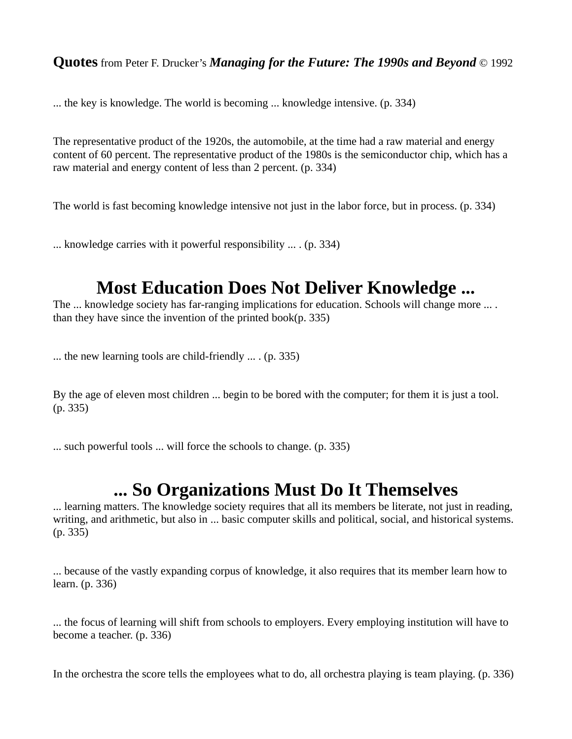... the key is knowledge. The world is becoming ... knowledge intensive. (p. 334)

The representative product of the 1920s, the automobile, at the time had a raw material and energy content of 60 percent. The representative product of the 1980s is the semiconductor chip, which has a raw material and energy content of less than 2 percent. (p. 334)

The world is fast becoming knowledge intensive not just in the labor force, but in process. (p. 334)

... knowledge carries with it powerful responsibility ... . (p. 334)

### **Most Education Does Not Deliver Knowledge ...**

The ... knowledge society has far-ranging implications for education. Schools will change more ... . than they have since the invention of the printed book(p. 335)

... the new learning tools are child-friendly ... . (p. 335)

By the age of eleven most children ... begin to be bored with the computer; for them it is just a tool. (p. 335)

... such powerful tools ... will force the schools to change. (p. 335)

#### **... So Organizations Must Do It Themselves**

... learning matters. The knowledge society requires that all its members be literate, not just in reading, writing, and arithmetic, but also in ... basic computer skills and political, social, and historical systems. (p. 335)

... because of the vastly expanding corpus of knowledge, it also requires that its member learn how to learn. (p. 336)

... the focus of learning will shift from schools to employers. Every employing institution will have to become a teacher. (p. 336)

In the orchestra the score tells the employees what to do, all orchestra playing is team playing. (p. 336)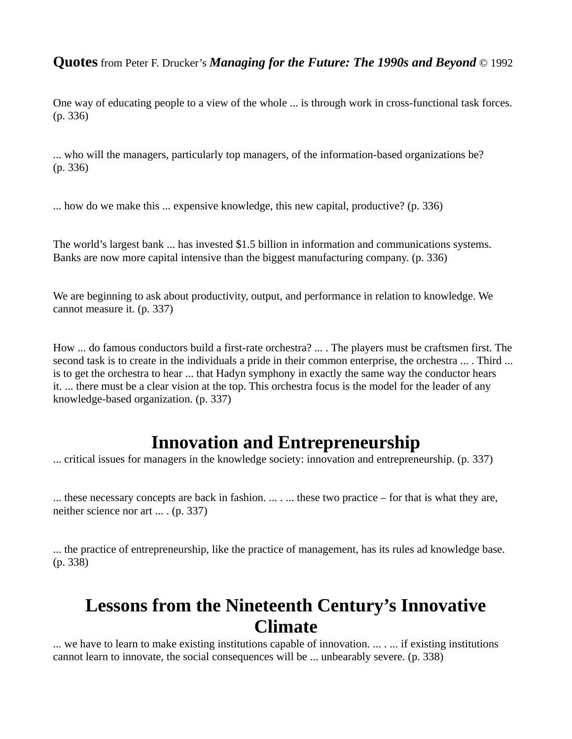One way of educating people to a view of the whole ... is through work in cross-functional task forces. (p. 336)

... who will the managers, particularly top managers, of the information-based organizations be? (p. 336)

... how do we make this ... expensive knowledge, this new capital, productive? (p. 336)

The world's largest bank ... has invested \$1.5 billion in information and communications systems. Banks are now more capital intensive than the biggest manufacturing company. (p. 336)

We are beginning to ask about productivity, output, and performance in relation to knowledge. We cannot measure it. (p. 337)

How ... do famous conductors build a first-rate orchestra? ... . The players must be craftsmen first. The second task is to create in the individuals a pride in their common enterprise, the orchestra ... . Third ... is to get the orchestra to hear ... that Hadyn symphony in exactly the same way the conductor hears it. ... there must be a clear vision at the top. This orchestra focus is the model for the leader of any knowledge-based organization. (p. 337)

#### **Innovation and Entrepreneurship**

... critical issues for managers in the knowledge society: innovation and entrepreneurship. (p. 337)

... these necessary concepts are back in fashion. ... . ... these two practice – for that is what they are, neither science nor art ... . (p. 337)

... the practice of entrepreneurship, like the practice of management, has its rules ad knowledge base. (p. 338)

#### **Lessons from the Nineteenth Century's Innovative Climate**

... we have to learn to make existing institutions capable of innovation. ... . ... if existing institutions cannot learn to innovate, the social consequences will be ... unbearably severe. (p. 338)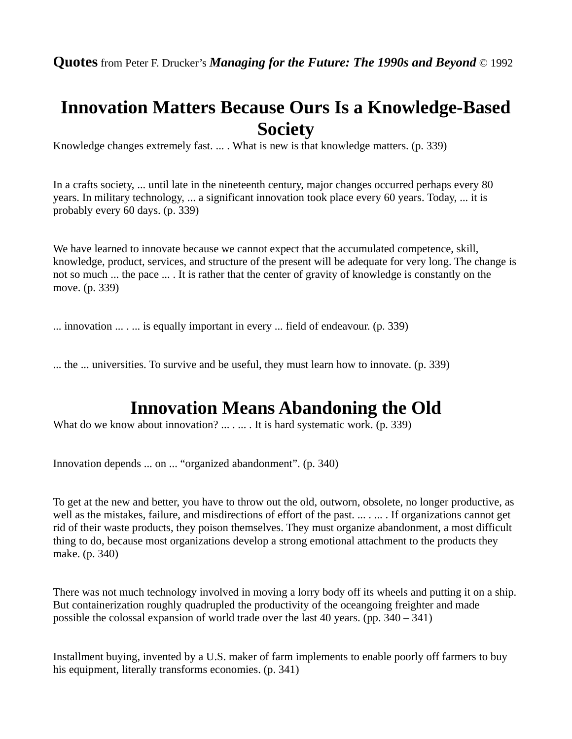### **Innovation Matters Because Ours Is a Knowledge-Based Society**

Knowledge changes extremely fast. ... . What is new is that knowledge matters. (p. 339)

In a crafts society, ... until late in the nineteenth century, major changes occurred perhaps every 80 years. In military technology, ... a significant innovation took place every 60 years. Today, ... it is probably every 60 days. (p. 339)

We have learned to innovate because we cannot expect that the accumulated competence, skill, knowledge, product, services, and structure of the present will be adequate for very long. The change is not so much ... the pace ... . It is rather that the center of gravity of knowledge is constantly on the move. (p. 339)

... innovation ... . ... is equally important in every ... field of endeavour. (p. 339)

... the ... universities. To survive and be useful, they must learn how to innovate. (p. 339)

### **Innovation Means Abandoning the Old**

What do we know about innovation? ... . ... . It is hard systematic work. (p. 339)

Innovation depends ... on ... "organized abandonment". (p. 340)

To get at the new and better, you have to throw out the old, outworn, obsolete, no longer productive, as well as the mistakes, failure, and misdirections of effort of the past. ... . ... . If organizations cannot get rid of their waste products, they poison themselves. They must organize abandonment, a most difficult thing to do, because most organizations develop a strong emotional attachment to the products they make. (p. 340)

There was not much technology involved in moving a lorry body off its wheels and putting it on a ship. But containerization roughly quadrupled the productivity of the oceangoing freighter and made possible the colossal expansion of world trade over the last 40 years. (pp.  $340 - 341$ )

Installment buying, invented by a U.S. maker of farm implements to enable poorly off farmers to buy his equipment, literally transforms economies. (p. 341)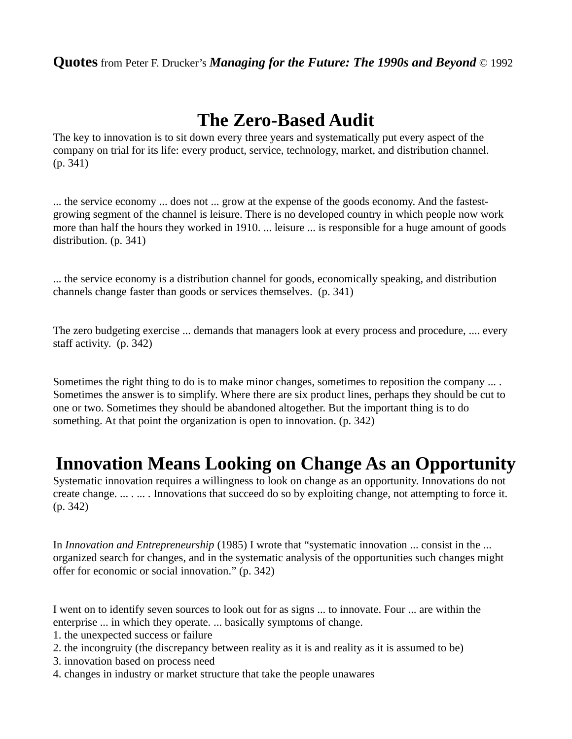### **The Zero-Based Audit**

The key to innovation is to sit down every three years and systematically put every aspect of the company on trial for its life: every product, service, technology, market, and distribution channel. (p. 341)

... the service economy ... does not ... grow at the expense of the goods economy. And the fastestgrowing segment of the channel is leisure. There is no developed country in which people now work more than half the hours they worked in 1910. ... leisure ... is responsible for a huge amount of goods distribution. (p. 341)

... the service economy is a distribution channel for goods, economically speaking, and distribution channels change faster than goods or services themselves. (p. 341)

The zero budgeting exercise ... demands that managers look at every process and procedure, .... every staff activity. (p. 342)

Sometimes the right thing to do is to make minor changes, sometimes to reposition the company ... . Sometimes the answer is to simplify. Where there are six product lines, perhaps they should be cut to one or two. Sometimes they should be abandoned altogether. But the important thing is to do something. At that point the organization is open to innovation. (p. 342)

#### **Innovation Means Looking on Change As an Opportunity**

Systematic innovation requires a willingness to look on change as an opportunity. Innovations do not create change. ... . ... . Innovations that succeed do so by exploiting change, not attempting to force it. (p. 342)

In *Innovation and Entrepreneurship* (1985) I wrote that "systematic innovation ... consist in the ... organized search for changes, and in the systematic analysis of the opportunities such changes might offer for economic or social innovation." (p. 342)

I went on to identify seven sources to look out for as signs ... to innovate. Four ... are within the enterprise ... in which they operate. ... basically symptoms of change.

1. the unexpected success or failure

- 2. the incongruity (the discrepancy between reality as it is and reality as it is assumed to be)
- 3. innovation based on process need
- 4. changes in industry or market structure that take the people unawares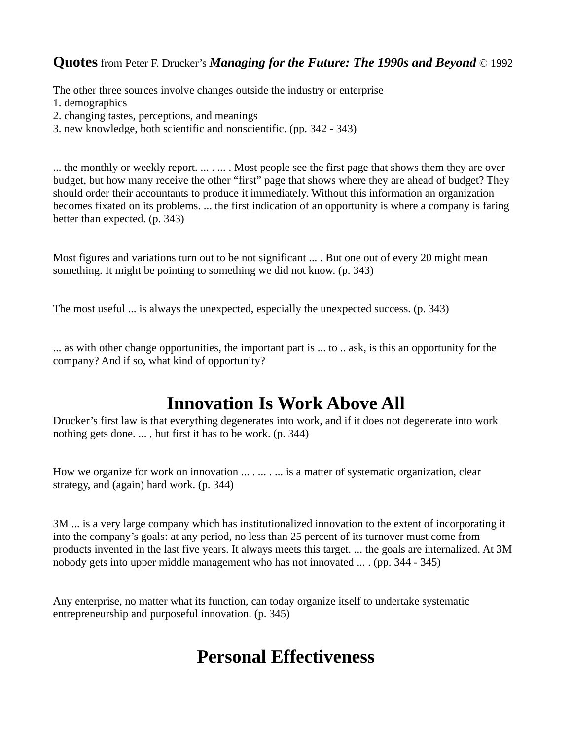The other three sources involve changes outside the industry or enterprise

- 1. demographics
- 2. changing tastes, perceptions, and meanings
- 3. new knowledge, both scientific and nonscientific. (pp. 342 343)

... the monthly or weekly report. ... . ... . Most people see the first page that shows them they are over budget, but how many receive the other "first" page that shows where they are ahead of budget? They should order their accountants to produce it immediately. Without this information an organization becomes fixated on its problems. ... the first indication of an opportunity is where a company is faring better than expected. (p. 343)

Most figures and variations turn out to be not significant ... . But one out of every 20 might mean something. It might be pointing to something we did not know. (p. 343)

The most useful ... is always the unexpected, especially the unexpected success. (p. 343)

... as with other change opportunities, the important part is ... to .. ask, is this an opportunity for the company? And if so, what kind of opportunity?

### **Innovation Is Work Above All**

Drucker's first law is that everything degenerates into work, and if it does not degenerate into work nothing gets done. ... , but first it has to be work. (p. 344)

How we organize for work on innovation ... . ... . ... is a matter of systematic organization, clear strategy, and (again) hard work. (p. 344)

3M ... is a very large company which has institutionalized innovation to the extent of incorporating it into the company's goals: at any period, no less than 25 percent of its turnover must come from products invented in the last five years. It always meets this target. ... the goals are internalized. At 3M nobody gets into upper middle management who has not innovated ... . (pp. 344 - 345)

Any enterprise, no matter what its function, can today organize itself to undertake systematic entrepreneurship and purposeful innovation. (p. 345)

### **Personal Effectiveness**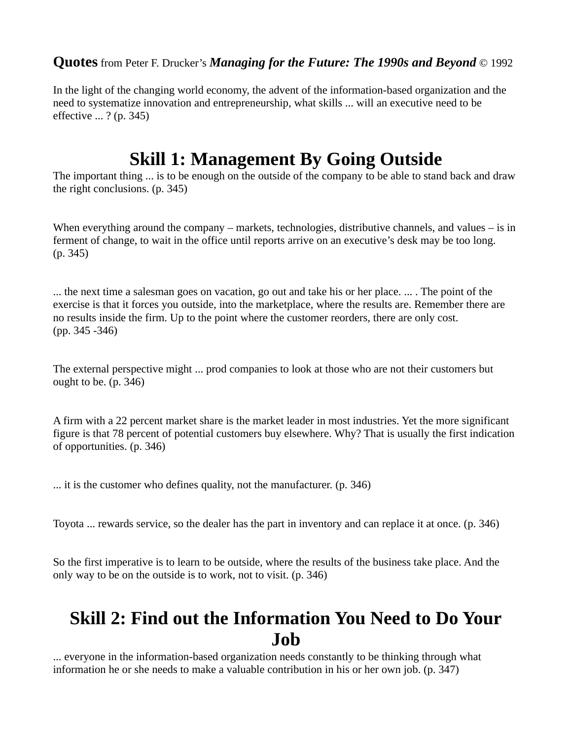In the light of the changing world economy, the advent of the information-based organization and the need to systematize innovation and entrepreneurship, what skills ... will an executive need to be effective ... ? (p. 345)

### **Skill 1: Management By Going Outside**

The important thing ... is to be enough on the outside of the company to be able to stand back and draw the right conclusions. (p. 345)

When everything around the company – markets, technologies, distributive channels, and values – is in ferment of change, to wait in the office until reports arrive on an executive's desk may be too long. (p. 345)

... the next time a salesman goes on vacation, go out and take his or her place. ... . The point of the exercise is that it forces you outside, into the marketplace, where the results are. Remember there are no results inside the firm. Up to the point where the customer reorders, there are only cost. (pp. 345 -346)

The external perspective might ... prod companies to look at those who are not their customers but ought to be. (p. 346)

A firm with a 22 percent market share is the market leader in most industries. Yet the more significant figure is that 78 percent of potential customers buy elsewhere. Why? That is usually the first indication of opportunities. (p. 346)

... it is the customer who defines quality, not the manufacturer. (p. 346)

Toyota ... rewards service, so the dealer has the part in inventory and can replace it at once. (p. 346)

So the first imperative is to learn to be outside, where the results of the business take place. And the only way to be on the outside is to work, not to visit. (p. 346)

### **Skill 2: Find out the Information You Need to Do Your Job**

... everyone in the information-based organization needs constantly to be thinking through what information he or she needs to make a valuable contribution in his or her own job. (p. 347)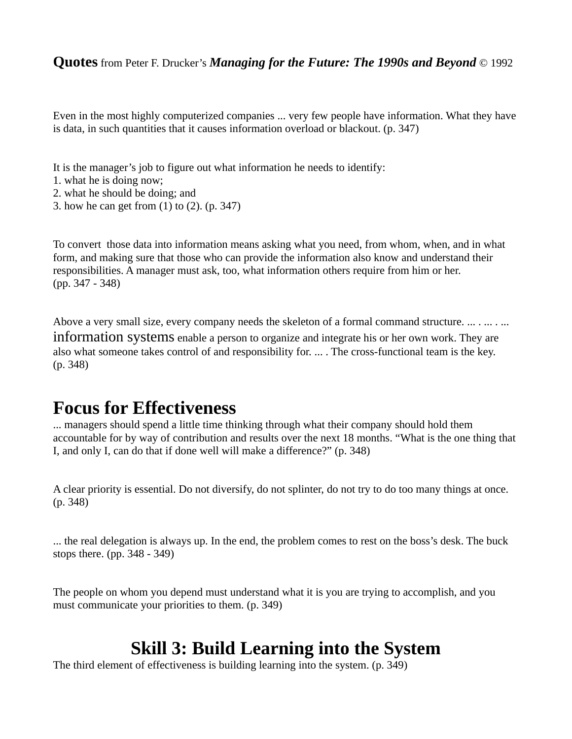Even in the most highly computerized companies ... very few people have information. What they have is data, in such quantities that it causes information overload or blackout. (p. 347)

- It is the manager's job to figure out what information he needs to identify:
- 1. what he is doing now;
- 2. what he should be doing; and
- 3. how he can get from (1) to (2). (p. 347)

To convert those data into information means asking what you need, from whom, when, and in what form, and making sure that those who can provide the information also know and understand their responsibilities. A manager must ask, too, what information others require from him or her. (pp. 347 - 348)

Above a very small size, every company needs the skeleton of a formal command structure. ... . ... . ...

information systems enable a person to organize and integrate his or her own work. They are also what someone takes control of and responsibility for. ... . The cross-functional team is the key. (p. 348)

#### **Focus for Effectiveness**

... managers should spend a little time thinking through what their company should hold them accountable for by way of contribution and results over the next 18 months. "What is the one thing that I, and only I, can do that if done well will make a difference?" (p. 348)

A clear priority is essential. Do not diversify, do not splinter, do not try to do too many things at once. (p. 348)

... the real delegation is always up. In the end, the problem comes to rest on the boss's desk. The buck stops there. (pp. 348 - 349)

The people on whom you depend must understand what it is you are trying to accomplish, and you must communicate your priorities to them. (p. 349)

#### **Skill 3: Build Learning into the System**

The third element of effectiveness is building learning into the system. (p. 349)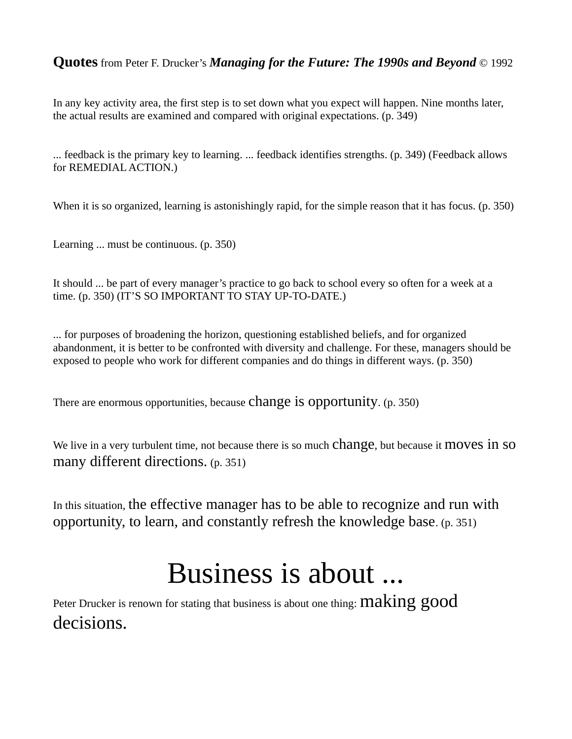In any key activity area, the first step is to set down what you expect will happen. Nine months later, the actual results are examined and compared with original expectations. (p. 349)

... feedback is the primary key to learning. ... feedback identifies strengths. (p. 349) (Feedback allows for REMEDIAL ACTION.)

When it is so organized, learning is astonishingly rapid, for the simple reason that it has focus. (p. 350)

Learning ... must be continuous. (p. 350)

It should ... be part of every manager's practice to go back to school every so often for a week at a time. (p. 350) (IT'S SO IMPORTANT TO STAY UP-TO-DATE.)

... for purposes of broadening the horizon, questioning established beliefs, and for organized abandonment, it is better to be confronted with diversity and challenge. For these, managers should be exposed to people who work for different companies and do things in different ways. (p. 350)

There are enormous opportunities, because change is opportunity. (p. 350)

We live in a very turbulent time, not because there is so much Change, but because it moves in so many different directions. (p. 351)

In this situation, the effective manager has to be able to recognize and run with opportunity, to learn, and constantly refresh the knowledge base. (p. 351)

# Business is about ...

Peter Drucker is renown for stating that business is about one thing:  $\operatorname{making}$  good decisions.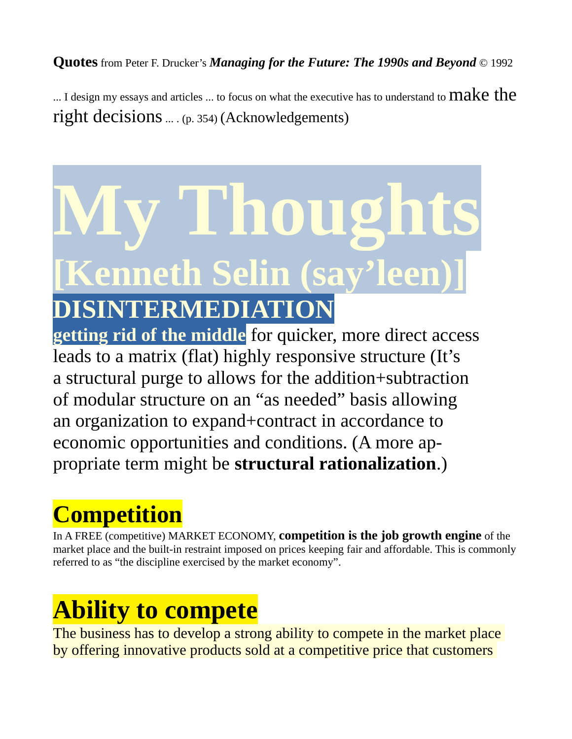... I design my essays and articles ... to focus on what the executive has to understand to  $\mathrm{make}$  the right decisions ... . (p. 354) (Acknowledgements)

# **My Thoughts [Kenneth Selin (say'leen)] DISINTERMEDIATION**

**getting rid of the middle** for quicker, more direct access leads to a matrix (flat) highly responsive structure (It's a structural purge to allows for the addition+subtraction of modular structure on an "as needed" basis allowing an organization to expand+contract in accordance to economic opportunities and conditions. (A more appropriate term might be **structural rationalization**.)

# **Competition**

In A FREE (competitive) MARKET ECONOMY, **competition is the job growth engine** of the market place and the built-in restraint imposed on prices keeping fair and affordable. This is commonly referred to as "the discipline exercised by the market economy".

# **Ability to compete**

The business has to develop a strong ability to compete in the market place by offering innovative products sold at a competitive price that customers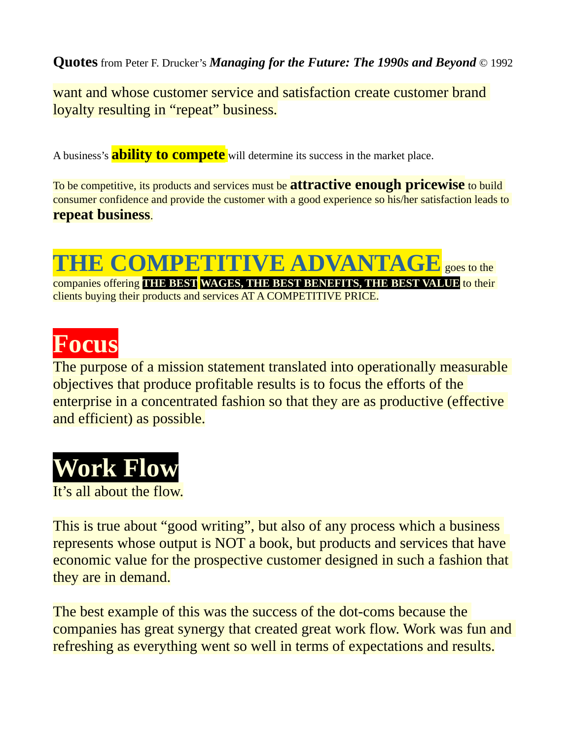want and whose customer service and satisfaction create customer brand loyalty resulting in "repeat" business.

A business's **ability to compete** will determine its success in the market place.

To be competitive, its products and services must be **attractive enough pricewise** to build consumer confidence and provide the customer with a good experience so his/her satisfaction leads to **repeat business**.

### **THE COMPETITIVE ADVANTAGE** goes to the companies offering **THE BEST WAGES, THE BEST BENEFITS, THE BEST VALUE** to their

clients buying their products and services AT A COMPETITIVE PRICE.

# **Focus**

The purpose of a mission statement translated into operationally measurable objectives that produce profitable results is to focus the efforts of the enterprise in a concentrated fashion so that they are as productive (effective and efficient) as possible.

# **Work Flow**

It's all about the flow.

This is true about "good writing", but also of any process which a business represents whose output is NOT a book, but products and services that have economic value for the prospective customer designed in such a fashion that they are in demand.

The best example of this was the success of the dot-coms because the companies has great synergy that created great work flow. Work was fun and refreshing as everything went so well in terms of expectations and results.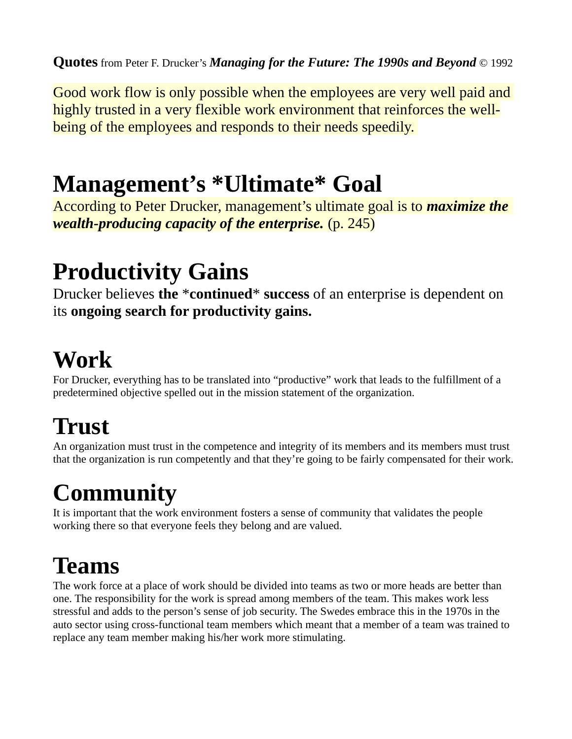Good work flow is only possible when the employees are very well paid and highly trusted in a very flexible work environment that reinforces the wellbeing of the employees and responds to their needs speedily.

## **Management's \*Ultimate\* Goal**

According to Peter Drucker, management's ultimate goal is to *maximize the wealth-producing capacity of the enterprise.* (p. 245)

# **Productivity Gains**

Drucker believes **the** \***continued**\* **success** of an enterprise is dependent on its **ongoing search for productivity gains.**

# **Work**

For Drucker, everything has to be translated into "productive" work that leads to the fulfillment of a predetermined objective spelled out in the mission statement of the organization.

# **Trust**

An organization must trust in the competence and integrity of its members and its members must trust that the organization is run competently and that they're going to be fairly compensated for their work.

# **Community**

It is important that the work environment fosters a sense of community that validates the people working there so that everyone feels they belong and are valued.

# **Teams**

The work force at a place of work should be divided into teams as two or more heads are better than one. The responsibility for the work is spread among members of the team. This makes work less stressful and adds to the person's sense of job security. The Swedes embrace this in the 1970s in the auto sector using cross-functional team members which meant that a member of a team was trained to replace any team member making his/her work more stimulating.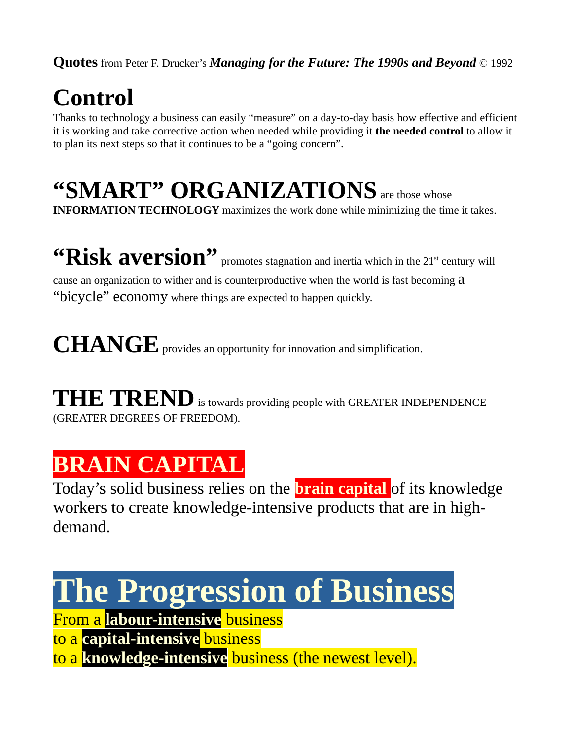# **Control**

Thanks to technology a business can easily "measure" on a day-to-day basis how effective and efficient it is working and take corrective action when needed while providing it **the needed control** to allow it to plan its next steps so that it continues to be a "going concern".

# **"SMART" ORGANIZATIONS** are those whose

**INFORMATION TECHNOLOGY** maximizes the work done while minimizing the time it takes.

"Risk aversion" promotes stagnation and inertia which in the 21<sup>st</sup> century will cause an organization to wither and is counterproductive when the world is fast becoming a "bicycle" economy where things are expected to happen quickly.

CHANGE provides an opportunity for innovation and simplification.

**THE TREND** is towards providing people with GREATER INDEPENDENCE (GREATER DEGREES OF FREEDOM).

# **BRAIN CAPITAL**

Today's solid business relies on the **brain capital** of its knowledge workers to create knowledge-intensive products that are in highdemand.

# **The Progression of Business**

From a **labour-intensive** business to a **capital-intensive** business to a **knowledge-intensive** business (the newest level).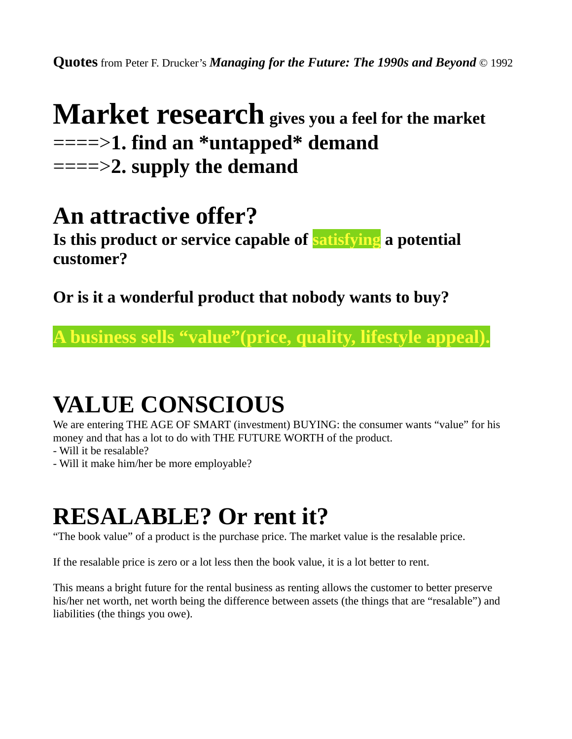### **Market research** gives you a feel for the market ====>**1. find an \*untapped\* demand** ====>**2. supply the demand**

### **An attractive offer?**

**Is this product or service capable of satisfying a potential customer?**

**Or is it a wonderful product that nobody wants to buy?**

**A business sells "value"(price, quality, lifestyle appeal).**

## **VALUE CONSCIOUS**

We are entering THE AGE OF SMART (investment) BUYING: the consumer wants "value" for his money and that has a lot to do with THE FUTURE WORTH of the product.

- Will it be resalable?
- Will it make him/her be more employable?

# **RESALABLE? Or rent it?**

"The book value" of a product is the purchase price. The market value is the resalable price.

If the resalable price is zero or a lot less then the book value, it is a lot better to rent.

This means a bright future for the rental business as renting allows the customer to better preserve his/her net worth, net worth being the difference between assets (the things that are "resalable") and liabilities (the things you owe).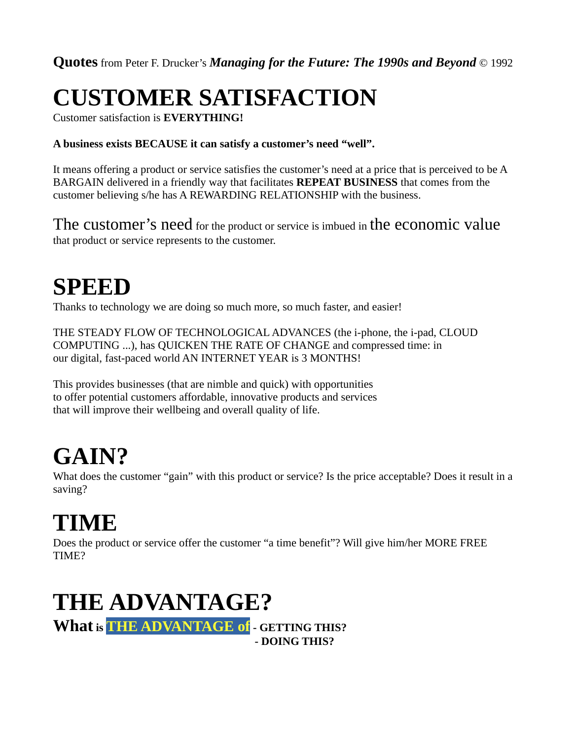# **CUSTOMER SATISFACTION**

Customer satisfaction is **EVERYTHING!**

#### **A business exists BECAUSE it can satisfy a customer's need "well".**

It means offering a product or service satisfies the customer's need at a price that is perceived to be A BARGAIN delivered in a friendly way that facilitates **REPEAT BUSINESS** that comes from the customer believing s/he has A REWARDING RELATIONSHIP with the business.

The customer's need for the product or service is imbued in the economic value that product or service represents to the customer.

# **SPEED**

Thanks to technology we are doing so much more, so much faster, and easier!

THE STEADY FLOW OF TECHNOLOGICAL ADVANCES (the i-phone, the i-pad, CLOUD COMPUTING ...), has QUICKEN THE RATE OF CHANGE and compressed time: in our digital, fast-paced world AN INTERNET YEAR is 3 MONTHS!

This provides businesses (that are nimble and quick) with opportunities to offer potential customers affordable, innovative products and services that will improve their wellbeing and overall quality of life.

# **GAIN?**

What does the customer "gain" with this product or service? Is the price acceptable? Does it result in a saving?

# **TIME**

Does the product or service offer the customer "a time benefit"? Will give him/her MORE FREE TIME?

## **THE ADVANTAGE?**

**What is THE ADVANTAGE of - GETTING THIS? - DOING THIS?**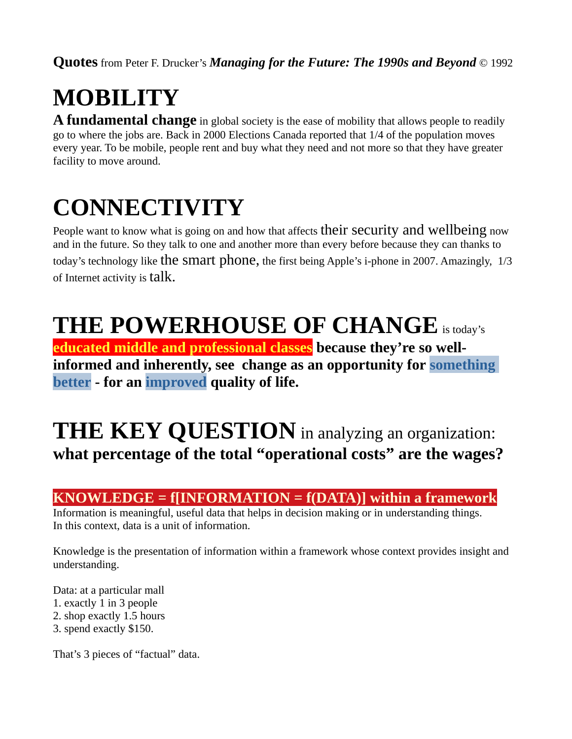# **MOBILITY**

**A fundamental change** in global society is the ease of mobility that allows people to readily go to where the jobs are. Back in 2000 Elections Canada reported that 1/4 of the population moves every year. To be mobile, people rent and buy what they need and not more so that they have greater facility to move around.

# **CONNECTIVITY**

People want to know what is going on and how that affects their security and wellbeing now and in the future. So they talk to one and another more than every before because they can thanks to today's technology like the smart phone, the first being Apple's i-phone in 2007. Amazingly, 1/3 of Internet activity is talk.

# **THE POWERHOUSE OF CHANGE**is today's

**educated middle and professional classes because they're so wellinformed and inherently, see change as an opportunity for something better - for an improved quality of life.**

### **THE KEY QUESTION** in analyzing an organization: **what percentage of the total "operational costs" are the wages?**

#### **KNOWLEDGE = f[INFORMATION = f(DATA)] within a framework**

Information is meaningful, useful data that helps in decision making or in understanding things. In this context, data is a unit of information.

Knowledge is the presentation of information within a framework whose context provides insight and understanding.

Data: at a particular mall 1. exactly 1 in 3 people 2. shop exactly 1.5 hours 3. spend exactly \$150.

That's 3 pieces of "factual" data.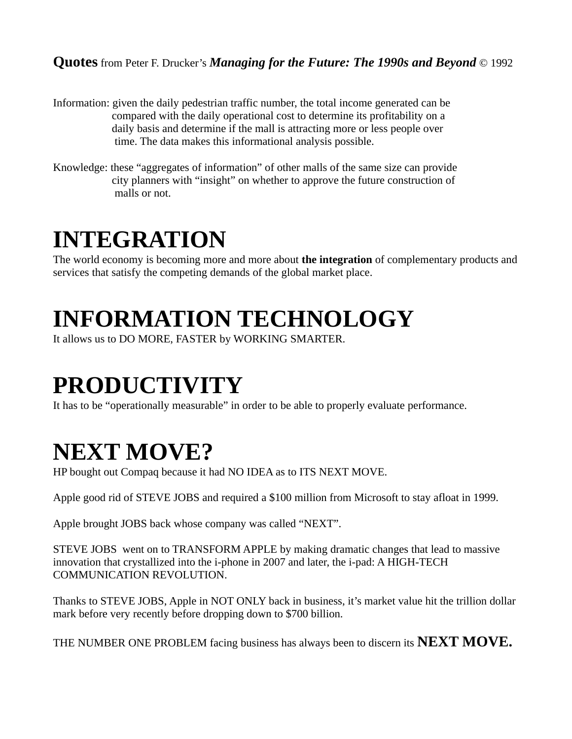- Information: given the daily pedestrian traffic number, the total income generated can be compared with the daily operational cost to determine its profitability on a daily basis and determine if the mall is attracting more or less people over time. The data makes this informational analysis possible.
- Knowledge: these "aggregates of information" of other malls of the same size can provide city planners with "insight" on whether to approve the future construction of malls or not.

### **INTEGRATION**

The world economy is becoming more and more about **the integration** of complementary products and services that satisfy the competing demands of the global market place.

# **INFORMATION TECHNOLOGY**

It allows us to DO MORE, FASTER by WORKING SMARTER.

# **PRODUCTIVITY**

It has to be "operationally measurable" in order to be able to properly evaluate performance.

## **NEXT MOVE?**

HP bought out Compaq because it had NO IDEA as to ITS NEXT MOVE.

Apple good rid of STEVE JOBS and required a \$100 million from Microsoft to stay afloat in 1999.

Apple brought JOBS back whose company was called "NEXT".

STEVE JOBS went on to TRANSFORM APPLE by making dramatic changes that lead to massive innovation that crystallized into the i-phone in 2007 and later, the i-pad: A HIGH-TECH COMMUNICATION REVOLUTION.

Thanks to STEVE JOBS, Apple in NOT ONLY back in business, it's market value hit the trillion dollar mark before very recently before dropping down to \$700 billion.

THE NUMBER ONE PROBLEM facing business has always been to discern its **NEXT MOVE.**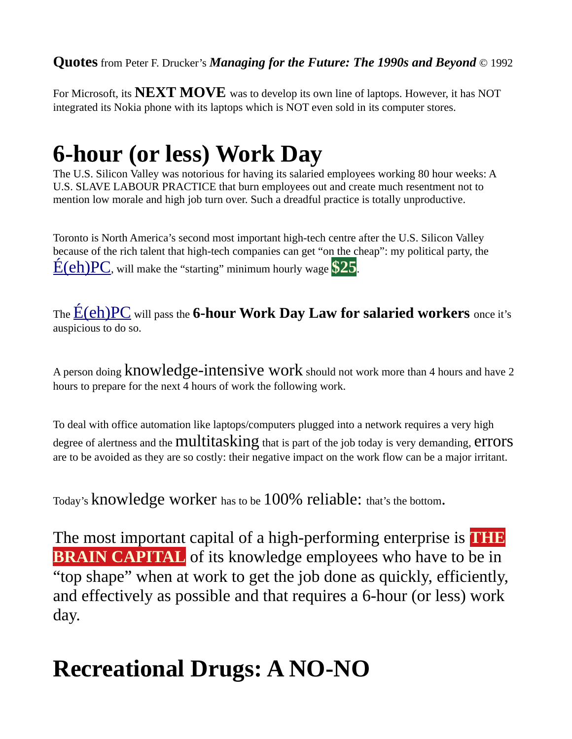For Microsoft, its **NEXT MOVE** was to develop its own line of laptops. However, it has NOT integrated its Nokia phone with its laptops which is NOT even sold in its computer stores.

# **6-hour (or less) Work Day**

The U.S. Silicon Valley was notorious for having its salaried employees working 80 hour weeks: A U.S. SLAVE LABOUR PRACTICE that burn employees out and create much resentment not to mention low morale and high job turn over. Such a dreadful practice is totally unproductive.

Toronto is North America's second most important high-tech centre after the U.S. Silicon Valley because of the rich talent that high-tech companies can get "on the cheap": my political party, the [É\(eh\)PC](http://www.eh-ok.ca/), will make the "starting" minimum hourly wage **\$25**.

The [É\(eh\)PC](http://www.eh-ok.ca/) will pass the **6-hour Work Day Law for salaried workers** once it's auspicious to do so.

A person doing knowledge-intensive work should not work more than 4 hours and have 2 hours to prepare for the next 4 hours of work the following work.

To deal with office automation like laptops/computers plugged into a network requires a very high degree of alertness and the **multitasking** that is part of the job today is very demanding, **errors** are to be avoided as they are so costly: their negative impact on the work flow can be a major irritant.

Today's knowledge worker has to be 100% reliable: that's the bottom.

The most important capital of a high-performing enterprise is **THE BRAIN CAPITAL** of its knowledge employees who have to be in "top shape" when at work to get the job done as quickly, efficiently, and effectively as possible and that requires a 6-hour (or less) work day.

## **Recreational Drugs: A NO-NO**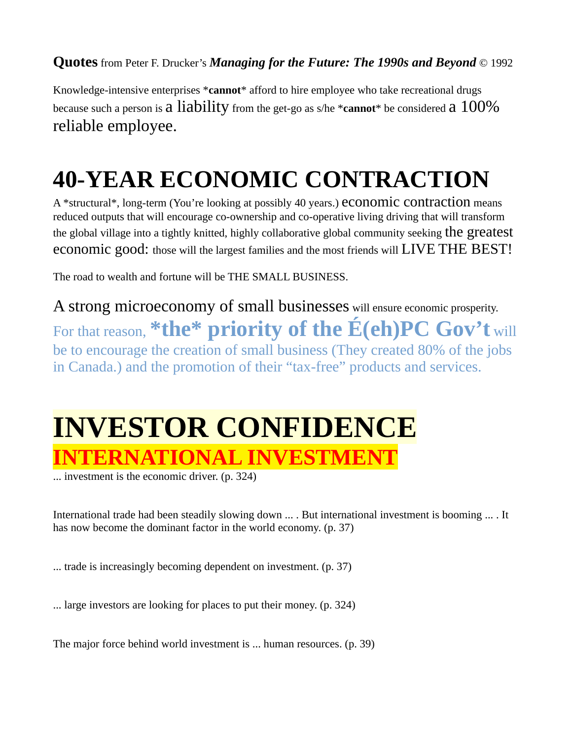Knowledge-intensive enterprises \***cannot**\* afford to hire employee who take recreational drugs because such a person is a liability from the get-go as s/he \***cannot**\* be considered a 100% reliable employee.

# **40-YEAR ECONOMIC CONTRACTION**

A \*structural\*, long-term (You're looking at possibly 40 years.) economic contraction means reduced outputs that will encourage co-ownership and co-operative living driving that will transform the global village into a tightly knitted, highly collaborative global community seeking the greatest economic good: those will the largest families and the most friends will LIVE THE BEST!

The road to wealth and fortune will be THE SMALL BUSINESS.

A strong microeconomy of small businesses will ensure economic prosperity. For that reason, **\*the\* priority of the É(eh)PC Gov't** will be to encourage the creation of small business (They created 80% of the jobs in Canada.) and the promotion of their "tax-free" products and services.

# **INVESTOR CONFIDENCE INTERNATIONAL INVESTME**

... investment is the economic driver. (p. 324)

International trade had been steadily slowing down ... . But international investment is booming ... . It has now become the dominant factor in the world economy. (p. 37)

... trade is increasingly becoming dependent on investment. (p. 37)

... large investors are looking for places to put their money. (p. 324)

The major force behind world investment is ... human resources. (p. 39)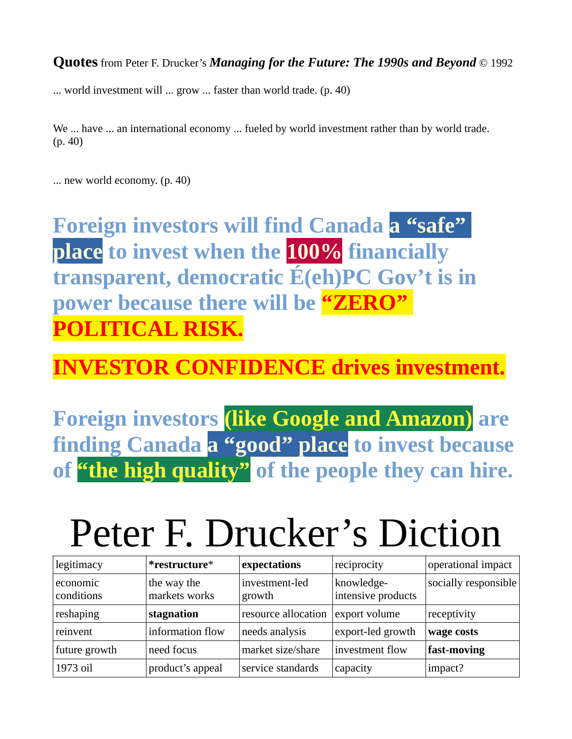... world investment will ... grow ... faster than world trade. (p. 40)

We ... have ... an international economy ... fueled by world investment rather than by world trade. (p. 40)

... new world economy. (p. 40)

**Foreign investors will find Canada a "safe" place to invest when the 100% financially transparent, democratic É(eh)PC Gov't is in power because there will be "ZERO" POLITICAL RISK.**

### **INVESTOR CONFIDENCE drives investment.**

**Foreign investors (like Google and Amazon) are finding Canada a "good" place to invest because of "the high quality" of the people they can hire.**

# Peter F. Drucker's Diction

| legitimacy             | *restructure*                | expectations             | reciprocity                      | operational impact   |
|------------------------|------------------------------|--------------------------|----------------------------------|----------------------|
| economic<br>conditions | the way the<br>markets works | investment-led<br>growth | knowledge-<br>intensive products | socially responsible |
| reshaping              | stagnation                   | resource allocation      | export volume                    | receptivity          |
| reinvent               | information flow             | needs analysis           | export-led growth                | wage costs           |
| future growth          | need focus                   | market size/share        | investment flow                  | fast-moving          |
| 1973 oil               | product's appeal             | service standards        | capacity                         | impact?              |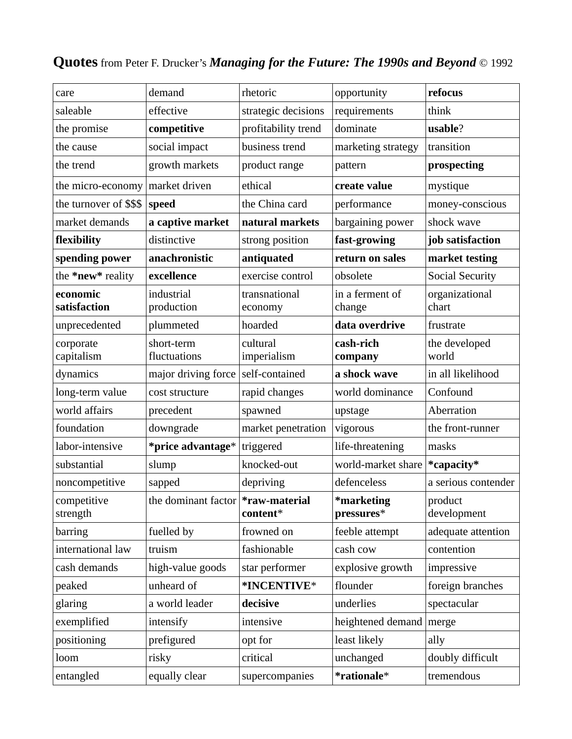| care                     | demand                               | rhetoric                 | opportunity               | refocus                 |
|--------------------------|--------------------------------------|--------------------------|---------------------------|-------------------------|
| saleable                 | effective                            | strategic decisions      | requirements              | think                   |
| the promise              | competitive                          | profitability trend      | dominate                  | usable?                 |
| the cause                | social impact                        | business trend           | marketing strategy        | transition              |
| the trend                | growth markets                       | product range            | pattern                   | prospecting             |
| the micro-economy        | market driven                        | ethical                  | create value              | mystique                |
| the turnover of \$\$\$   | speed                                | the China card           | performance               | money-conscious         |
| market demands           | a captive market                     | natural markets          | bargaining power          | shock wave              |
| flexibility              | distinctive                          | strong position          | fast-growing              | job satisfaction        |
| spending power           | anachronistic                        | antiquated               | return on sales           | market testing          |
| the *new* reality        | excellence                           | exercise control         | obsolete                  | <b>Social Security</b>  |
| economic<br>satisfaction | industrial<br>production             | transnational<br>economy | in a ferment of<br>change | organizational<br>chart |
| unprecedented            | plummeted                            | hoarded                  | data overdrive            | frustrate               |
| corporate<br>capitalism  | short-term<br>fluctuations           | cultural<br>imperialism  | cash-rich<br>company      | the developed<br>world  |
| dynamics                 | major driving force                  | self-contained           | a shock wave              | in all likelihood       |
| long-term value          | cost structure                       | rapid changes            | world dominance           | Confound                |
| world affairs            | precedent                            | spawned                  | upstage                   | Aberration              |
| foundation               | downgrade                            | market penetration       | vigorous                  | the front-runner        |
| labor-intensive          | *price advantage*                    | triggered                | life-threatening          | masks                   |
| substantial              | slump                                | knocked-out              | world-market share        | *capacity*              |
| noncompetitive           | sapped                               | depriving                | defenceless               | a serious contender     |
| competitive<br>strength  | the dominant factor $*raw$ -material | content*                 | *marketing<br>pressures*  | product<br>development  |
| barring                  | fuelled by                           | frowned on               | feeble attempt            | adequate attention      |
| international law        | truism                               | fashionable              | cash cow                  | contention              |
| cash demands             | high-value goods                     | star performer           | explosive growth          | impressive              |
| peaked                   | unheard of                           | *INCENTIVE*              | flounder                  | foreign branches        |
| glaring                  | a world leader                       | decisive                 | underlies                 | spectacular             |
| exemplified              | intensify                            | intensive                | heightened demand         | merge                   |
| positioning              | prefigured                           | opt for                  | least likely              | ally                    |
| loom                     | risky                                | critical                 | unchanged                 | doubly difficult        |
| entangled                | equally clear                        | supercompanies           | *rationale*               | tremendous              |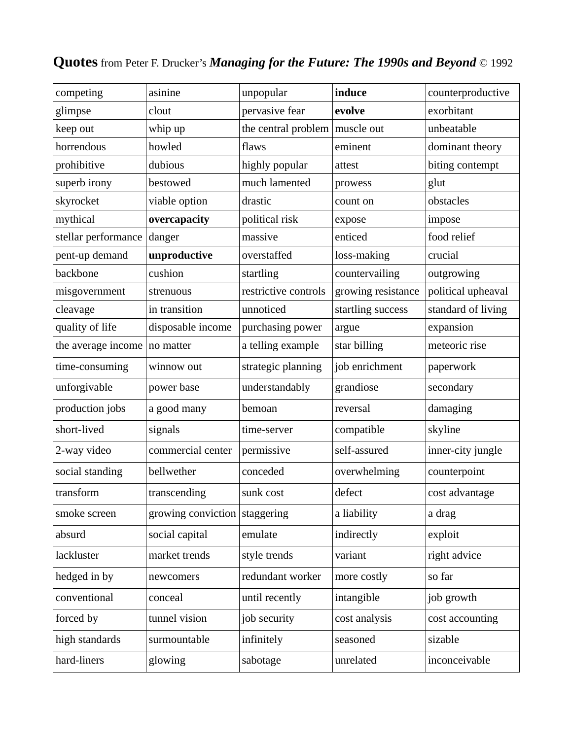| competing           | asinine            | unpopular                      | induce             | counterproductive  |
|---------------------|--------------------|--------------------------------|--------------------|--------------------|
| glimpse             | clout              | pervasive fear                 | evolve             | exorbitant         |
| keep out            | whip up            | the central problem muscle out |                    | unbeatable         |
| horrendous          | howled             | flaws                          | eminent            | dominant theory    |
| prohibitive         | dubious            | highly popular                 | attest             | biting contempt    |
| superb irony        | bestowed           | much lamented                  | prowess            | glut               |
| skyrocket           | viable option      | drastic                        | count on           | obstacles          |
| mythical            | overcapacity       | political risk                 | expose             | impose             |
| stellar performance | danger             | massive                        | enticed            | food relief        |
| pent-up demand      | unproductive       | overstaffed                    | loss-making        | crucial            |
| backbone            | cushion            | startling                      | countervailing     | outgrowing         |
| misgovernment       | strenuous          | restrictive controls           | growing resistance | political upheaval |
| cleavage            | in transition      | unnoticed                      | startling success  | standard of living |
| quality of life     | disposable income  | purchasing power               | argue              | expansion          |
| the average income  | no matter          | a telling example              | star billing       | meteoric rise      |
| time-consuming      | winnow out         | strategic planning             | job enrichment     | paperwork          |
| unforgivable        | power base         | understandably                 | grandiose          | secondary          |
| production jobs     | a good many        | bemoan                         | reversal           | damaging           |
| short-lived         | signals            | time-server                    | compatible         | skyline            |
| 2-way video         | commercial center  | permissive                     | self-assured       | inner-city jungle  |
| social standing     | bellwether         | conceded                       | overwhelming       | counterpoint       |
| transform           | transcending       | sunk cost                      | defect             | cost advantage     |
| smoke screen        | growing conviction | staggering                     | a liability        | a drag             |
| absurd              | social capital     | emulate                        | indirectly         | exploit            |
| lackluster          | market trends      | style trends                   | variant            | right advice       |
| hedged in by        | newcomers          | redundant worker               | more costly        | so far             |
| conventional        | conceal            | until recently                 | intangible         | job growth         |
| forced by           | tunnel vision      | job security                   | cost analysis      | cost accounting    |
| high standards      | surmountable       | infinitely                     | seasoned           | sizable            |
| hard-liners         | glowing            | sabotage                       | unrelated          | inconceivable      |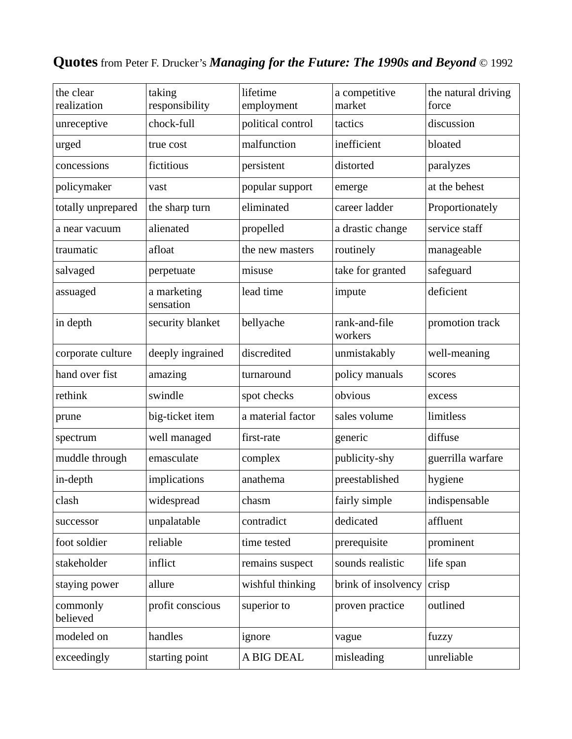| the clear<br>realization | taking<br>responsibility | lifetime<br>employment | a competitive<br>market  | the natural driving<br>force |
|--------------------------|--------------------------|------------------------|--------------------------|------------------------------|
| unreceptive              | chock-full               | political control      | tactics                  | discussion                   |
| urged                    | true cost                | malfunction            | inefficient              | bloated                      |
| concessions              | fictitious               | persistent             | distorted                | paralyzes                    |
| policymaker              | vast                     | popular support        | emerge                   | at the behest                |
| totally unprepared       | the sharp turn           | eliminated             | career ladder            | Proportionately              |
| a near vacuum            | alienated                | propelled              | a drastic change         | service staff                |
| traumatic                | afloat                   | the new masters        | routinely                | manageable                   |
| salvaged                 | perpetuate               | misuse                 | take for granted         | safeguard                    |
| assuaged                 | a marketing<br>sensation | lead time              | impute                   | deficient                    |
| in depth                 | security blanket         | bellyache              | rank-and-file<br>workers | promotion track              |
| corporate culture        | deeply ingrained         | discredited            | unmistakably             | well-meaning                 |
| hand over fist           | amazing                  | turnaround             | policy manuals           | scores                       |
| rethink                  | swindle                  | spot checks            | obvious                  | excess                       |
| prune                    | big-ticket item          | a material factor      | sales volume             | limitless                    |
| spectrum                 | well managed             | first-rate             | generic                  | diffuse                      |
| muddle through           | emasculate               | complex                | publicity-shy            | guerrilla warfare            |
| in-depth                 | implications             | anathema               | preestablished           | hygiene                      |
| clash                    | widespread               | chasm                  | fairly simple            | indispensable                |
| successor                | unpalatable              | contradict             | dedicated                | affluent                     |
| foot soldier             | reliable                 | time tested            | prerequisite             | prominent                    |
| stakeholder              | inflict                  | remains suspect        | sounds realistic         | life span                    |
| staying power            | allure                   | wishful thinking       | brink of insolvency      | crisp                        |
| commonly<br>believed     | profit conscious         | superior to            | proven practice          | outlined                     |
| modeled on               | handles                  | ignore                 | vague                    | fuzzy                        |
| exceedingly              | starting point           | A BIG DEAL             | misleading               | unreliable                   |